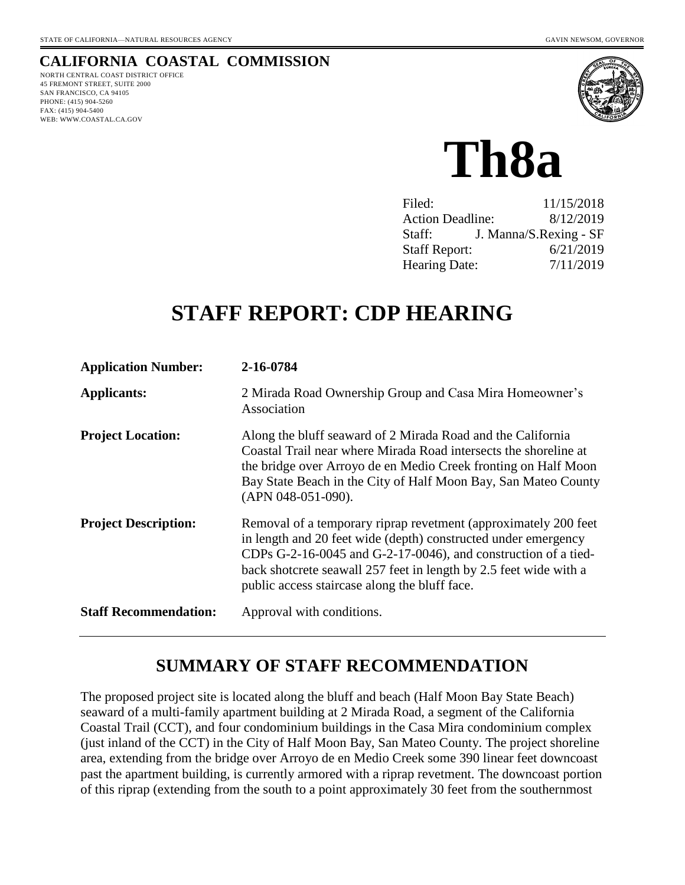# **CALIFORNIA COASTAL COMMISSION**

NORTH CENTRAL COAST DISTRICT OFFICE 45 FREMONT STREET, SUITE 2000 SAN FRANCISCO, CA 94105 PHONE: (415) 904-5260 FAX: (415) 904-5400 WEB: WWW.COASTAL.CA.GOV



**Th8a** 

| Filed:                  | 11/15/2018             |
|-------------------------|------------------------|
| <b>Action Deadline:</b> | 8/12/2019              |
| Staff:                  | J. Manna/S.Rexing - SF |
| <b>Staff Report:</b>    | 6/21/2019              |
| <b>Hearing Date:</b>    | 7/11/2019              |
|                         |                        |

# **STAFF REPORT: CDP HEARING**

| <b>Application Number:</b>   | 2-16-0784                                                                                                                                                                                                                                                                                                                  |
|------------------------------|----------------------------------------------------------------------------------------------------------------------------------------------------------------------------------------------------------------------------------------------------------------------------------------------------------------------------|
| <b>Applicants:</b>           | 2 Mirada Road Ownership Group and Casa Mira Homeowner's<br>Association                                                                                                                                                                                                                                                     |
| <b>Project Location:</b>     | Along the bluff seaward of 2 Mirada Road and the California<br>Coastal Trail near where Mirada Road intersects the shoreline at<br>the bridge over Arroyo de en Medio Creek fronting on Half Moon<br>Bay State Beach in the City of Half Moon Bay, San Mateo County<br>(APN 048-051-090).                                  |
| <b>Project Description:</b>  | Removal of a temporary riprap revetment (approximately 200 feet)<br>in length and 20 feet wide (depth) constructed under emergency<br>CDPs G-2-16-0045 and G-2-17-0046), and construction of a tied-<br>back shotcrete seawall 257 feet in length by 2.5 feet wide with a<br>public access staircase along the bluff face. |
| <b>Staff Recommendation:</b> | Approval with conditions.                                                                                                                                                                                                                                                                                                  |

# **SUMMARY OF STAFF RECOMMENDATION**

The proposed project site is located along the bluff and beach (Half Moon Bay State Beach) seaward of a multi-family apartment building at 2 Mirada Road, a segment of the California Coastal Trail (CCT), and four condominium buildings in the Casa Mira condominium complex (just inland of the CCT) in the City of Half Moon Bay, San Mateo County. The project shoreline area, extending from the bridge over Arroyo de en Medio Creek some 390 linear feet downcoast past the apartment building, is currently armored with a riprap revetment. The downcoast portion of this riprap (extending from the south to a point approximately 30 feet from the southernmost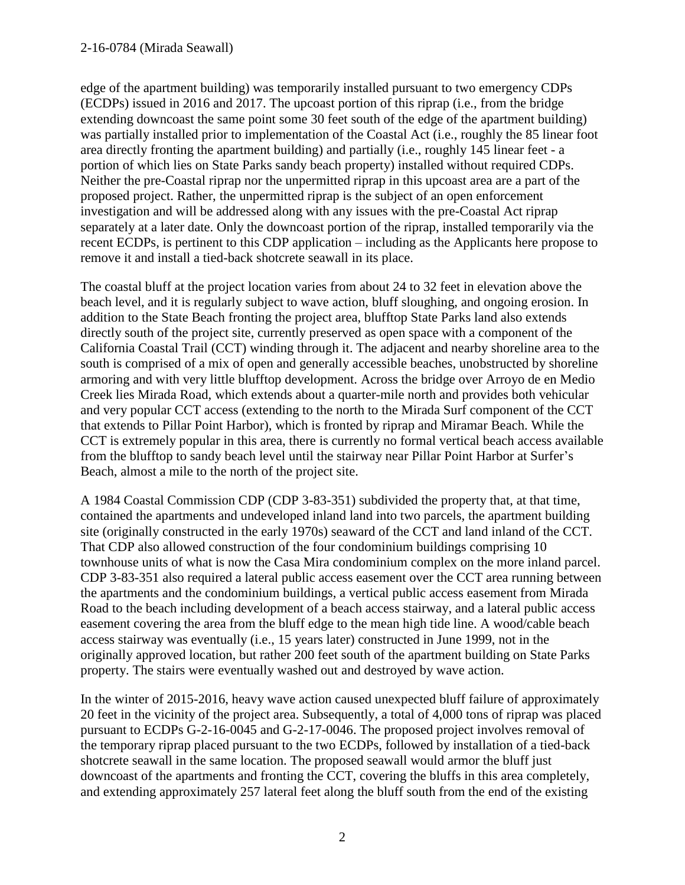#### 2-16-0784 (Mirada Seawall)

edge of the apartment building) was temporarily installed pursuant to two emergency CDPs (ECDPs) issued in 2016 and 2017. The upcoast portion of this riprap (i.e., from the bridge extending downcoast the same point some 30 feet south of the edge of the apartment building) was partially installed prior to implementation of the Coastal Act (i.e., roughly the 85 linear foot area directly fronting the apartment building) and partially (i.e., roughly 145 linear feet - a portion of which lies on State Parks sandy beach property) installed without required CDPs. Neither the pre-Coastal riprap nor the unpermitted riprap in this upcoast area are a part of the proposed project. Rather, the unpermitted riprap is the subject of an open enforcement investigation and will be addressed along with any issues with the pre-Coastal Act riprap separately at a later date. Only the downcoast portion of the riprap, installed temporarily via the recent ECDPs, is pertinent to this CDP application – including as the Applicants here propose to remove it and install a tied-back shotcrete seawall in its place.

The coastal bluff at the project location varies from about 24 to 32 feet in elevation above the beach level, and it is regularly subject to wave action, bluff sloughing, and ongoing erosion. In addition to the State Beach fronting the project area, blufftop State Parks land also extends directly south of the project site, currently preserved as open space with a component of the California Coastal Trail (CCT) winding through it. The adjacent and nearby shoreline area to the south is comprised of a mix of open and generally accessible beaches, unobstructed by shoreline armoring and with very little blufftop development. Across the bridge over Arroyo de en Medio Creek lies Mirada Road, which extends about a quarter-mile north and provides both vehicular and very popular CCT access (extending to the north to the Mirada Surf component of the CCT that extends to Pillar Point Harbor), which is fronted by riprap and Miramar Beach. While the CCT is extremely popular in this area, there is currently no formal vertical beach access available from the blufftop to sandy beach level until the stairway near Pillar Point Harbor at Surfer's Beach, almost a mile to the north of the project site.

A 1984 Coastal Commission CDP (CDP 3-83-351) subdivided the property that, at that time, contained the apartments and undeveloped inland land into two parcels, the apartment building site (originally constructed in the early 1970s) seaward of the CCT and land inland of the CCT. That CDP also allowed construction of the four condominium buildings comprising 10 townhouse units of what is now the Casa Mira condominium complex on the more inland parcel. CDP 3-83-351 also required a lateral public access easement over the CCT area running between the apartments and the condominium buildings, a vertical public access easement from Mirada Road to the beach including development of a beach access stairway, and a lateral public access easement covering the area from the bluff edge to the mean high tide line. A wood/cable beach access stairway was eventually (i.e., 15 years later) constructed in June 1999, not in the originally approved location, but rather 200 feet south of the apartment building on State Parks property. The stairs were eventually washed out and destroyed by wave action.

In the winter of 2015-2016, heavy wave action caused unexpected bluff failure of approximately 20 feet in the vicinity of the project area. Subsequently, a total of 4,000 tons of riprap was placed pursuant to ECDPs G-2-16-0045 and G-2-17-0046. The proposed project involves removal of the temporary riprap placed pursuant to the two ECDPs, followed by installation of a tied-back shotcrete seawall in the same location. The proposed seawall would armor the bluff just downcoast of the apartments and fronting the CCT, covering the bluffs in this area completely, and extending approximately 257 lateral feet along the bluff south from the end of the existing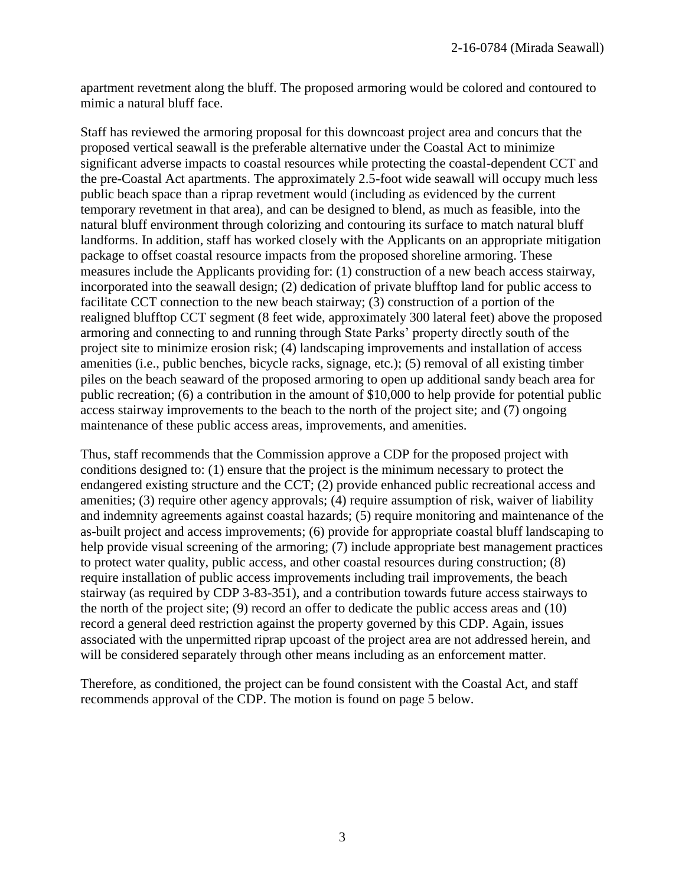apartment revetment along the bluff. The proposed armoring would be colored and contoured to mimic a natural bluff face.

Staff has reviewed the armoring proposal for this downcoast project area and concurs that the proposed vertical seawall is the preferable alternative under the Coastal Act to minimize significant adverse impacts to coastal resources while protecting the coastal-dependent CCT and the pre-Coastal Act apartments. The approximately 2.5-foot wide seawall will occupy much less public beach space than a riprap revetment would (including as evidenced by the current temporary revetment in that area), and can be designed to blend, as much as feasible, into the natural bluff environment through colorizing and contouring its surface to match natural bluff landforms. In addition, staff has worked closely with the Applicants on an appropriate mitigation package to offset coastal resource impacts from the proposed shoreline armoring. These measures include the Applicants providing for: (1) construction of a new beach access stairway, incorporated into the seawall design; (2) dedication of private blufftop land for public access to facilitate CCT connection to the new beach stairway; (3) construction of a portion of the realigned blufftop CCT segment (8 feet wide, approximately 300 lateral feet) above the proposed armoring and connecting to and running through State Parks' property directly south of the project site to minimize erosion risk; (4) landscaping improvements and installation of access amenities (i.e., public benches, bicycle racks, signage, etc.); (5) removal of all existing timber piles on the beach seaward of the proposed armoring to open up additional sandy beach area for public recreation; (6) a contribution in the amount of \$10,000 to help provide for potential public access stairway improvements to the beach to the north of the project site; and (7) ongoing maintenance of these public access areas, improvements, and amenities.

Thus, staff recommends that the Commission approve a CDP for the proposed project with conditions designed to: (1) ensure that the project is the minimum necessary to protect the endangered existing structure and the CCT; (2) provide enhanced public recreational access and amenities; (3) require other agency approvals; (4) require assumption of risk, waiver of liability and indemnity agreements against coastal hazards; (5) require monitoring and maintenance of the as-built project and access improvements; (6) provide for appropriate coastal bluff landscaping to help provide visual screening of the armoring; (7) include appropriate best management practices to protect water quality, public access, and other coastal resources during construction; (8) require installation of public access improvements including trail improvements, the beach stairway (as required by CDP 3-83-351), and a contribution towards future access stairways to the north of the project site; (9) record an offer to dedicate the public access areas and (10) record a general deed restriction against the property governed by this CDP. Again, issues associated with the unpermitted riprap upcoast of the project area are not addressed herein, and will be considered separately through other means including as an enforcement matter.

Therefore, as conditioned, the project can be found consistent with the Coastal Act, and staff recommends approval of the CDP. The motion is found on page 5 below.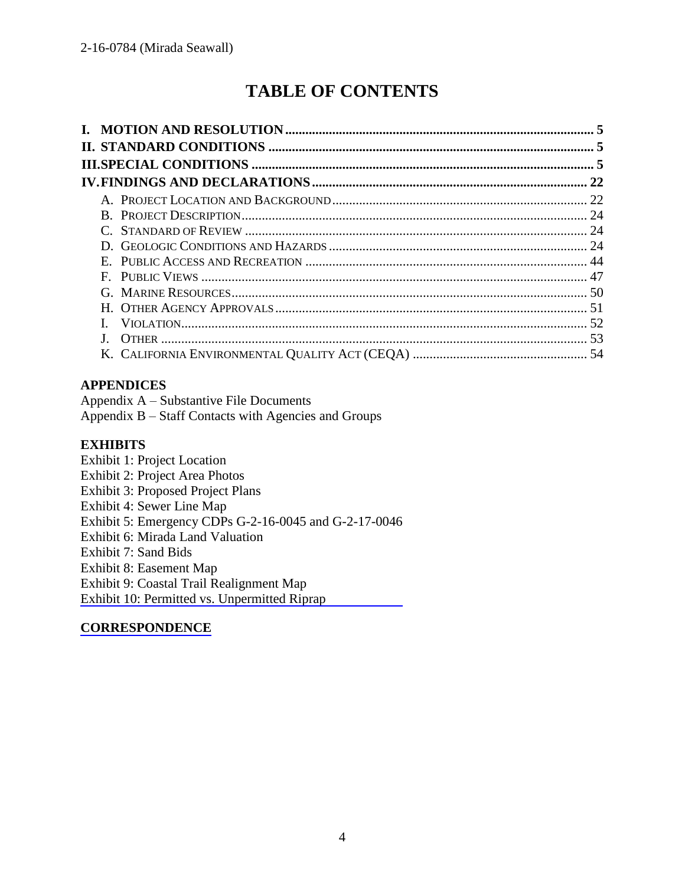# **TABLE OF CONTENTS**

## **APPENDICES**

Appendix A – Substantive File Documents Appendix B – Staff Contacts with Agencies and Groups

### **EXHIBITS**

Exhibit 1: Project Location Exhibit 2: Project Area Photos Exhibit 3: Proposed Project Plans Exhibit 4: Sewer Line Map Exhibit 5: Emergency CDPs G-2-16-0045 and G-2-17-0046 Exhibit 6: Mirada Land Valuation Exhibit 7: Sand Bids Exhibit 8: Easement Map Exhibit 9: Coastal Trail Realignment Map [Exhibit 10: Permitted vs. Unpermitted Riprap](https://documents.coastal.ca.gov/reports/2019/7/th8a/th8a-7-2019-exhibits.pdf)

## **[CORRESPONDENCE](https://documents.coastal.ca.gov/reports/2019/7/th8a/th8a-7-2019-corresp.pdf)**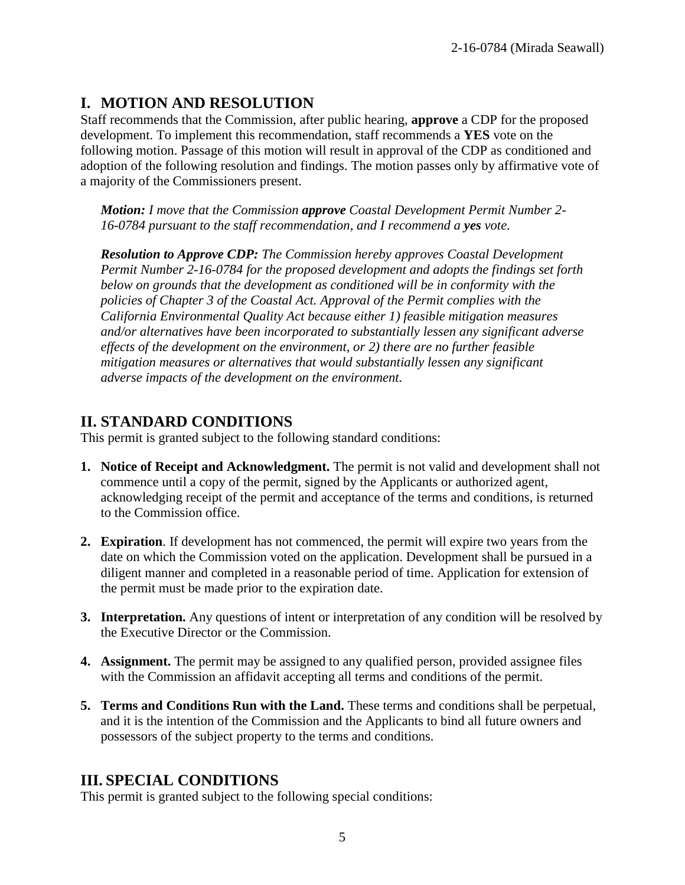# **I. MOTION AND RESOLUTION**

Staff recommends that the Commission, after public hearing, **approve** a CDP for the proposed development. To implement this recommendation, staff recommends a **YES** vote on the following motion. Passage of this motion will result in approval of the CDP as conditioned and adoption of the following resolution and findings. The motion passes only by affirmative vote of a majority of the Commissioners present.

*Motion: I move that the Commission approve Coastal Development Permit Number 2- 16-0784 pursuant to the staff recommendation, and I recommend a yes vote.* 

*Resolution to Approve CDP: The Commission hereby approves Coastal Development Permit Number 2-16-0784 for the proposed development and adopts the findings set forth below on grounds that the development as conditioned will be in conformity with the policies of Chapter 3 of the Coastal Act. Approval of the Permit complies with the California Environmental Quality Act because either 1) feasible mitigation measures and/or alternatives have been incorporated to substantially lessen any significant adverse effects of the development on the environment, or 2) there are no further feasible mitigation measures or alternatives that would substantially lessen any significant adverse impacts of the development on the environment.* 

# **II. STANDARD CONDITIONS**

This permit is granted subject to the following standard conditions:

- **1. Notice of Receipt and Acknowledgment.** The permit is not valid and development shall not commence until a copy of the permit, signed by the Applicants or authorized agent, acknowledging receipt of the permit and acceptance of the terms and conditions, is returned to the Commission office.
- **2. Expiration**. If development has not commenced, the permit will expire two years from the date on which the Commission voted on the application. Development shall be pursued in a diligent manner and completed in a reasonable period of time. Application for extension of the permit must be made prior to the expiration date.
- **3. Interpretation.** Any questions of intent or interpretation of any condition will be resolved by the Executive Director or the Commission.
- **4. Assignment.** The permit may be assigned to any qualified person, provided assignee files with the Commission an affidavit accepting all terms and conditions of the permit.
- **5. Terms and Conditions Run with the Land.** These terms and conditions shall be perpetual, and it is the intention of the Commission and the Applicants to bind all future owners and possessors of the subject property to the terms and conditions.

# **III. SPECIAL CONDITIONS**

This permit is granted subject to the following special conditions: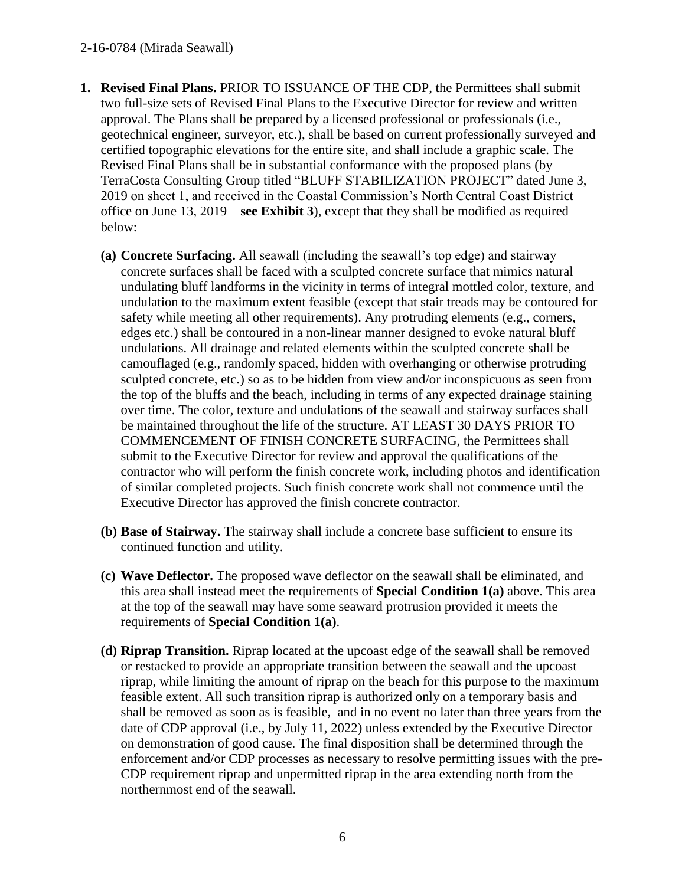#### 2-16-0784 (Mirada Seawall)

- **1. Revised Final Plans.** PRIOR TO ISSUANCE OF THE CDP, the Permittees shall submit two full-size sets of Revised Final Plans to the Executive Director for review and written approval. The Plans shall be prepared by a licensed professional or professionals (i.e., geotechnical engineer, surveyor, etc.), shall be based on current professionally surveyed and certified topographic elevations for the entire site, and shall include a graphic scale. The Revised Final Plans shall be in substantial conformance with the proposed plans (by TerraCosta Consulting Group titled "BLUFF STABILIZATION PROJECT" dated June 3, 2019 on sheet 1, and received in the Coastal Commission's North Central Coast District office on June 13, 2019 – **see Exhibit 3**), except that they shall be modified as required below:
	- **(a) Concrete Surfacing.** All seawall (including the seawall's top edge) and stairway concrete surfaces shall be faced with a sculpted concrete surface that mimics natural undulating bluff landforms in the vicinity in terms of integral mottled color, texture, and undulation to the maximum extent feasible (except that stair treads may be contoured for safety while meeting all other requirements). Any protruding elements (e.g., corners, edges etc.) shall be contoured in a non-linear manner designed to evoke natural bluff undulations. All drainage and related elements within the sculpted concrete shall be camouflaged (e.g., randomly spaced, hidden with overhanging or otherwise protruding sculpted concrete, etc.) so as to be hidden from view and/or inconspicuous as seen from the top of the bluffs and the beach, including in terms of any expected drainage staining over time. The color, texture and undulations of the seawall and stairway surfaces shall be maintained throughout the life of the structure. AT LEAST 30 DAYS PRIOR TO COMMENCEMENT OF FINISH CONCRETE SURFACING, the Permittees shall submit to the Executive Director for review and approval the qualifications of the contractor who will perform the finish concrete work, including photos and identification of similar completed projects. Such finish concrete work shall not commence until the Executive Director has approved the finish concrete contractor.
	- **(b) Base of Stairway.** The stairway shall include a concrete base sufficient to ensure its continued function and utility.
	- **(c) Wave Deflector.** The proposed wave deflector on the seawall shall be eliminated, and this area shall instead meet the requirements of **Special Condition 1(a)** above. This area at the top of the seawall may have some seaward protrusion provided it meets the requirements of **Special Condition 1(a)**.
	- **(d) Riprap Transition.** Riprap located at the upcoast edge of the seawall shall be removed or restacked to provide an appropriate transition between the seawall and the upcoast riprap, while limiting the amount of riprap on the beach for this purpose to the maximum feasible extent. All such transition riprap is authorized only on a temporary basis and shall be removed as soon as is feasible, and in no event no later than three years from the date of CDP approval (i.e., by July 11, 2022) unless extended by the Executive Director on demonstration of good cause. The final disposition shall be determined through the enforcement and/or CDP processes as necessary to resolve permitting issues with the pre-CDP requirement riprap and unpermitted riprap in the area extending north from the northernmost end of the seawall.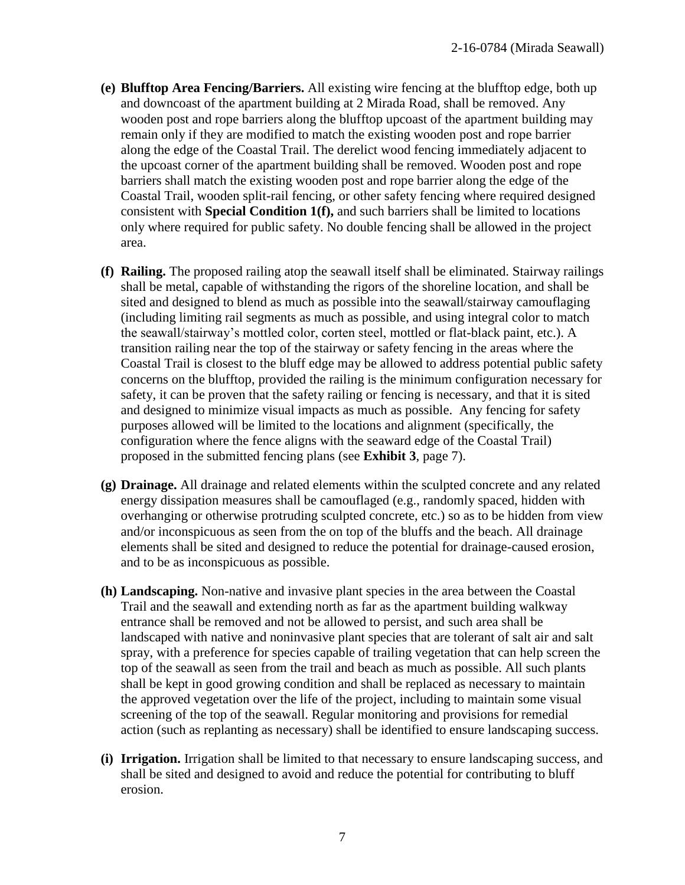- **(e) Blufftop Area Fencing/Barriers.** All existing wire fencing at the blufftop edge, both up and downcoast of the apartment building at 2 Mirada Road, shall be removed. Any wooden post and rope barriers along the blufftop upcoast of the apartment building may remain only if they are modified to match the existing wooden post and rope barrier along the edge of the Coastal Trail. The derelict wood fencing immediately adjacent to the upcoast corner of the apartment building shall be removed. Wooden post and rope barriers shall match the existing wooden post and rope barrier along the edge of the Coastal Trail, wooden split-rail fencing, or other safety fencing where required designed consistent with **Special Condition 1(f),** and such barriers shall be limited to locations only where required for public safety. No double fencing shall be allowed in the project area.
- **(f) Railing.** The proposed railing atop the seawall itself shall be eliminated. Stairway railings shall be metal, capable of withstanding the rigors of the shoreline location, and shall be sited and designed to blend as much as possible into the seawall/stairway camouflaging (including limiting rail segments as much as possible, and using integral color to match the seawall/stairway's mottled color, corten steel, mottled or flat-black paint, etc.). A transition railing near the top of the stairway or safety fencing in the areas where the Coastal Trail is closest to the bluff edge may be allowed to address potential public safety concerns on the blufftop, provided the railing is the minimum configuration necessary for safety, it can be proven that the safety railing or fencing is necessary, and that it is sited and designed to minimize visual impacts as much as possible. Any fencing for safety purposes allowed will be limited to the locations and alignment (specifically, the configuration where the fence aligns with the seaward edge of the Coastal Trail) proposed in the submitted fencing plans (see **Exhibit 3**, page 7).
- **(g) Drainage.** All drainage and related elements within the sculpted concrete and any related energy dissipation measures shall be camouflaged (e.g., randomly spaced, hidden with overhanging or otherwise protruding sculpted concrete, etc.) so as to be hidden from view and/or inconspicuous as seen from the on top of the bluffs and the beach. All drainage elements shall be sited and designed to reduce the potential for drainage-caused erosion, and to be as inconspicuous as possible.
- **(h) Landscaping.** Non-native and invasive plant species in the area between the Coastal Trail and the seawall and extending north as far as the apartment building walkway entrance shall be removed and not be allowed to persist, and such area shall be landscaped with native and noninvasive plant species that are tolerant of salt air and salt spray, with a preference for species capable of trailing vegetation that can help screen the top of the seawall as seen from the trail and beach as much as possible. All such plants shall be kept in good growing condition and shall be replaced as necessary to maintain the approved vegetation over the life of the project, including to maintain some visual screening of the top of the seawall. Regular monitoring and provisions for remedial action (such as replanting as necessary) shall be identified to ensure landscaping success.
- **(i) Irrigation.** Irrigation shall be limited to that necessary to ensure landscaping success, and shall be sited and designed to avoid and reduce the potential for contributing to bluff erosion.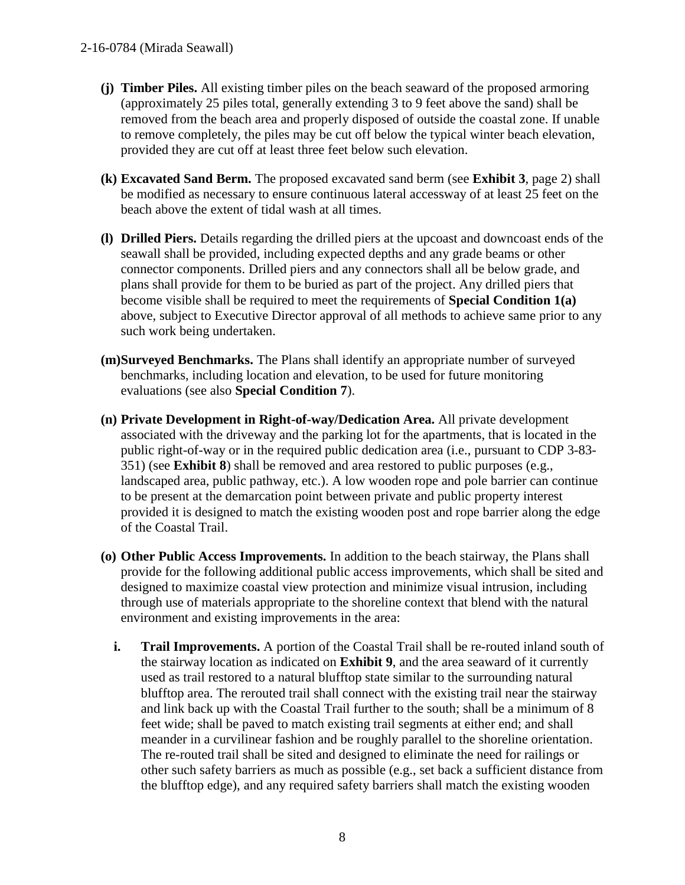- **(j) Timber Piles.** All existing timber piles on the beach seaward of the proposed armoring (approximately 25 piles total, generally extending 3 to 9 feet above the sand) shall be removed from the beach area and properly disposed of outside the coastal zone. If unable to remove completely, the piles may be cut off below the typical winter beach elevation, provided they are cut off at least three feet below such elevation.
- **(k) Excavated Sand Berm.** The proposed excavated sand berm (see **Exhibit 3**, page 2) shall be modified as necessary to ensure continuous lateral accessway of at least 25 feet on the beach above the extent of tidal wash at all times.
- **(l) Drilled Piers.** Details regarding the drilled piers at the upcoast and downcoast ends of the seawall shall be provided, including expected depths and any grade beams or other connector components. Drilled piers and any connectors shall all be below grade, and plans shall provide for them to be buried as part of the project. Any drilled piers that become visible shall be required to meet the requirements of **Special Condition 1(a)** above, subject to Executive Director approval of all methods to achieve same prior to any such work being undertaken.
- **(m)Surveyed Benchmarks.** The Plans shall identify an appropriate number of surveyed benchmarks, including location and elevation, to be used for future monitoring evaluations (see also **Special Condition 7**).
- **(n) Private Development in Right-of-way/Dedication Area.** All private development associated with the driveway and the parking lot for the apartments, that is located in the public right-of-way or in the required public dedication area (i.e., pursuant to CDP 3-83- 351) (see **Exhibit 8**) shall be removed and area restored to public purposes (e.g., landscaped area, public pathway, etc.). A low wooden rope and pole barrier can continue to be present at the demarcation point between private and public property interest provided it is designed to match the existing wooden post and rope barrier along the edge of the Coastal Trail.
- **(o) Other Public Access Improvements.** In addition to the beach stairway, the Plans shall provide for the following additional public access improvements, which shall be sited and designed to maximize coastal view protection and minimize visual intrusion, including through use of materials appropriate to the shoreline context that blend with the natural environment and existing improvements in the area:
	- **i. Trail Improvements.** A portion of the Coastal Trail shall be re-routed inland south of the stairway location as indicated on **Exhibit 9**, and the area seaward of it currently used as trail restored to a natural blufftop state similar to the surrounding natural blufftop area. The rerouted trail shall connect with the existing trail near the stairway and link back up with the Coastal Trail further to the south; shall be a minimum of 8 feet wide; shall be paved to match existing trail segments at either end; and shall meander in a curvilinear fashion and be roughly parallel to the shoreline orientation. The re-routed trail shall be sited and designed to eliminate the need for railings or other such safety barriers as much as possible (e.g., set back a sufficient distance from the blufftop edge), and any required safety barriers shall match the existing wooden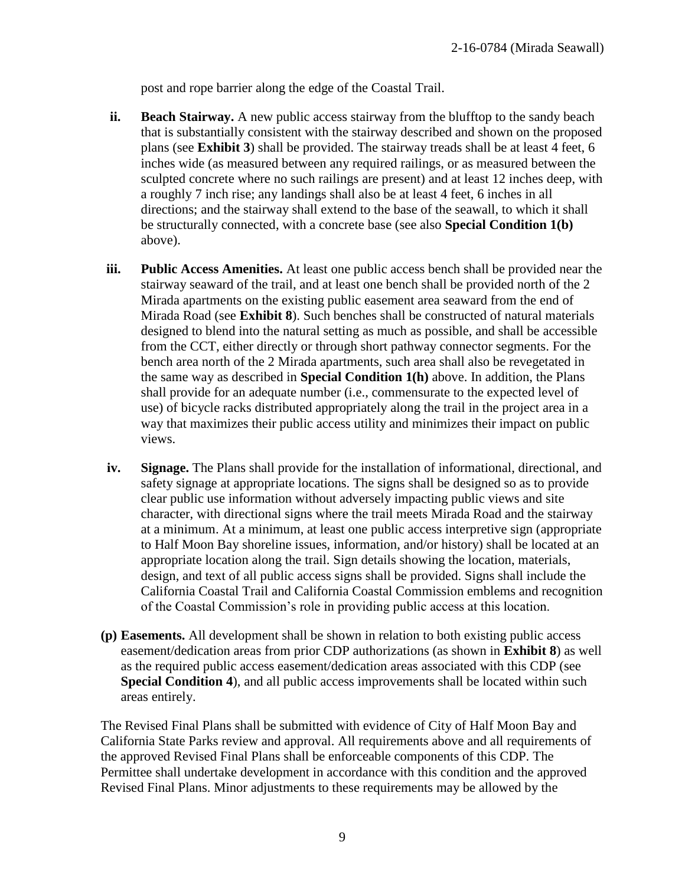post and rope barrier along the edge of the Coastal Trail.

- **ii. Beach Stairway.** A new public access stairway from the blufftop to the sandy beach that is substantially consistent with the stairway described and shown on the proposed plans (see **Exhibit 3**) shall be provided. The stairway treads shall be at least 4 feet, 6 inches wide (as measured between any required railings, or as measured between the sculpted concrete where no such railings are present) and at least 12 inches deep, with a roughly 7 inch rise; any landings shall also be at least 4 feet, 6 inches in all directions; and the stairway shall extend to the base of the seawall, to which it shall be structurally connected, with a concrete base (see also **Special Condition 1(b)** above).
- **iii.** Public Access Amenities. At least one public access bench shall be provided near the stairway seaward of the trail, and at least one bench shall be provided north of the 2 Mirada apartments on the existing public easement area seaward from the end of Mirada Road (see **Exhibit 8**). Such benches shall be constructed of natural materials designed to blend into the natural setting as much as possible, and shall be accessible from the CCT, either directly or through short pathway connector segments. For the bench area north of the 2 Mirada apartments, such area shall also be revegetated in the same way as described in **Special Condition 1(h)** above. In addition, the Plans shall provide for an adequate number (i.e., commensurate to the expected level of use) of bicycle racks distributed appropriately along the trail in the project area in a way that maximizes their public access utility and minimizes their impact on public views.
- **iv. Signage.** The Plans shall provide for the installation of informational, directional, and safety signage at appropriate locations. The signs shall be designed so as to provide clear public use information without adversely impacting public views and site character, with directional signs where the trail meets Mirada Road and the stairway at a minimum. At a minimum, at least one public access interpretive sign (appropriate to Half Moon Bay shoreline issues, information, and/or history) shall be located at an appropriate location along the trail. Sign details showing the location, materials, design, and text of all public access signs shall be provided. Signs shall include the California Coastal Trail and California Coastal Commission emblems and recognition of the Coastal Commission's role in providing public access at this location.
- **(p) Easements.** All development shall be shown in relation to both existing public access easement/dedication areas from prior CDP authorizations (as shown in **Exhibit 8**) as well as the required public access easement/dedication areas associated with this CDP (see **Special Condition 4**), and all public access improvements shall be located within such areas entirely.

The Revised Final Plans shall be submitted with evidence of City of Half Moon Bay and California State Parks review and approval. All requirements above and all requirements of the approved Revised Final Plans shall be enforceable components of this CDP. The Permittee shall undertake development in accordance with this condition and the approved Revised Final Plans. Minor adjustments to these requirements may be allowed by the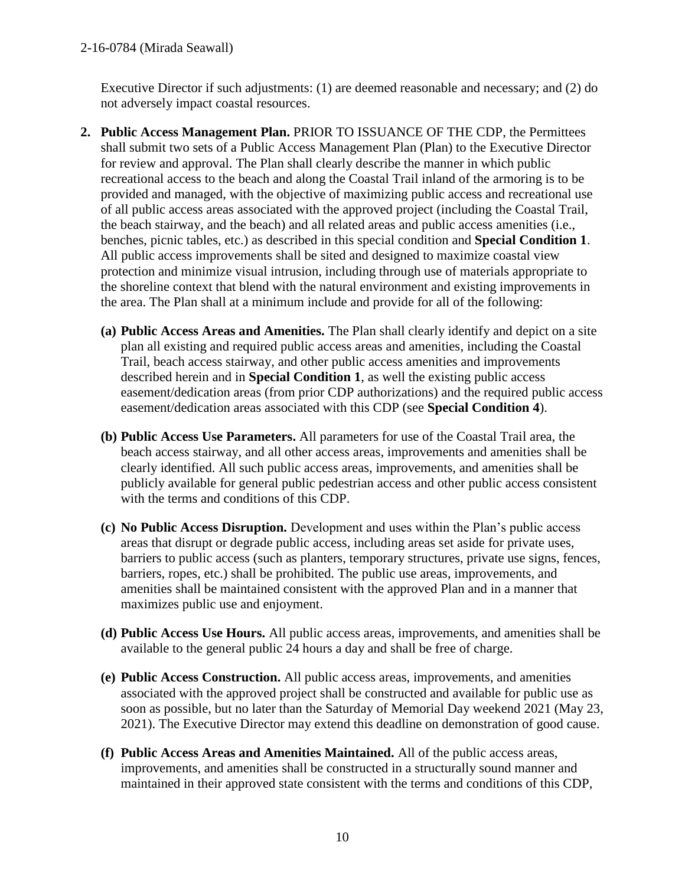Executive Director if such adjustments: (1) are deemed reasonable and necessary; and (2) do not adversely impact coastal resources.

- **2. Public Access Management Plan.** PRIOR TO ISSUANCE OF THE CDP, the Permittees shall submit two sets of a Public Access Management Plan (Plan) to the Executive Director for review and approval. The Plan shall clearly describe the manner in which public recreational access to the beach and along the Coastal Trail inland of the armoring is to be provided and managed, with the objective of maximizing public access and recreational use of all public access areas associated with the approved project (including the Coastal Trail, the beach stairway, and the beach) and all related areas and public access amenities (i.e., benches, picnic tables, etc.) as described in this special condition and **Special Condition 1**. All public access improvements shall be sited and designed to maximize coastal view protection and minimize visual intrusion, including through use of materials appropriate to the shoreline context that blend with the natural environment and existing improvements in the area. The Plan shall at a minimum include and provide for all of the following:
	- **(a) Public Access Areas and Amenities.** The Plan shall clearly identify and depict on a site plan all existing and required public access areas and amenities, including the Coastal Trail, beach access stairway, and other public access amenities and improvements described herein and in **Special Condition 1**, as well the existing public access easement/dedication areas (from prior CDP authorizations) and the required public access easement/dedication areas associated with this CDP (see **Special Condition 4**).
	- **(b) Public Access Use Parameters.** All parameters for use of the Coastal Trail area, the beach access stairway, and all other access areas, improvements and amenities shall be clearly identified. All such public access areas, improvements, and amenities shall be publicly available for general public pedestrian access and other public access consistent with the terms and conditions of this CDP.
	- **(c) No Public Access Disruption.** Development and uses within the Plan's public access areas that disrupt or degrade public access, including areas set aside for private uses, barriers to public access (such as planters, temporary structures, private use signs, fences, barriers, ropes, etc.) shall be prohibited. The public use areas, improvements, and amenities shall be maintained consistent with the approved Plan and in a manner that maximizes public use and enjoyment.
	- **(d) Public Access Use Hours.** All public access areas, improvements, and amenities shall be available to the general public 24 hours a day and shall be free of charge.
	- **(e) Public Access Construction.** All public access areas, improvements, and amenities associated with the approved project shall be constructed and available for public use as soon as possible, but no later than the Saturday of Memorial Day weekend 2021 (May 23, 2021). The Executive Director may extend this deadline on demonstration of good cause.
	- **(f) Public Access Areas and Amenities Maintained.** All of the public access areas, improvements, and amenities shall be constructed in a structurally sound manner and maintained in their approved state consistent with the terms and conditions of this CDP,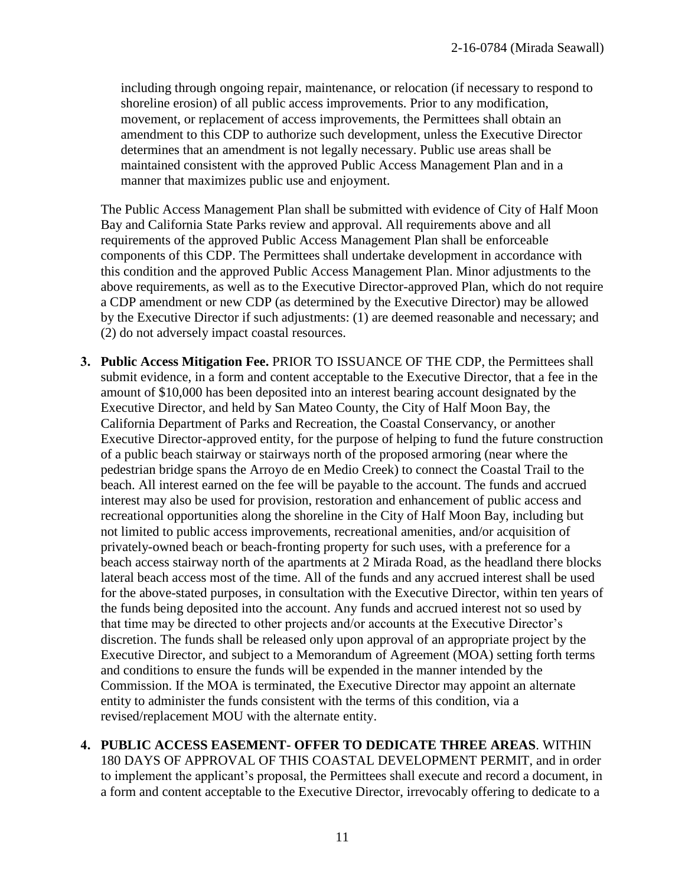including through ongoing repair, maintenance, or relocation (if necessary to respond to shoreline erosion) of all public access improvements. Prior to any modification, movement, or replacement of access improvements, the Permittees shall obtain an amendment to this CDP to authorize such development, unless the Executive Director determines that an amendment is not legally necessary. Public use areas shall be maintained consistent with the approved Public Access Management Plan and in a manner that maximizes public use and enjoyment.

The Public Access Management Plan shall be submitted with evidence of City of Half Moon Bay and California State Parks review and approval. All requirements above and all requirements of the approved Public Access Management Plan shall be enforceable components of this CDP. The Permittees shall undertake development in accordance with this condition and the approved Public Access Management Plan. Minor adjustments to the above requirements, as well as to the Executive Director-approved Plan, which do not require a CDP amendment or new CDP (as determined by the Executive Director) may be allowed by the Executive Director if such adjustments: (1) are deemed reasonable and necessary; and (2) do not adversely impact coastal resources.

- **3. Public Access Mitigation Fee.** PRIOR TO ISSUANCE OF THE CDP, the Permittees shall submit evidence, in a form and content acceptable to the Executive Director, that a fee in the amount of \$10,000 has been deposited into an interest bearing account designated by the Executive Director, and held by San Mateo County, the City of Half Moon Bay, the California Department of Parks and Recreation, the Coastal Conservancy, or another Executive Director-approved entity, for the purpose of helping to fund the future construction of a public beach stairway or stairways north of the proposed armoring (near where the pedestrian bridge spans the Arroyo de en Medio Creek) to connect the Coastal Trail to the beach. All interest earned on the fee will be payable to the account. The funds and accrued interest may also be used for provision, restoration and enhancement of public access and recreational opportunities along the shoreline in the City of Half Moon Bay, including but not limited to public access improvements, recreational amenities, and/or acquisition of privately-owned beach or beach-fronting property for such uses, with a preference for a beach access stairway north of the apartments at 2 Mirada Road, as the headland there blocks lateral beach access most of the time. All of the funds and any accrued interest shall be used for the above-stated purposes, in consultation with the Executive Director, within ten years of the funds being deposited into the account. Any funds and accrued interest not so used by that time may be directed to other projects and/or accounts at the Executive Director's discretion. The funds shall be released only upon approval of an appropriate project by the Executive Director, and subject to a Memorandum of Agreement (MOA) setting forth terms and conditions to ensure the funds will be expended in the manner intended by the Commission. If the MOA is terminated, the Executive Director may appoint an alternate entity to administer the funds consistent with the terms of this condition, via a revised/replacement MOU with the alternate entity.
- **4. PUBLIC ACCESS EASEMENT- OFFER TO DEDICATE THREE AREAS**. WITHIN 180 DAYS OF APPROVAL OF THIS COASTAL DEVELOPMENT PERMIT, and in order to implement the applicant's proposal, the Permittees shall execute and record a document, in a form and content acceptable to the Executive Director, irrevocably offering to dedicate to a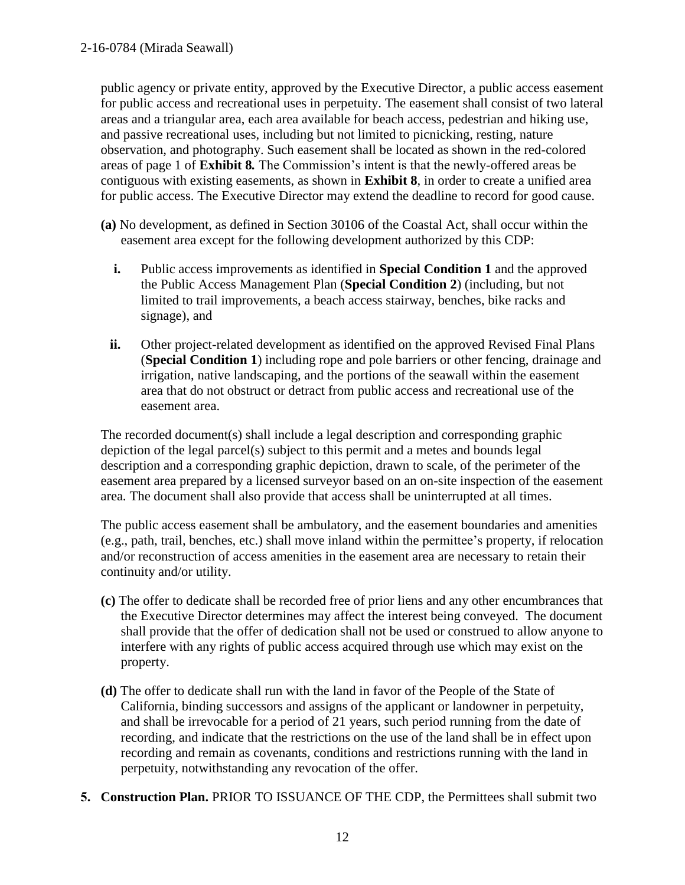public agency or private entity, approved by the Executive Director, a public access easement for public access and recreational uses in perpetuity. The easement shall consist of two lateral areas and a triangular area, each area available for beach access, pedestrian and hiking use, and passive recreational uses, including but not limited to picnicking, resting, nature observation, and photography. Such easement shall be located as shown in the red-colored areas of page 1 of **Exhibit 8***.* The Commission's intent is that the newly-offered areas be contiguous with existing easements, as shown in **Exhibit 8**, in order to create a unified area for public access. The Executive Director may extend the deadline to record for good cause.

- **(a)** No development, as defined in Section 30106 of the Coastal Act, shall occur within the easement area except for the following development authorized by this CDP:
	- **i.** Public access improvements as identified in **Special Condition 1** and the approved the Public Access Management Plan (**Special Condition 2**) (including, but not limited to trail improvements, a beach access stairway, benches, bike racks and signage), and
	- **ii.** Other project-related development as identified on the approved Revised Final Plans (**Special Condition 1**) including rope and pole barriers or other fencing, drainage and irrigation, native landscaping, and the portions of the seawall within the easement area that do not obstruct or detract from public access and recreational use of the easement area.

The recorded document(s) shall include a legal description and corresponding graphic depiction of the legal parcel(s) subject to this permit and a metes and bounds legal description and a corresponding graphic depiction, drawn to scale, of the perimeter of the easement area prepared by a licensed surveyor based on an on-site inspection of the easement area. The document shall also provide that access shall be uninterrupted at all times.

The public access easement shall be ambulatory, and the easement boundaries and amenities (e.g., path, trail, benches, etc.) shall move inland within the permittee's property, if relocation and/or reconstruction of access amenities in the easement area are necessary to retain their continuity and/or utility.

- **(c)** The offer to dedicate shall be recorded free of prior liens and any other encumbrances that the Executive Director determines may affect the interest being conveyed. The document shall provide that the offer of dedication shall not be used or construed to allow anyone to interfere with any rights of public access acquired through use which may exist on the property.
- **(d)** The offer to dedicate shall run with the land in favor of the People of the State of California, binding successors and assigns of the applicant or landowner in perpetuity, and shall be irrevocable for a period of 21 years, such period running from the date of recording, and indicate that the restrictions on the use of the land shall be in effect upon recording and remain as covenants, conditions and restrictions running with the land in perpetuity, notwithstanding any revocation of the offer.
- **5. Construction Plan.** PRIOR TO ISSUANCE OF THE CDP, the Permittees shall submit two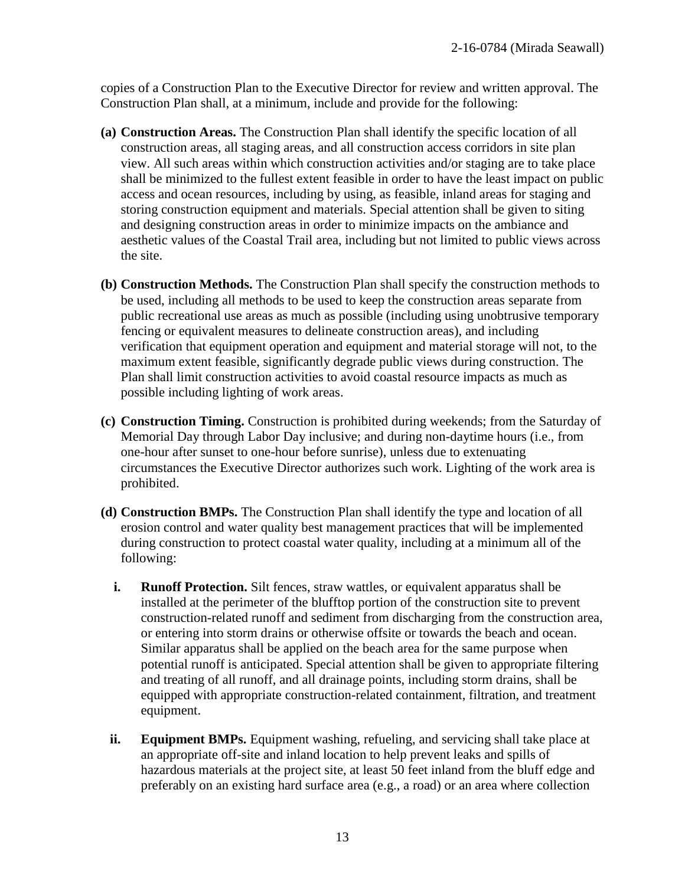copies of a Construction Plan to the Executive Director for review and written approval. The Construction Plan shall, at a minimum, include and provide for the following:

- **(a) Construction Areas.** The Construction Plan shall identify the specific location of all construction areas, all staging areas, and all construction access corridors in site plan view. All such areas within which construction activities and/or staging are to take place shall be minimized to the fullest extent feasible in order to have the least impact on public access and ocean resources, including by using, as feasible, inland areas for staging and storing construction equipment and materials. Special attention shall be given to siting and designing construction areas in order to minimize impacts on the ambiance and aesthetic values of the Coastal Trail area, including but not limited to public views across the site.
- **(b) Construction Methods.** The Construction Plan shall specify the construction methods to be used, including all methods to be used to keep the construction areas separate from public recreational use areas as much as possible (including using unobtrusive temporary fencing or equivalent measures to delineate construction areas), and including verification that equipment operation and equipment and material storage will not, to the maximum extent feasible, significantly degrade public views during construction. The Plan shall limit construction activities to avoid coastal resource impacts as much as possible including lighting of work areas.
- **(c) Construction Timing.** Construction is prohibited during weekends; from the Saturday of Memorial Day through Labor Day inclusive; and during non-daytime hours (i.e., from one-hour after sunset to one-hour before sunrise), unless due to extenuating circumstances the Executive Director authorizes such work. Lighting of the work area is prohibited.
- **(d) Construction BMPs.** The Construction Plan shall identify the type and location of all erosion control and water quality best management practices that will be implemented during construction to protect coastal water quality, including at a minimum all of the following:
	- **i. Runoff Protection.** Silt fences, straw wattles, or equivalent apparatus shall be installed at the perimeter of the blufftop portion of the construction site to prevent construction-related runoff and sediment from discharging from the construction area, or entering into storm drains or otherwise offsite or towards the beach and ocean. Similar apparatus shall be applied on the beach area for the same purpose when potential runoff is anticipated. Special attention shall be given to appropriate filtering and treating of all runoff, and all drainage points, including storm drains, shall be equipped with appropriate construction-related containment, filtration, and treatment equipment.
	- **ii. Equipment BMPs.** Equipment washing, refueling, and servicing shall take place at an appropriate off-site and inland location to help prevent leaks and spills of hazardous materials at the project site, at least 50 feet inland from the bluff edge and preferably on an existing hard surface area (e.g., a road) or an area where collection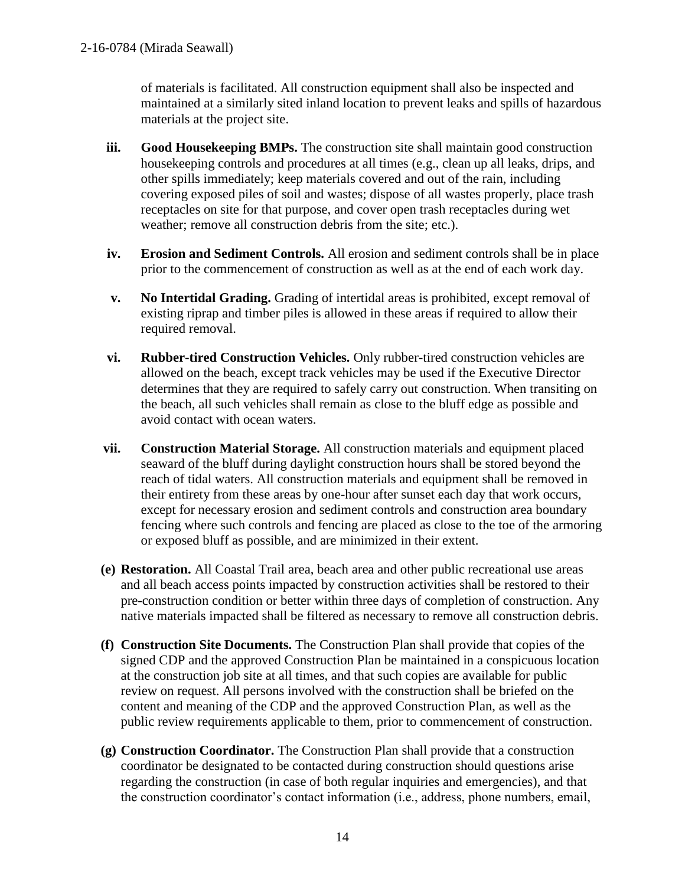of materials is facilitated. All construction equipment shall also be inspected and maintained at a similarly sited inland location to prevent leaks and spills of hazardous materials at the project site.

- **iii. Good Housekeeping BMPs.** The construction site shall maintain good construction housekeeping controls and procedures at all times (e.g., clean up all leaks, drips, and other spills immediately; keep materials covered and out of the rain, including covering exposed piles of soil and wastes; dispose of all wastes properly, place trash receptacles on site for that purpose, and cover open trash receptacles during wet weather; remove all construction debris from the site; etc.).
- **iv. Erosion and Sediment Controls.** All erosion and sediment controls shall be in place prior to the commencement of construction as well as at the end of each work day.
- **v. No Intertidal Grading.** Grading of intertidal areas is prohibited, except removal of existing riprap and timber piles is allowed in these areas if required to allow their required removal.
- **vi. Rubber-tired Construction Vehicles.** Only rubber-tired construction vehicles are allowed on the beach, except track vehicles may be used if the Executive Director determines that they are required to safely carry out construction. When transiting on the beach, all such vehicles shall remain as close to the bluff edge as possible and avoid contact with ocean waters.
- **vii. Construction Material Storage.** All construction materials and equipment placed seaward of the bluff during daylight construction hours shall be stored beyond the reach of tidal waters. All construction materials and equipment shall be removed in their entirety from these areas by one-hour after sunset each day that work occurs, except for necessary erosion and sediment controls and construction area boundary fencing where such controls and fencing are placed as close to the toe of the armoring or exposed bluff as possible, and are minimized in their extent.
- **(e) Restoration.** All Coastal Trail area, beach area and other public recreational use areas and all beach access points impacted by construction activities shall be restored to their pre-construction condition or better within three days of completion of construction. Any native materials impacted shall be filtered as necessary to remove all construction debris.
- **(f) Construction Site Documents.** The Construction Plan shall provide that copies of the signed CDP and the approved Construction Plan be maintained in a conspicuous location at the construction job site at all times, and that such copies are available for public review on request. All persons involved with the construction shall be briefed on the content and meaning of the CDP and the approved Construction Plan, as well as the public review requirements applicable to them, prior to commencement of construction.
- **(g) Construction Coordinator.** The Construction Plan shall provide that a construction coordinator be designated to be contacted during construction should questions arise regarding the construction (in case of both regular inquiries and emergencies), and that the construction coordinator's contact information (i.e., address, phone numbers, email,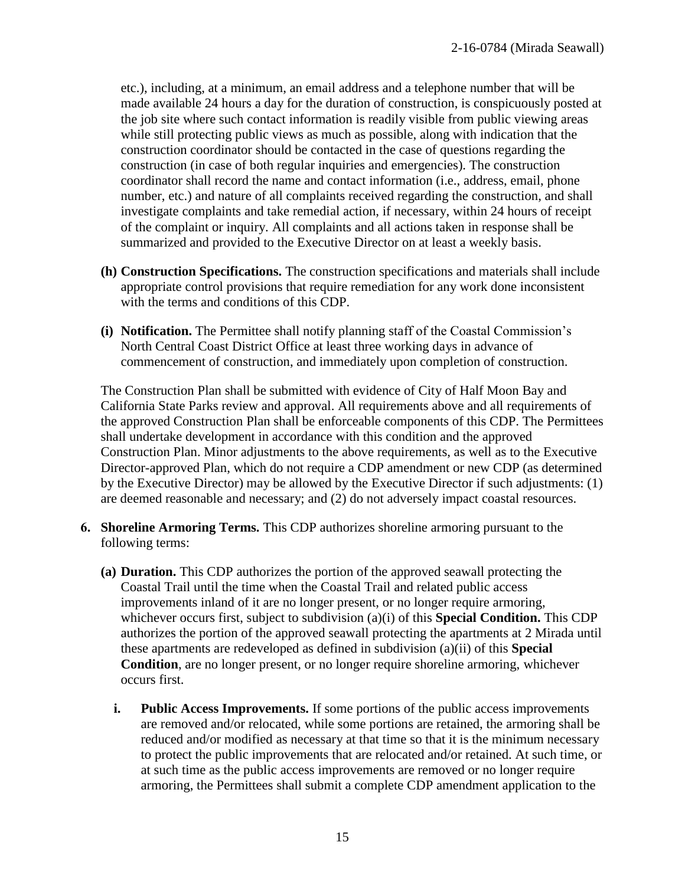etc.), including, at a minimum, an email address and a telephone number that will be made available 24 hours a day for the duration of construction, is conspicuously posted at the job site where such contact information is readily visible from public viewing areas while still protecting public views as much as possible, along with indication that the construction coordinator should be contacted in the case of questions regarding the construction (in case of both regular inquiries and emergencies). The construction coordinator shall record the name and contact information (i.e., address, email, phone number, etc.) and nature of all complaints received regarding the construction, and shall investigate complaints and take remedial action, if necessary, within 24 hours of receipt of the complaint or inquiry. All complaints and all actions taken in response shall be summarized and provided to the Executive Director on at least a weekly basis.

- **(h) Construction Specifications.** The construction specifications and materials shall include appropriate control provisions that require remediation for any work done inconsistent with the terms and conditions of this CDP.
- **(i) Notification.** The Permittee shall notify planning staff of the Coastal Commission's North Central Coast District Office at least three working days in advance of commencement of construction, and immediately upon completion of construction.

The Construction Plan shall be submitted with evidence of City of Half Moon Bay and California State Parks review and approval. All requirements above and all requirements of the approved Construction Plan shall be enforceable components of this CDP. The Permittees shall undertake development in accordance with this condition and the approved Construction Plan. Minor adjustments to the above requirements, as well as to the Executive Director-approved Plan, which do not require a CDP amendment or new CDP (as determined by the Executive Director) may be allowed by the Executive Director if such adjustments: (1) are deemed reasonable and necessary; and (2) do not adversely impact coastal resources.

- **6. Shoreline Armoring Terms.** This CDP authorizes shoreline armoring pursuant to the following terms:
	- **(a) Duration.** This CDP authorizes the portion of the approved seawall protecting the Coastal Trail until the time when the Coastal Trail and related public access improvements inland of it are no longer present, or no longer require armoring, whichever occurs first, subject to subdivision (a)(i) of this **Special Condition.** This CDP authorizes the portion of the approved seawall protecting the apartments at 2 Mirada until these apartments are redeveloped as defined in subdivision (a)(ii) of this **Special Condition**, are no longer present, or no longer require shoreline armoring, whichever occurs first.
		- **i. Public Access Improvements.** If some portions of the public access improvements are removed and/or relocated, while some portions are retained, the armoring shall be reduced and/or modified as necessary at that time so that it is the minimum necessary to protect the public improvements that are relocated and/or retained. At such time, or at such time as the public access improvements are removed or no longer require armoring, the Permittees shall submit a complete CDP amendment application to the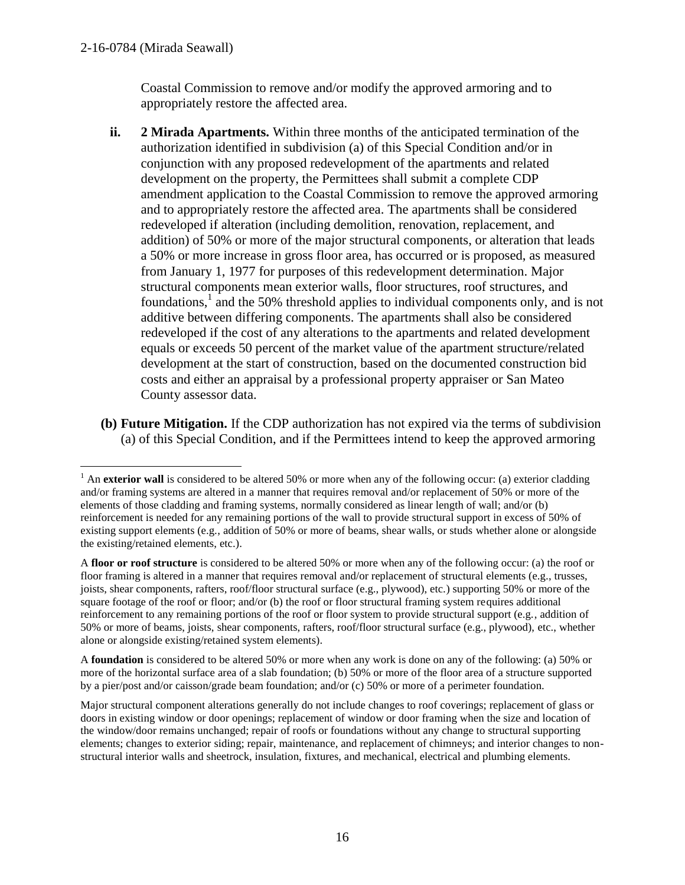$\overline{a}$ 

Coastal Commission to remove and/or modify the approved armoring and to appropriately restore the affected area.

- **ii. 2 Mirada Apartments.** Within three months of the anticipated termination of the authorization identified in subdivision (a) of this Special Condition and/or in conjunction with any proposed redevelopment of the apartments and related development on the property, the Permittees shall submit a complete CDP amendment application to the Coastal Commission to remove the approved armoring and to appropriately restore the affected area. The apartments shall be considered redeveloped if alteration (including demolition, renovation, replacement, and addition) of 50% or more of the major structural components, or alteration that leads a 50% or more increase in gross floor area, has occurred or is proposed, as measured from January 1, 1977 for purposes of this redevelopment determination. Major structural components mean exterior walls, floor structures, roof structures, and foundations,<sup>1</sup> and the 50% threshold applies to individual components only, and is not additive between differing components. The apartments shall also be considered redeveloped if the cost of any alterations to the apartments and related development equals or exceeds 50 percent of the market value of the apartment structure/related development at the start of construction, based on the documented construction bid costs and either an appraisal by a professional property appraiser or San Mateo County assessor data.
- **(b) Future Mitigation.** If the CDP authorization has not expired via the terms of subdivision (a) of this Special Condition, and if the Permittees intend to keep the approved armoring

A **foundation** is considered to be altered 50% or more when any work is done on any of the following: (a) 50% or more of the horizontal surface area of a slab foundation; (b) 50% or more of the floor area of a structure supported by a pier/post and/or caisson/grade beam foundation; and/or (c) 50% or more of a perimeter foundation.

<sup>&</sup>lt;sup>1</sup> An **exterior wall** is considered to be altered 50% or more when any of the following occur: (a) exterior cladding and/or framing systems are altered in a manner that requires removal and/or replacement of 50% or more of the elements of those cladding and framing systems, normally considered as linear length of wall; and/or (b) reinforcement is needed for any remaining portions of the wall to provide structural support in excess of 50% of existing support elements (e.g., addition of 50% or more of beams, shear walls, or studs whether alone or alongside the existing/retained elements, etc.).

A **floor or roof structure** is considered to be altered 50% or more when any of the following occur: (a) the roof or floor framing is altered in a manner that requires removal and/or replacement of structural elements (e.g., trusses, joists, shear components, rafters, roof/floor structural surface (e.g., plywood), etc.) supporting 50% or more of the square footage of the roof or floor; and/or (b) the roof or floor structural framing system requires additional reinforcement to any remaining portions of the roof or floor system to provide structural support (e.g., addition of 50% or more of beams, joists, shear components, rafters, roof/floor structural surface (e.g., plywood), etc., whether alone or alongside existing/retained system elements).

Major structural component alterations generally do not include changes to roof coverings; replacement of glass or doors in existing window or door openings; replacement of window or door framing when the size and location of the window/door remains unchanged; repair of roofs or foundations without any change to structural supporting elements; changes to exterior siding; repair, maintenance, and replacement of chimneys; and interior changes to nonstructural interior walls and sheetrock, insulation, fixtures, and mechanical, electrical and plumbing elements.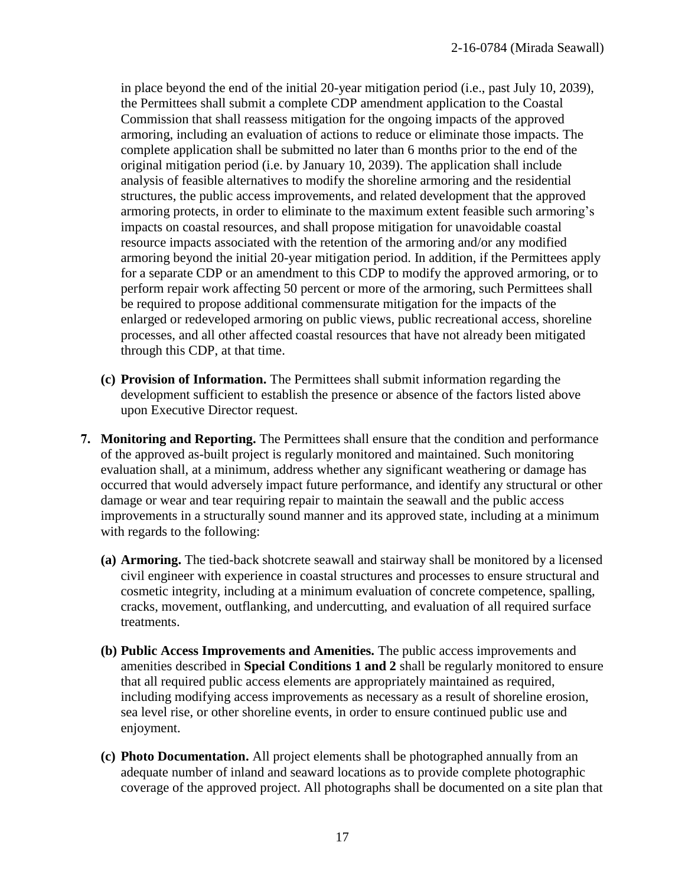in place beyond the end of the initial 20-year mitigation period (i.e., past July 10, 2039), the Permittees shall submit a complete CDP amendment application to the Coastal Commission that shall reassess mitigation for the ongoing impacts of the approved armoring, including an evaluation of actions to reduce or eliminate those impacts. The complete application shall be submitted no later than 6 months prior to the end of the original mitigation period (i.e. by January 10, 2039). The application shall include analysis of feasible alternatives to modify the shoreline armoring and the residential structures, the public access improvements, and related development that the approved armoring protects, in order to eliminate to the maximum extent feasible such armoring's impacts on coastal resources, and shall propose mitigation for unavoidable coastal resource impacts associated with the retention of the armoring and/or any modified armoring beyond the initial 20-year mitigation period. In addition, if the Permittees apply for a separate CDP or an amendment to this CDP to modify the approved armoring, or to perform repair work affecting 50 percent or more of the armoring, such Permittees shall be required to propose additional commensurate mitigation for the impacts of the enlarged or redeveloped armoring on public views, public recreational access, shoreline processes, and all other affected coastal resources that have not already been mitigated through this CDP, at that time.

- **(c) Provision of Information.** The Permittees shall submit information regarding the development sufficient to establish the presence or absence of the factors listed above upon Executive Director request.
- **7. Monitoring and Reporting.** The Permittees shall ensure that the condition and performance of the approved as-built project is regularly monitored and maintained. Such monitoring evaluation shall, at a minimum, address whether any significant weathering or damage has occurred that would adversely impact future performance, and identify any structural or other damage or wear and tear requiring repair to maintain the seawall and the public access improvements in a structurally sound manner and its approved state, including at a minimum with regards to the following:
	- **(a) Armoring.** The tied-back shotcrete seawall and stairway shall be monitored by a licensed civil engineer with experience in coastal structures and processes to ensure structural and cosmetic integrity, including at a minimum evaluation of concrete competence, spalling, cracks, movement, outflanking, and undercutting, and evaluation of all required surface treatments.
	- **(b) Public Access Improvements and Amenities.** The public access improvements and amenities described in **Special Conditions 1 and 2** shall be regularly monitored to ensure that all required public access elements are appropriately maintained as required, including modifying access improvements as necessary as a result of shoreline erosion, sea level rise, or other shoreline events, in order to ensure continued public use and enjoyment.
	- **(c) Photo Documentation.** All project elements shall be photographed annually from an adequate number of inland and seaward locations as to provide complete photographic coverage of the approved project. All photographs shall be documented on a site plan that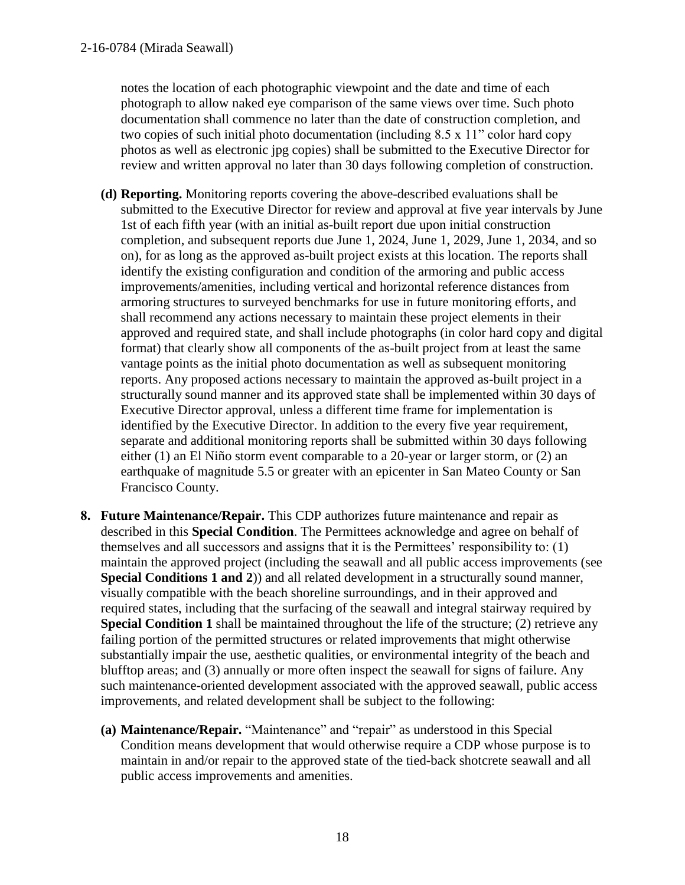notes the location of each photographic viewpoint and the date and time of each photograph to allow naked eye comparison of the same views over time. Such photo documentation shall commence no later than the date of construction completion, and two copies of such initial photo documentation (including 8.5 x 11" color hard copy photos as well as electronic jpg copies) shall be submitted to the Executive Director for review and written approval no later than 30 days following completion of construction.

- **(d) Reporting.** Monitoring reports covering the above-described evaluations shall be submitted to the Executive Director for review and approval at five year intervals by June 1st of each fifth year (with an initial as-built report due upon initial construction completion, and subsequent reports due June 1, 2024, June 1, 2029, June 1, 2034, and so on), for as long as the approved as-built project exists at this location. The reports shall identify the existing configuration and condition of the armoring and public access improvements/amenities, including vertical and horizontal reference distances from armoring structures to surveyed benchmarks for use in future monitoring efforts, and shall recommend any actions necessary to maintain these project elements in their approved and required state, and shall include photographs (in color hard copy and digital format) that clearly show all components of the as-built project from at least the same vantage points as the initial photo documentation as well as subsequent monitoring reports. Any proposed actions necessary to maintain the approved as-built project in a structurally sound manner and its approved state shall be implemented within 30 days of Executive Director approval, unless a different time frame for implementation is identified by the Executive Director. In addition to the every five year requirement, separate and additional monitoring reports shall be submitted within 30 days following either (1) an El Niño storm event comparable to a 20-year or larger storm, or (2) an earthquake of magnitude 5.5 or greater with an epicenter in San Mateo County or San Francisco County.
- **8. Future Maintenance/Repair.** This CDP authorizes future maintenance and repair as described in this **Special Condition**. The Permittees acknowledge and agree on behalf of themselves and all successors and assigns that it is the Permittees' responsibility to: (1) maintain the approved project (including the seawall and all public access improvements (see **Special Conditions 1 and 2**)) and all related development in a structurally sound manner, visually compatible with the beach shoreline surroundings, and in their approved and required states, including that the surfacing of the seawall and integral stairway required by **Special Condition 1** shall be maintained throughout the life of the structure; (2) retrieve any failing portion of the permitted structures or related improvements that might otherwise substantially impair the use, aesthetic qualities, or environmental integrity of the beach and blufftop areas; and (3) annually or more often inspect the seawall for signs of failure. Any such maintenance-oriented development associated with the approved seawall, public access improvements, and related development shall be subject to the following:
	- **(a) Maintenance/Repair.** "Maintenance" and "repair" as understood in this Special Condition means development that would otherwise require a CDP whose purpose is to maintain in and/or repair to the approved state of the tied-back shotcrete seawall and all public access improvements and amenities.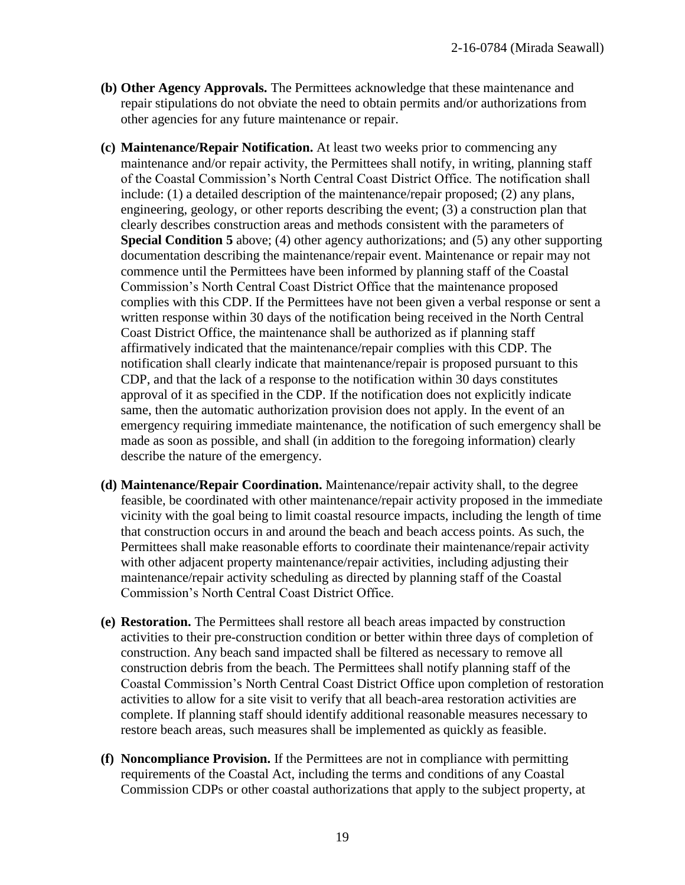- **(b) Other Agency Approvals.** The Permittees acknowledge that these maintenance and repair stipulations do not obviate the need to obtain permits and/or authorizations from other agencies for any future maintenance or repair.
- **(c) Maintenance/Repair Notification.** At least two weeks prior to commencing any maintenance and/or repair activity, the Permittees shall notify, in writing, planning staff of the Coastal Commission's North Central Coast District Office. The notification shall include: (1) a detailed description of the maintenance/repair proposed; (2) any plans, engineering, geology, or other reports describing the event; (3) a construction plan that clearly describes construction areas and methods consistent with the parameters of **Special Condition 5** above; (4) other agency authorizations; and (5) any other supporting documentation describing the maintenance/repair event. Maintenance or repair may not commence until the Permittees have been informed by planning staff of the Coastal Commission's North Central Coast District Office that the maintenance proposed complies with this CDP. If the Permittees have not been given a verbal response or sent a written response within 30 days of the notification being received in the North Central Coast District Office, the maintenance shall be authorized as if planning staff affirmatively indicated that the maintenance/repair complies with this CDP. The notification shall clearly indicate that maintenance/repair is proposed pursuant to this CDP, and that the lack of a response to the notification within 30 days constitutes approval of it as specified in the CDP. If the notification does not explicitly indicate same, then the automatic authorization provision does not apply. In the event of an emergency requiring immediate maintenance, the notification of such emergency shall be made as soon as possible, and shall (in addition to the foregoing information) clearly describe the nature of the emergency.
- **(d) Maintenance/Repair Coordination.** Maintenance/repair activity shall, to the degree feasible, be coordinated with other maintenance/repair activity proposed in the immediate vicinity with the goal being to limit coastal resource impacts, including the length of time that construction occurs in and around the beach and beach access points. As such, the Permittees shall make reasonable efforts to coordinate their maintenance/repair activity with other adjacent property maintenance/repair activities, including adjusting their maintenance/repair activity scheduling as directed by planning staff of the Coastal Commission's North Central Coast District Office.
- **(e) Restoration.** The Permittees shall restore all beach areas impacted by construction activities to their pre-construction condition or better within three days of completion of construction. Any beach sand impacted shall be filtered as necessary to remove all construction debris from the beach. The Permittees shall notify planning staff of the Coastal Commission's North Central Coast District Office upon completion of restoration activities to allow for a site visit to verify that all beach-area restoration activities are complete. If planning staff should identify additional reasonable measures necessary to restore beach areas, such measures shall be implemented as quickly as feasible.
- **(f) Noncompliance Provision.** If the Permittees are not in compliance with permitting requirements of the Coastal Act, including the terms and conditions of any Coastal Commission CDPs or other coastal authorizations that apply to the subject property, at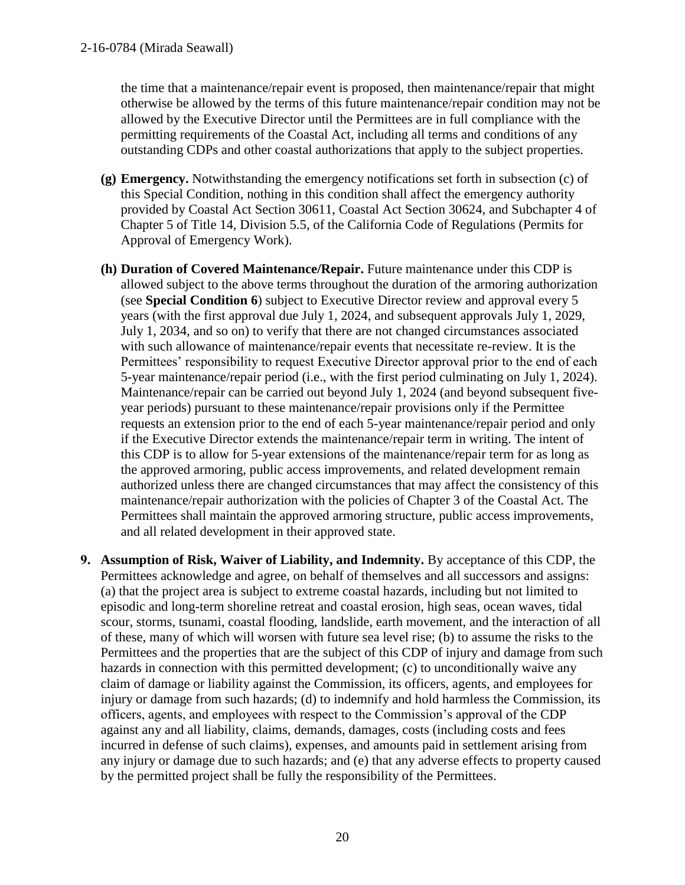the time that a maintenance/repair event is proposed, then maintenance/repair that might otherwise be allowed by the terms of this future maintenance/repair condition may not be allowed by the Executive Director until the Permittees are in full compliance with the permitting requirements of the Coastal Act, including all terms and conditions of any outstanding CDPs and other coastal authorizations that apply to the subject properties.

- **(g) Emergency.** Notwithstanding the emergency notifications set forth in subsection (c) of this Special Condition, nothing in this condition shall affect the emergency authority provided by Coastal Act Section 30611, Coastal Act Section 30624, and Subchapter 4 of Chapter 5 of Title 14, Division 5.5, of the California Code of Regulations (Permits for Approval of Emergency Work).
- **(h) Duration of Covered Maintenance/Repair.** Future maintenance under this CDP is allowed subject to the above terms throughout the duration of the armoring authorization (see **Special Condition 6**) subject to Executive Director review and approval every 5 years (with the first approval due July 1, 2024, and subsequent approvals July 1, 2029, July 1, 2034, and so on) to verify that there are not changed circumstances associated with such allowance of maintenance/repair events that necessitate re-review. It is the Permittees' responsibility to request Executive Director approval prior to the end of each 5-year maintenance/repair period (i.e., with the first period culminating on July 1, 2024). Maintenance/repair can be carried out beyond July 1, 2024 (and beyond subsequent fiveyear periods) pursuant to these maintenance/repair provisions only if the Permittee requests an extension prior to the end of each 5-year maintenance/repair period and only if the Executive Director extends the maintenance/repair term in writing. The intent of this CDP is to allow for 5-year extensions of the maintenance/repair term for as long as the approved armoring, public access improvements, and related development remain authorized unless there are changed circumstances that may affect the consistency of this maintenance/repair authorization with the policies of Chapter 3 of the Coastal Act. The Permittees shall maintain the approved armoring structure, public access improvements, and all related development in their approved state.
- **9. Assumption of Risk, Waiver of Liability, and Indemnity.** By acceptance of this CDP, the Permittees acknowledge and agree, on behalf of themselves and all successors and assigns: (a) that the project area is subject to extreme coastal hazards, including but not limited to episodic and long-term shoreline retreat and coastal erosion, high seas, ocean waves, tidal scour, storms, tsunami, coastal flooding, landslide, earth movement, and the interaction of all of these, many of which will worsen with future sea level rise; (b) to assume the risks to the Permittees and the properties that are the subject of this CDP of injury and damage from such hazards in connection with this permitted development; (c) to unconditionally waive any claim of damage or liability against the Commission, its officers, agents, and employees for injury or damage from such hazards; (d) to indemnify and hold harmless the Commission, its officers, agents, and employees with respect to the Commission's approval of the CDP against any and all liability, claims, demands, damages, costs (including costs and fees incurred in defense of such claims), expenses, and amounts paid in settlement arising from any injury or damage due to such hazards; and (e) that any adverse effects to property caused by the permitted project shall be fully the responsibility of the Permittees.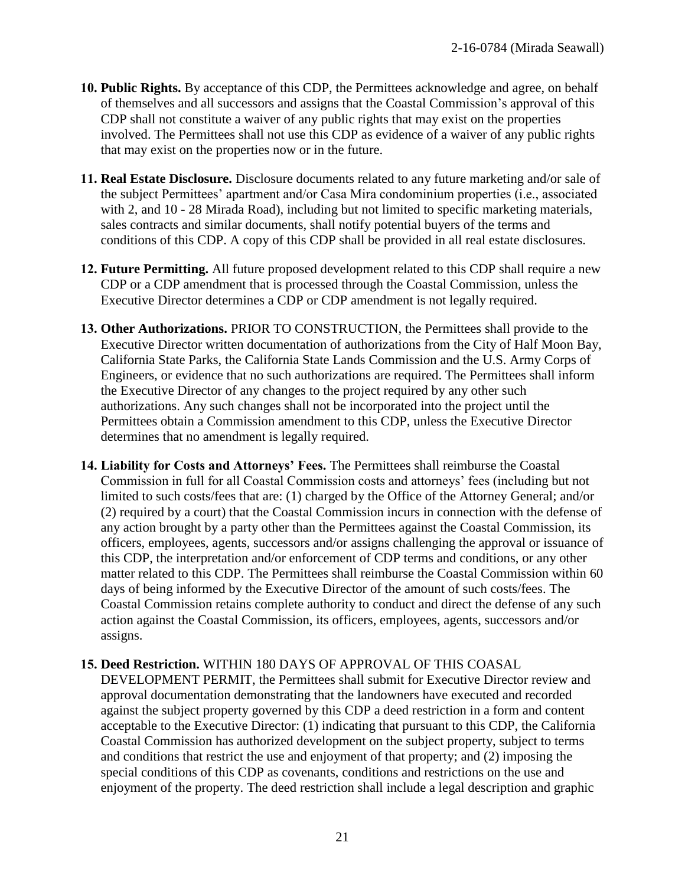- **10. Public Rights.** By acceptance of this CDP, the Permittees acknowledge and agree, on behalf of themselves and all successors and assigns that the Coastal Commission's approval of this CDP shall not constitute a waiver of any public rights that may exist on the properties involved. The Permittees shall not use this CDP as evidence of a waiver of any public rights that may exist on the properties now or in the future.
- **11. Real Estate Disclosure.** Disclosure documents related to any future marketing and/or sale of the subject Permittees' apartment and/or Casa Mira condominium properties (i.e., associated with 2, and 10 - 28 Mirada Road), including but not limited to specific marketing materials, sales contracts and similar documents, shall notify potential buyers of the terms and conditions of this CDP. A copy of this CDP shall be provided in all real estate disclosures.
- **12. Future Permitting.** All future proposed development related to this CDP shall require a new CDP or a CDP amendment that is processed through the Coastal Commission, unless the Executive Director determines a CDP or CDP amendment is not legally required.
- **13. Other Authorizations.** PRIOR TO CONSTRUCTION, the Permittees shall provide to the Executive Director written documentation of authorizations from the City of Half Moon Bay, California State Parks, the California State Lands Commission and the U.S. Army Corps of Engineers, or evidence that no such authorizations are required. The Permittees shall inform the Executive Director of any changes to the project required by any other such authorizations. Any such changes shall not be incorporated into the project until the Permittees obtain a Commission amendment to this CDP, unless the Executive Director determines that no amendment is legally required.
- **14. Liability for Costs and Attorneys' Fees.** The Permittees shall reimburse the Coastal Commission in full for all Coastal Commission costs and attorneys' fees (including but not limited to such costs/fees that are: (1) charged by the Office of the Attorney General; and/or (2) required by a court) that the Coastal Commission incurs in connection with the defense of any action brought by a party other than the Permittees against the Coastal Commission, its officers, employees, agents, successors and/or assigns challenging the approval or issuance of this CDP, the interpretation and/or enforcement of CDP terms and conditions, or any other matter related to this CDP. The Permittees shall reimburse the Coastal Commission within 60 days of being informed by the Executive Director of the amount of such costs/fees. The Coastal Commission retains complete authority to conduct and direct the defense of any such action against the Coastal Commission, its officers, employees, agents, successors and/or assigns.

#### **15. Deed Restriction.** WITHIN 180 DAYS OF APPROVAL OF THIS COASAL

DEVELOPMENT PERMIT, the Permittees shall submit for Executive Director review and approval documentation demonstrating that the landowners have executed and recorded against the subject property governed by this CDP a deed restriction in a form and content acceptable to the Executive Director: (1) indicating that pursuant to this CDP, the California Coastal Commission has authorized development on the subject property, subject to terms and conditions that restrict the use and enjoyment of that property; and (2) imposing the special conditions of this CDP as covenants, conditions and restrictions on the use and enjoyment of the property. The deed restriction shall include a legal description and graphic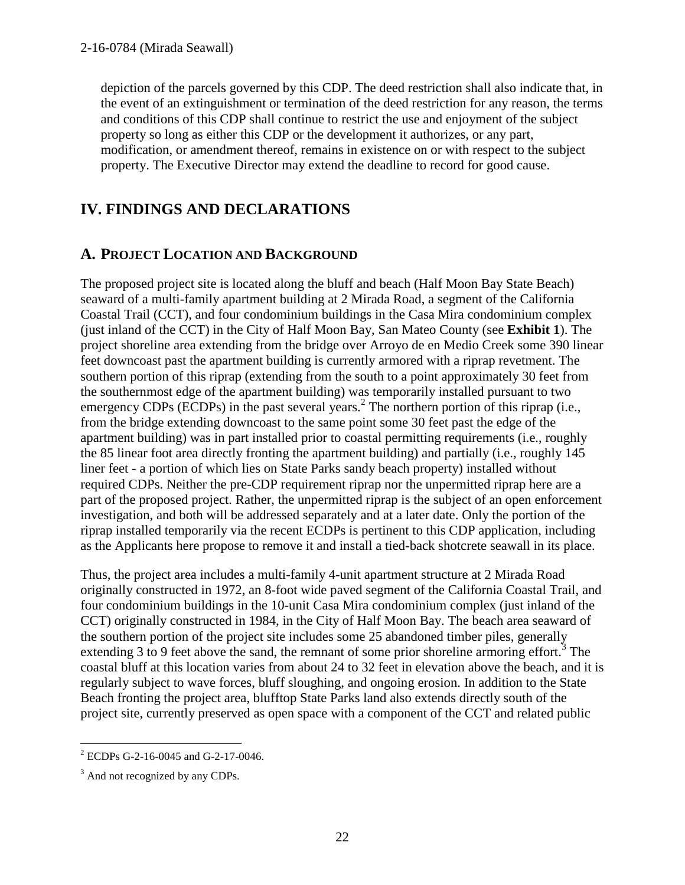depiction of the parcels governed by this CDP. The deed restriction shall also indicate that, in the event of an extinguishment or termination of the deed restriction for any reason, the terms and conditions of this CDP shall continue to restrict the use and enjoyment of the subject property so long as either this CDP or the development it authorizes, or any part, modification, or amendment thereof, remains in existence on or with respect to the subject property. The Executive Director may extend the deadline to record for good cause.

# **IV. FINDINGS AND DECLARATIONS**

# **A. PROJECT LOCATION AND BACKGROUND**

The proposed project site is located along the bluff and beach (Half Moon Bay State Beach) seaward of a multi-family apartment building at 2 Mirada Road, a segment of the California Coastal Trail (CCT), and four condominium buildings in the Casa Mira condominium complex (just inland of the CCT) in the City of Half Moon Bay, San Mateo County (see **Exhibit 1**). The project shoreline area extending from the bridge over Arroyo de en Medio Creek some 390 linear feet downcoast past the apartment building is currently armored with a riprap revetment. The southern portion of this riprap (extending from the south to a point approximately 30 feet from the southernmost edge of the apartment building) was temporarily installed pursuant to two emergency CDPs (ECDPs) in the past several years.<sup>2</sup> The northern portion of this riprap (i.e., from the bridge extending downcoast to the same point some 30 feet past the edge of the apartment building) was in part installed prior to coastal permitting requirements (i.e., roughly the 85 linear foot area directly fronting the apartment building) and partially (i.e., roughly 145 liner feet - a portion of which lies on State Parks sandy beach property) installed without required CDPs. Neither the pre-CDP requirement riprap nor the unpermitted riprap here are a part of the proposed project. Rather, the unpermitted riprap is the subject of an open enforcement investigation, and both will be addressed separately and at a later date. Only the portion of the riprap installed temporarily via the recent ECDPs is pertinent to this CDP application, including as the Applicants here propose to remove it and install a tied-back shotcrete seawall in its place.

Thus, the project area includes a multi-family 4-unit apartment structure at 2 Mirada Road originally constructed in 1972, an 8-foot wide paved segment of the California Coastal Trail, and four condominium buildings in the 10-unit Casa Mira condominium complex (just inland of the CCT) originally constructed in 1984, in the City of Half Moon Bay. The beach area seaward of the southern portion of the project site includes some 25 abandoned timber piles, generally extending  $3$  to  $9$  feet above the sand, the remnant of some prior shoreline armoring effort.<sup>3</sup> The coastal bluff at this location varies from about 24 to 32 feet in elevation above the beach, and it is regularly subject to wave forces, bluff sloughing, and ongoing erosion. In addition to the State Beach fronting the project area, blufftop State Parks land also extends directly south of the project site, currently preserved as open space with a component of the CCT and related public

 $\overline{a}$  $2$  ECDPs G-2-16-0045 and G-2-17-0046.

<sup>&</sup>lt;sup>3</sup> And not recognized by any CDPs.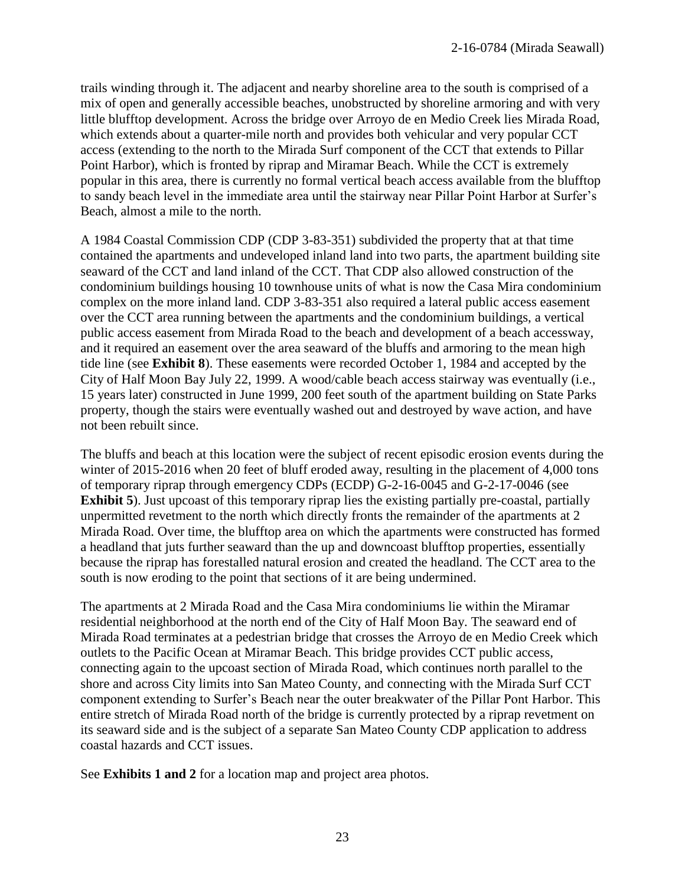trails winding through it. The adjacent and nearby shoreline area to the south is comprised of a mix of open and generally accessible beaches, unobstructed by shoreline armoring and with very little blufftop development. Across the bridge over Arroyo de en Medio Creek lies Mirada Road, which extends about a quarter-mile north and provides both vehicular and very popular CCT access (extending to the north to the Mirada Surf component of the CCT that extends to Pillar Point Harbor), which is fronted by riprap and Miramar Beach. While the CCT is extremely popular in this area, there is currently no formal vertical beach access available from the blufftop to sandy beach level in the immediate area until the stairway near Pillar Point Harbor at Surfer's Beach, almost a mile to the north.

A 1984 Coastal Commission CDP (CDP 3-83-351) subdivided the property that at that time contained the apartments and undeveloped inland land into two parts, the apartment building site seaward of the CCT and land inland of the CCT. That CDP also allowed construction of the condominium buildings housing 10 townhouse units of what is now the Casa Mira condominium complex on the more inland land. CDP 3-83-351 also required a lateral public access easement over the CCT area running between the apartments and the condominium buildings, a vertical public access easement from Mirada Road to the beach and development of a beach accessway, and it required an easement over the area seaward of the bluffs and armoring to the mean high tide line (see **Exhibit 8**). These easements were recorded October 1, 1984 and accepted by the City of Half Moon Bay July 22, 1999. A wood/cable beach access stairway was eventually (i.e., 15 years later) constructed in June 1999, 200 feet south of the apartment building on State Parks property, though the stairs were eventually washed out and destroyed by wave action, and have not been rebuilt since.

The bluffs and beach at this location were the subject of recent episodic erosion events during the winter of 2015-2016 when 20 feet of bluff eroded away, resulting in the placement of 4,000 tons of temporary riprap through emergency CDPs (ECDP) G-2-16-0045 and G-2-17-0046 (see **Exhibit 5**). Just upcoast of this temporary riprap lies the existing partially pre-coastal, partially unpermitted revetment to the north which directly fronts the remainder of the apartments at 2 Mirada Road. Over time, the blufftop area on which the apartments were constructed has formed a headland that juts further seaward than the up and downcoast blufftop properties, essentially because the riprap has forestalled natural erosion and created the headland. The CCT area to the south is now eroding to the point that sections of it are being undermined.

The apartments at 2 Mirada Road and the Casa Mira condominiums lie within the Miramar residential neighborhood at the north end of the City of Half Moon Bay. The seaward end of Mirada Road terminates at a pedestrian bridge that crosses the Arroyo de en Medio Creek which outlets to the Pacific Ocean at Miramar Beach. This bridge provides CCT public access, connecting again to the upcoast section of Mirada Road, which continues north parallel to the shore and across City limits into San Mateo County, and connecting with the Mirada Surf CCT component extending to Surfer's Beach near the outer breakwater of the Pillar Pont Harbor. This entire stretch of Mirada Road north of the bridge is currently protected by a riprap revetment on its seaward side and is the subject of a separate San Mateo County CDP application to address coastal hazards and CCT issues.

See **Exhibits 1 and 2** for a location map and project area photos.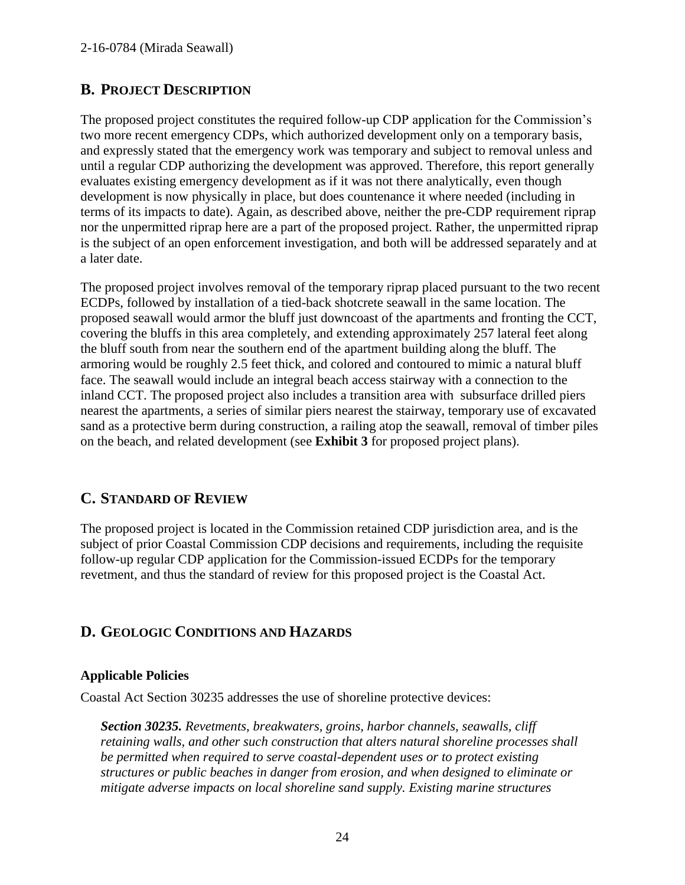# **B. PROJECT DESCRIPTION**

The proposed project constitutes the required follow-up CDP application for the Commission's two more recent emergency CDPs, which authorized development only on a temporary basis, and expressly stated that the emergency work was temporary and subject to removal unless and until a regular CDP authorizing the development was approved. Therefore, this report generally evaluates existing emergency development as if it was not there analytically, even though development is now physically in place, but does countenance it where needed (including in terms of its impacts to date). Again, as described above, neither the pre-CDP requirement riprap nor the unpermitted riprap here are a part of the proposed project. Rather, the unpermitted riprap is the subject of an open enforcement investigation, and both will be addressed separately and at a later date.

The proposed project involves removal of the temporary riprap placed pursuant to the two recent ECDPs, followed by installation of a tied-back shotcrete seawall in the same location. The proposed seawall would armor the bluff just downcoast of the apartments and fronting the CCT, covering the bluffs in this area completely, and extending approximately 257 lateral feet along the bluff south from near the southern end of the apartment building along the bluff. The armoring would be roughly 2.5 feet thick, and colored and contoured to mimic a natural bluff face. The seawall would include an integral beach access stairway with a connection to the inland CCT. The proposed project also includes a transition area with subsurface drilled piers nearest the apartments, a series of similar piers nearest the stairway, temporary use of excavated sand as a protective berm during construction, a railing atop the seawall, removal of timber piles on the beach, and related development (see **Exhibit 3** for proposed project plans).

# **C. STANDARD OF REVIEW**

The proposed project is located in the Commission retained CDP jurisdiction area, and is the subject of prior Coastal Commission CDP decisions and requirements, including the requisite follow-up regular CDP application for the Commission-issued ECDPs for the temporary revetment, and thus the standard of review for this proposed project is the Coastal Act.

# **D. GEOLOGIC CONDITIONS AND HAZARDS**

### **Applicable Policies**

Coastal Act Section 30235 addresses the use of shoreline protective devices:

*Section 30235. Revetments, breakwaters, groins, harbor channels, seawalls, cliff retaining walls, and other such construction that alters natural shoreline processes shall be permitted when required to serve coastal-dependent uses or to protect existing structures or public beaches in danger from erosion, and when designed to eliminate or mitigate adverse impacts on local shoreline sand supply. Existing marine structures*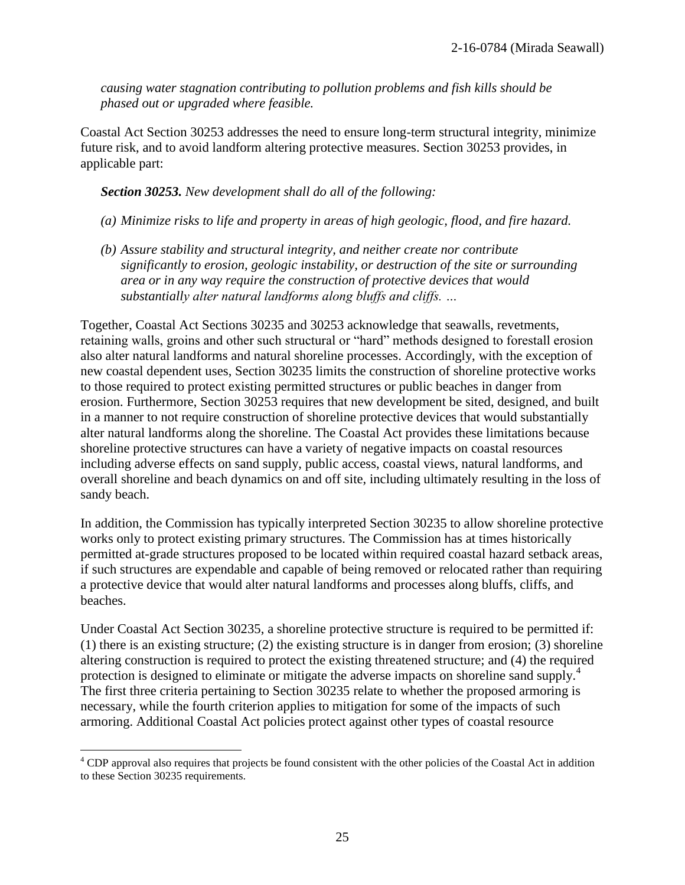*causing water stagnation contributing to pollution problems and fish kills should be phased out or upgraded where feasible.*

Coastal Act Section 30253 addresses the need to ensure long-term structural integrity, minimize future risk, and to avoid landform altering protective measures. Section 30253 provides, in applicable part:

#### *Section 30253. New development shall do all of the following:*

- *(a) Minimize risks to life and property in areas of high geologic, flood, and fire hazard.*
- *(b) Assure stability and structural integrity, and neither create nor contribute significantly to erosion, geologic instability, or destruction of the site or surrounding area or in any way require the construction of protective devices that would substantially alter natural landforms along bluffs and cliffs. …*

Together, Coastal Act Sections 30235 and 30253 acknowledge that seawalls, revetments, retaining walls, groins and other such structural or "hard" methods designed to forestall erosion also alter natural landforms and natural shoreline processes. Accordingly, with the exception of new coastal dependent uses, Section 30235 limits the construction of shoreline protective works to those required to protect existing permitted structures or public beaches in danger from erosion. Furthermore, Section 30253 requires that new development be sited, designed, and built in a manner to not require construction of shoreline protective devices that would substantially alter natural landforms along the shoreline. The Coastal Act provides these limitations because shoreline protective structures can have a variety of negative impacts on coastal resources including adverse effects on sand supply, public access, coastal views, natural landforms, and overall shoreline and beach dynamics on and off site, including ultimately resulting in the loss of sandy beach.

In addition, the Commission has typically interpreted Section 30235 to allow shoreline protective works only to protect existing primary structures. The Commission has at times historically permitted at-grade structures proposed to be located within required coastal hazard setback areas, if such structures are expendable and capable of being removed or relocated rather than requiring a protective device that would alter natural landforms and processes along bluffs, cliffs, and beaches.

Under Coastal Act Section 30235, a shoreline protective structure is required to be permitted if: (1) there is an existing structure; (2) the existing structure is in danger from erosion; (3) shoreline altering construction is required to protect the existing threatened structure; and (4) the required protection is designed to eliminate or mitigate the adverse impacts on shoreline sand supply.<sup>4</sup> The first three criteria pertaining to Section 30235 relate to whether the proposed armoring is necessary, while the fourth criterion applies to mitigation for some of the impacts of such armoring. Additional Coastal Act policies protect against other types of coastal resource

 $\overline{a}$ 

<sup>&</sup>lt;sup>4</sup> CDP approval also requires that projects be found consistent with the other policies of the Coastal Act in addition to these Section 30235 requirements.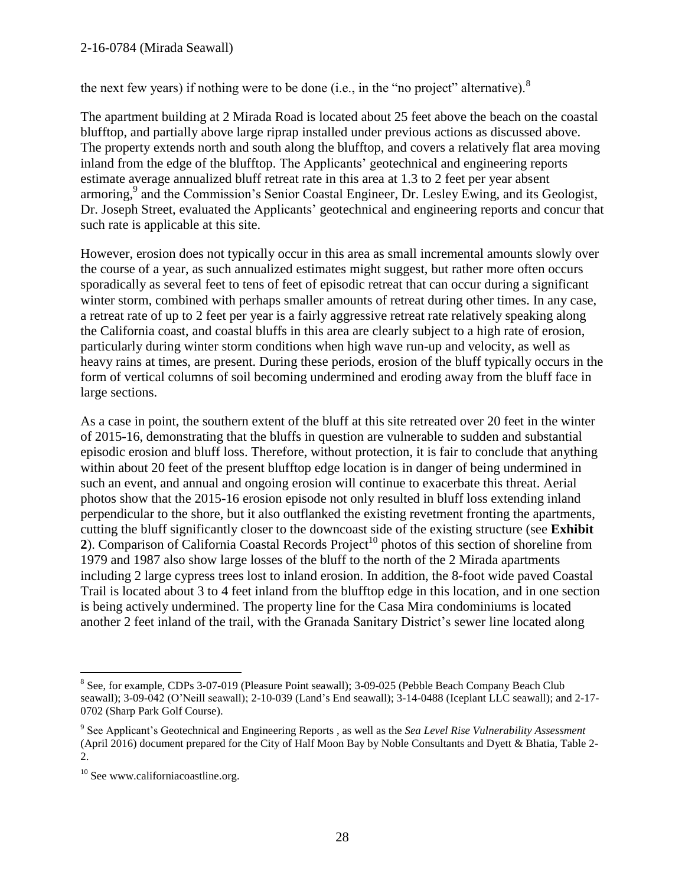#### 2-16-0784 (Mirada Seawall)

the next few years) if nothing were to be done (i.e., in the "no project" alternative).  $8$ 

The apartment building at 2 Mirada Road is located about 25 feet above the beach on the coastal blufftop, and partially above large riprap installed under previous actions as discussed above. The property extends north and south along the blufftop, and covers a relatively flat area moving inland from the edge of the blufftop. The Applicants' geotechnical and engineering reports estimate average annualized bluff retreat rate in this area at 1.3 to 2 feet per year absent armoring, 9 and the Commission's Senior Coastal Engineer, Dr. Lesley Ewing, and its Geologist, Dr. Joseph Street, evaluated the Applicants' geotechnical and engineering reports and concur that such rate is applicable at this site.

However, erosion does not typically occur in this area as small incremental amounts slowly over the course of a year, as such annualized estimates might suggest, but rather more often occurs sporadically as several feet to tens of feet of episodic retreat that can occur during a significant winter storm, combined with perhaps smaller amounts of retreat during other times. In any case, a retreat rate of up to 2 feet per year is a fairly aggressive retreat rate relatively speaking along the California coast, and coastal bluffs in this area are clearly subject to a high rate of erosion, particularly during winter storm conditions when high wave run-up and velocity, as well as heavy rains at times, are present. During these periods, erosion of the bluff typically occurs in the form of vertical columns of soil becoming undermined and eroding away from the bluff face in large sections.

As a case in point, the southern extent of the bluff at this site retreated over 20 feet in the winter of 2015-16, demonstrating that the bluffs in question are vulnerable to sudden and substantial episodic erosion and bluff loss. Therefore, without protection, it is fair to conclude that anything within about 20 feet of the present blufftop edge location is in danger of being undermined in such an event, and annual and ongoing erosion will continue to exacerbate this threat. Aerial photos show that the 2015-16 erosion episode not only resulted in bluff loss extending inland perpendicular to the shore, but it also outflanked the existing revetment fronting the apartments, cutting the bluff significantly closer to the downcoast side of the existing structure (see **Exhibit 2**). Comparison of California Coastal Records Project<sup>10</sup> photos of this section of shoreline from 1979 and 1987 also show large losses of the bluff to the north of the 2 Mirada apartments including 2 large cypress trees lost to inland erosion. In addition, the 8-foot wide paved Coastal Trail is located about 3 to 4 feet inland from the blufftop edge in this location, and in one section is being actively undermined. The property line for the Casa Mira condominiums is located another 2 feet inland of the trail, with the Granada Sanitary District's sewer line located along

 $\overline{a}$ 

<sup>&</sup>lt;sup>8</sup> See, for example, CDPs 3-07-019 (Pleasure Point seawall); 3-09-025 (Pebble Beach Company Beach Club seawall); 3-09-042 (O'Neill seawall); 2-10-039 (Land's End seawall); 3-14-0488 (Iceplant LLC seawall); and 2-17- 0702 (Sharp Park Golf Course).

<sup>9</sup> See Applicant's Geotechnical and Engineering Reports , as well as the *Sea Level Rise Vulnerability Assessment* (April 2016) document prepared for the City of Half Moon Bay by Noble Consultants and Dyett & Bhatia, Table 2- 2.

<sup>&</sup>lt;sup>10</sup> See www.californiacoastline.org.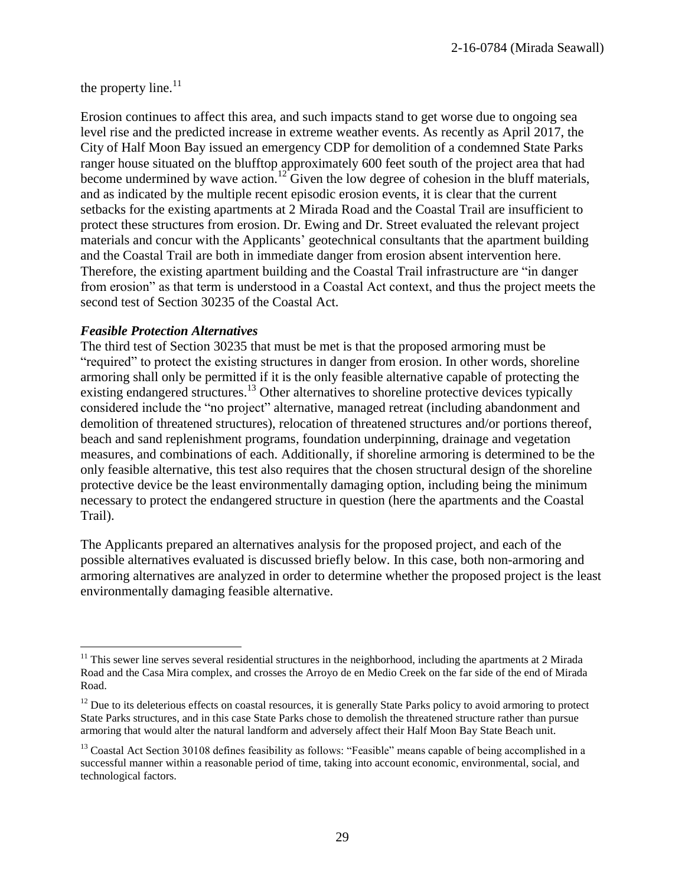the property line. $11$ 

Erosion continues to affect this area, and such impacts stand to get worse due to ongoing sea level rise and the predicted increase in extreme weather events. As recently as April 2017, the City of Half Moon Bay issued an emergency CDP for demolition of a condemned State Parks ranger house situated on the blufftop approximately 600 feet south of the project area that had become undermined by wave action.<sup>12</sup> Given the low degree of cohesion in the bluff materials, and as indicated by the multiple recent episodic erosion events, it is clear that the current setbacks for the existing apartments at 2 Mirada Road and the Coastal Trail are insufficient to protect these structures from erosion. Dr. Ewing and Dr. Street evaluated the relevant project materials and concur with the Applicants' geotechnical consultants that the apartment building and the Coastal Trail are both in immediate danger from erosion absent intervention here. Therefore, the existing apartment building and the Coastal Trail infrastructure are "in danger from erosion" as that term is understood in a Coastal Act context, and thus the project meets the second test of Section 30235 of the Coastal Act.

#### *Feasible Protection Alternatives*

 $\overline{a}$ 

The third test of Section 30235 that must be met is that the proposed armoring must be "required" to protect the existing structures in danger from erosion. In other words, shoreline armoring shall only be permitted if it is the only feasible alternative capable of protecting the existing endangered structures.<sup>13</sup> Other alternatives to shoreline protective devices typically considered include the "no project" alternative, managed retreat (including abandonment and demolition of threatened structures), relocation of threatened structures and/or portions thereof, beach and sand replenishment programs, foundation underpinning, drainage and vegetation measures, and combinations of each. Additionally, if shoreline armoring is determined to be the only feasible alternative, this test also requires that the chosen structural design of the shoreline protective device be the least environmentally damaging option, including being the minimum necessary to protect the endangered structure in question (here the apartments and the Coastal Trail).

The Applicants prepared an alternatives analysis for the proposed project, and each of the possible alternatives evaluated is discussed briefly below. In this case, both non-armoring and armoring alternatives are analyzed in order to determine whether the proposed project is the least environmentally damaging feasible alternative.

 $11$  This sewer line serves several residential structures in the neighborhood, including the apartments at 2 Mirada Road and the Casa Mira complex, and crosses the Arroyo de en Medio Creek on the far side of the end of Mirada Road.

 $12$  Due to its deleterious effects on coastal resources, it is generally State Parks policy to avoid armoring to protect State Parks structures, and in this case State Parks chose to demolish the threatened structure rather than pursue armoring that would alter the natural landform and adversely affect their Half Moon Bay State Beach unit.

 $13$  Coastal Act Section 30108 defines feasibility as follows: "Feasible" means capable of being accomplished in a successful manner within a reasonable period of time, taking into account economic, environmental, social, and technological factors.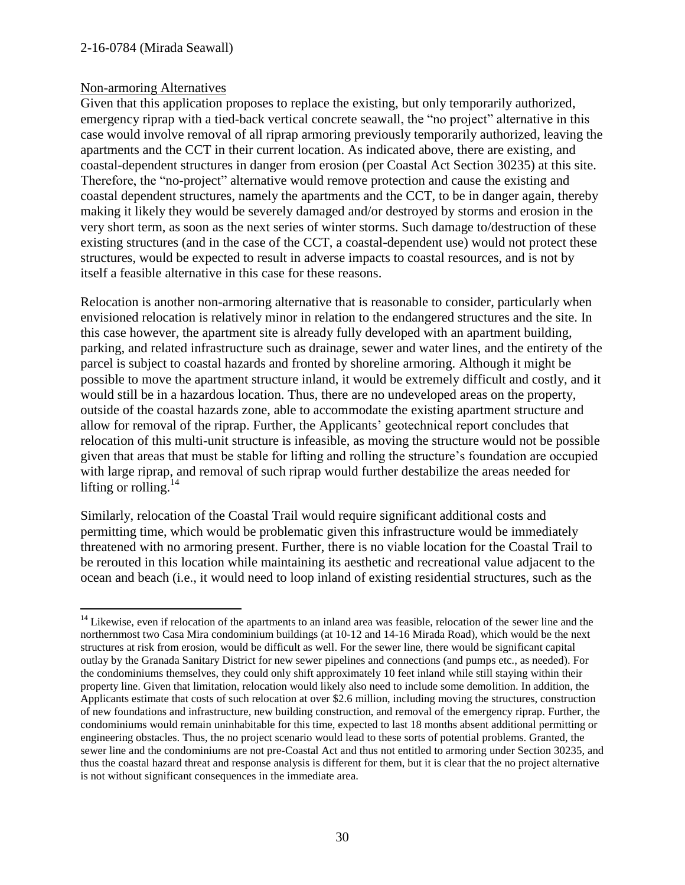#### 2-16-0784 (Mirada Seawall)

#### Non-armoring Alternatives

 $\overline{a}$ 

Given that this application proposes to replace the existing, but only temporarily authorized, emergency riprap with a tied-back vertical concrete seawall, the "no project" alternative in this case would involve removal of all riprap armoring previously temporarily authorized, leaving the apartments and the CCT in their current location. As indicated above, there are existing, and coastal-dependent structures in danger from erosion (per Coastal Act Section 30235) at this site. Therefore, the "no-project" alternative would remove protection and cause the existing and coastal dependent structures, namely the apartments and the CCT, to be in danger again, thereby making it likely they would be severely damaged and/or destroyed by storms and erosion in the very short term, as soon as the next series of winter storms. Such damage to/destruction of these existing structures (and in the case of the CCT, a coastal-dependent use) would not protect these structures, would be expected to result in adverse impacts to coastal resources, and is not by itself a feasible alternative in this case for these reasons.

Relocation is another non-armoring alternative that is reasonable to consider, particularly when envisioned relocation is relatively minor in relation to the endangered structures and the site. In this case however, the apartment site is already fully developed with an apartment building, parking, and related infrastructure such as drainage, sewer and water lines, and the entirety of the parcel is subject to coastal hazards and fronted by shoreline armoring. Although it might be possible to move the apartment structure inland, it would be extremely difficult and costly, and it would still be in a hazardous location. Thus, there are no undeveloped areas on the property, outside of the coastal hazards zone, able to accommodate the existing apartment structure and allow for removal of the riprap. Further, the Applicants' geotechnical report concludes that relocation of this multi-unit structure is infeasible, as moving the structure would not be possible given that areas that must be stable for lifting and rolling the structure's foundation are occupied with large riprap, and removal of such riprap would further destabilize the areas needed for lifting or rolling.<sup>14</sup>

Similarly, relocation of the Coastal Trail would require significant additional costs and permitting time, which would be problematic given this infrastructure would be immediately threatened with no armoring present. Further, there is no viable location for the Coastal Trail to be rerouted in this location while maintaining its aesthetic and recreational value adjacent to the ocean and beach (i.e., it would need to loop inland of existing residential structures, such as the

<sup>&</sup>lt;sup>14</sup> Likewise, even if relocation of the apartments to an inland area was feasible, relocation of the sewer line and the northernmost two Casa Mira condominium buildings (at 10-12 and 14-16 Mirada Road), which would be the next structures at risk from erosion, would be difficult as well. For the sewer line, there would be significant capital outlay by the Granada Sanitary District for new sewer pipelines and connections (and pumps etc., as needed). For the condominiums themselves, they could only shift approximately 10 feet inland while still staying within their property line. Given that limitation, relocation would likely also need to include some demolition. In addition, the Applicants estimate that costs of such relocation at over \$2.6 million, including moving the structures, construction of new foundations and infrastructure, new building construction, and removal of the emergency riprap. Further, the condominiums would remain uninhabitable for this time, expected to last 18 months absent additional permitting or engineering obstacles. Thus, the no project scenario would lead to these sorts of potential problems. Granted, the sewer line and the condominiums are not pre-Coastal Act and thus not entitled to armoring under Section 30235, and thus the coastal hazard threat and response analysis is different for them, but it is clear that the no project alternative is not without significant consequences in the immediate area.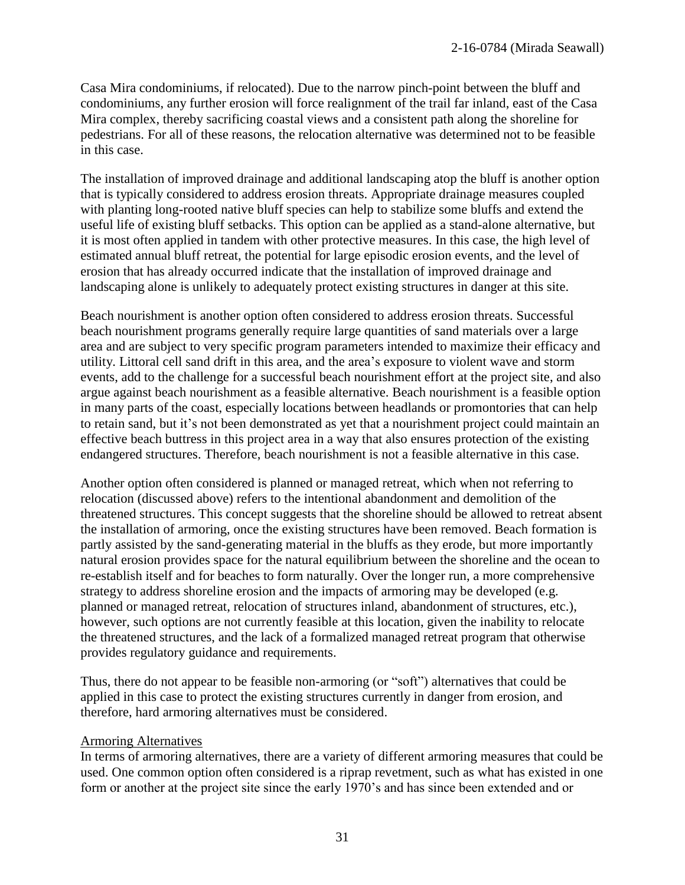Casa Mira condominiums, if relocated). Due to the narrow pinch-point between the bluff and condominiums, any further erosion will force realignment of the trail far inland, east of the Casa Mira complex, thereby sacrificing coastal views and a consistent path along the shoreline for pedestrians. For all of these reasons, the relocation alternative was determined not to be feasible in this case.

The installation of improved drainage and additional landscaping atop the bluff is another option that is typically considered to address erosion threats. Appropriate drainage measures coupled with planting long-rooted native bluff species can help to stabilize some bluffs and extend the useful life of existing bluff setbacks. This option can be applied as a stand-alone alternative, but it is most often applied in tandem with other protective measures. In this case, the high level of estimated annual bluff retreat, the potential for large episodic erosion events, and the level of erosion that has already occurred indicate that the installation of improved drainage and landscaping alone is unlikely to adequately protect existing structures in danger at this site.

Beach nourishment is another option often considered to address erosion threats. Successful beach nourishment programs generally require large quantities of sand materials over a large area and are subject to very specific program parameters intended to maximize their efficacy and utility. Littoral cell sand drift in this area, and the area's exposure to violent wave and storm events, add to the challenge for a successful beach nourishment effort at the project site, and also argue against beach nourishment as a feasible alternative. Beach nourishment is a feasible option in many parts of the coast, especially locations between headlands or promontories that can help to retain sand, but it's not been demonstrated as yet that a nourishment project could maintain an effective beach buttress in this project area in a way that also ensures protection of the existing endangered structures. Therefore, beach nourishment is not a feasible alternative in this case.

Another option often considered is planned or managed retreat, which when not referring to relocation (discussed above) refers to the intentional abandonment and demolition of the threatened structures. This concept suggests that the shoreline should be allowed to retreat absent the installation of armoring, once the existing structures have been removed. Beach formation is partly assisted by the sand-generating material in the bluffs as they erode, but more importantly natural erosion provides space for the natural equilibrium between the shoreline and the ocean to re-establish itself and for beaches to form naturally. Over the longer run, a more comprehensive strategy to address shoreline erosion and the impacts of armoring may be developed (e.g. planned or managed retreat, relocation of structures inland, abandonment of structures, etc.), however, such options are not currently feasible at this location, given the inability to relocate the threatened structures, and the lack of a formalized managed retreat program that otherwise provides regulatory guidance and requirements.

Thus, there do not appear to be feasible non-armoring (or "soft") alternatives that could be applied in this case to protect the existing structures currently in danger from erosion, and therefore, hard armoring alternatives must be considered.

#### Armoring Alternatives

In terms of armoring alternatives, there are a variety of different armoring measures that could be used. One common option often considered is a riprap revetment, such as what has existed in one form or another at the project site since the early 1970's and has since been extended and or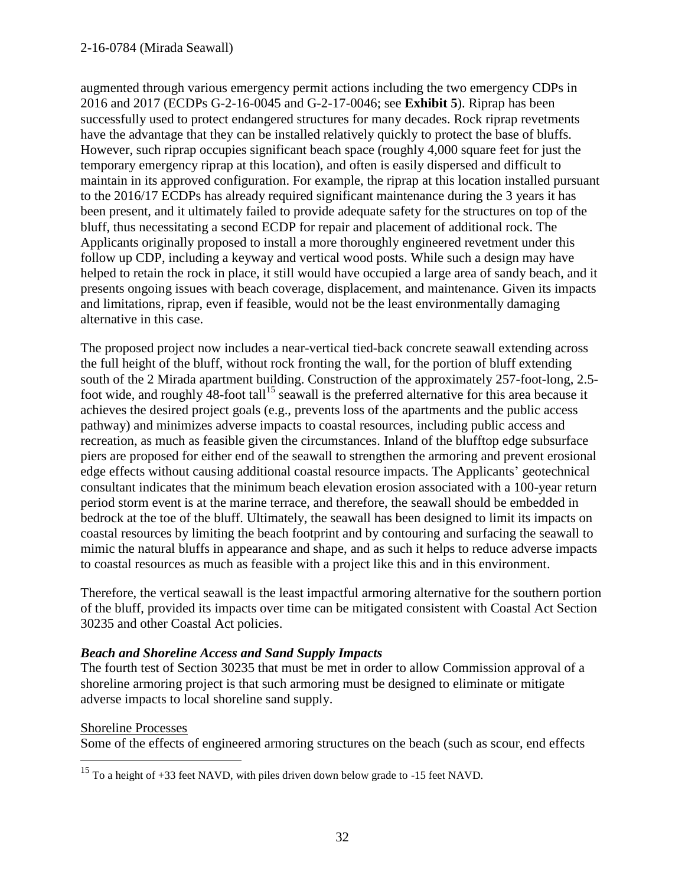#### 2-16-0784 (Mirada Seawall)

augmented through various emergency permit actions including the two emergency CDPs in 2016 and 2017 (ECDPs G-2-16-0045 and G-2-17-0046; see **Exhibit 5**). Riprap has been successfully used to protect endangered structures for many decades. Rock riprap revetments have the advantage that they can be installed relatively quickly to protect the base of bluffs. However, such riprap occupies significant beach space (roughly 4,000 square feet for just the temporary emergency riprap at this location), and often is easily dispersed and difficult to maintain in its approved configuration. For example, the riprap at this location installed pursuant to the 2016/17 ECDPs has already required significant maintenance during the 3 years it has been present, and it ultimately failed to provide adequate safety for the structures on top of the bluff, thus necessitating a second ECDP for repair and placement of additional rock. The Applicants originally proposed to install a more thoroughly engineered revetment under this follow up CDP, including a keyway and vertical wood posts. While such a design may have helped to retain the rock in place, it still would have occupied a large area of sandy beach, and it presents ongoing issues with beach coverage, displacement, and maintenance. Given its impacts and limitations, riprap, even if feasible, would not be the least environmentally damaging alternative in this case.

The proposed project now includes a near-vertical tied-back concrete seawall extending across the full height of the bluff, without rock fronting the wall, for the portion of bluff extending south of the 2 Mirada apartment building. Construction of the approximately 257-foot-long, 2.5 foot wide, and roughly  $48$ -foot tall<sup>15</sup> seawall is the preferred alternative for this area because it achieves the desired project goals (e.g., prevents loss of the apartments and the public access pathway) and minimizes adverse impacts to coastal resources, including public access and recreation, as much as feasible given the circumstances. Inland of the blufftop edge subsurface piers are proposed for either end of the seawall to strengthen the armoring and prevent erosional edge effects without causing additional coastal resource impacts. The Applicants' geotechnical consultant indicates that the minimum beach elevation erosion associated with a 100-year return period storm event is at the marine terrace, and therefore, the seawall should be embedded in bedrock at the toe of the bluff. Ultimately, the seawall has been designed to limit its impacts on coastal resources by limiting the beach footprint and by contouring and surfacing the seawall to mimic the natural bluffs in appearance and shape, and as such it helps to reduce adverse impacts to coastal resources as much as feasible with a project like this and in this environment.

Therefore, the vertical seawall is the least impactful armoring alternative for the southern portion of the bluff, provided its impacts over time can be mitigated consistent with Coastal Act Section 30235 and other Coastal Act policies.

### *Beach and Shoreline Access and Sand Supply Impacts*

The fourth test of Section 30235 that must be met in order to allow Commission approval of a shoreline armoring project is that such armoring must be designed to eliminate or mitigate adverse impacts to local shoreline sand supply.

#### Shoreline Processes

 $\overline{a}$ 

Some of the effects of engineered armoring structures on the beach (such as scour, end effects

<sup>&</sup>lt;sup>15</sup> To a height of  $+33$  feet NAVD, with piles driven down below grade to  $-15$  feet NAVD.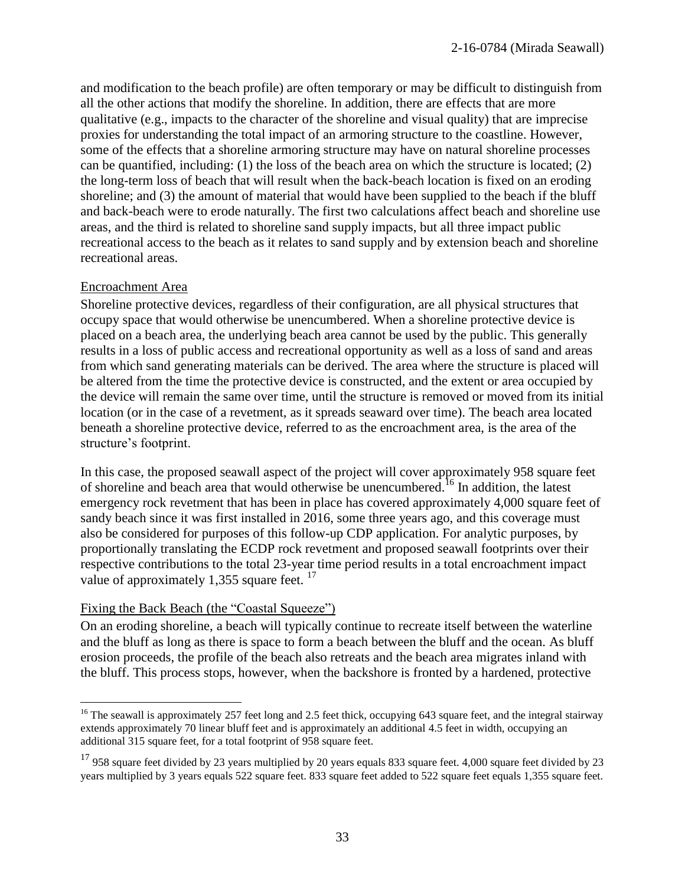and modification to the beach profile) are often temporary or may be difficult to distinguish from all the other actions that modify the shoreline. In addition, there are effects that are more qualitative (e.g., impacts to the character of the shoreline and visual quality) that are imprecise proxies for understanding the total impact of an armoring structure to the coastline. However, some of the effects that a shoreline armoring structure may have on natural shoreline processes can be quantified, including: (1) the loss of the beach area on which the structure is located; (2) the long-term loss of beach that will result when the back-beach location is fixed on an eroding shoreline; and (3) the amount of material that would have been supplied to the beach if the bluff and back-beach were to erode naturally. The first two calculations affect beach and shoreline use areas, and the third is related to shoreline sand supply impacts, but all three impact public recreational access to the beach as it relates to sand supply and by extension beach and shoreline recreational areas.

#### Encroachment Area

 $\overline{a}$ 

Shoreline protective devices, regardless of their configuration, are all physical structures that occupy space that would otherwise be unencumbered. When a shoreline protective device is placed on a beach area, the underlying beach area cannot be used by the public. This generally results in a loss of public access and recreational opportunity as well as a loss of sand and areas from which sand generating materials can be derived. The area where the structure is placed will be altered from the time the protective device is constructed, and the extent or area occupied by the device will remain the same over time, until the structure is removed or moved from its initial location (or in the case of a revetment, as it spreads seaward over time). The beach area located beneath a shoreline protective device, referred to as the encroachment area, is the area of the structure's footprint.

In this case, the proposed seawall aspect of the project will cover approximately 958 square feet of shoreline and beach area that would otherwise be unencumbered.<sup>16</sup> In addition, the latest emergency rock revetment that has been in place has covered approximately 4,000 square feet of sandy beach since it was first installed in 2016, some three years ago, and this coverage must also be considered for purposes of this follow-up CDP application. For analytic purposes, by proportionally translating the ECDP rock revetment and proposed seawall footprints over their respective contributions to the total 23-year time period results in a total encroachment impact value of approximately 1,355 square feet.  $17$ 

### Fixing the Back Beach (the "Coastal Squeeze")

On an eroding shoreline, a beach will typically continue to recreate itself between the waterline and the bluff as long as there is space to form a beach between the bluff and the ocean. As bluff erosion proceeds, the profile of the beach also retreats and the beach area migrates inland with the bluff. This process stops, however, when the backshore is fronted by a hardened, protective

<sup>&</sup>lt;sup>16</sup> The seawall is approximately 257 feet long and 2.5 feet thick, occupying 643 square feet, and the integral stairway extends approximately 70 linear bluff feet and is approximately an additional 4.5 feet in width, occupying an additional 315 square feet, for a total footprint of 958 square feet.

 $17$  958 square feet divided by 23 years multiplied by 20 years equals 833 square feet. 4,000 square feet divided by 23 years multiplied by 3 years equals 522 square feet. 833 square feet added to 522 square feet equals 1,355 square feet.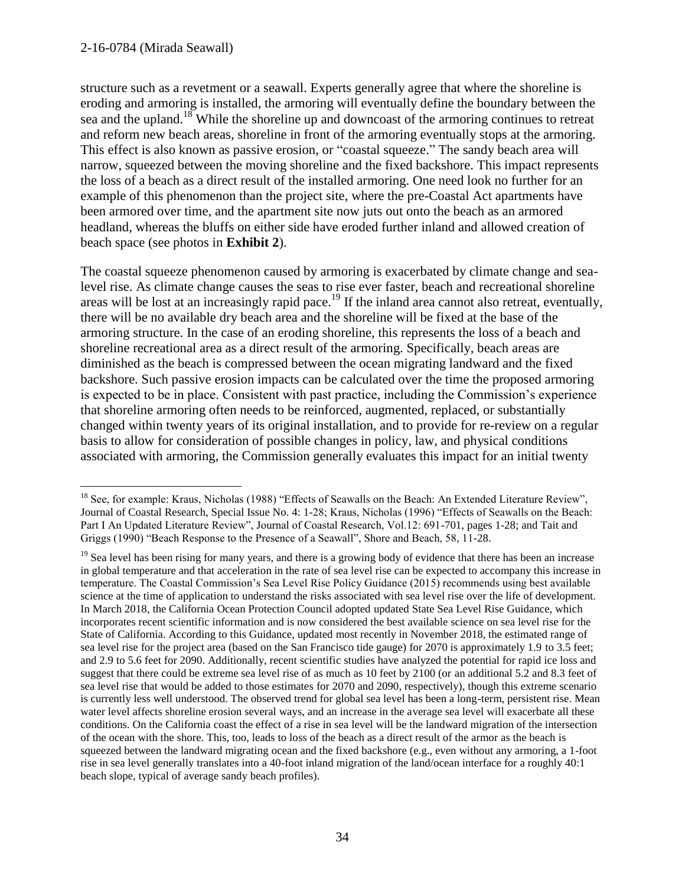structure such as a revetment or a seawall. Experts generally agree that where the shoreline is eroding and armoring is installed, the armoring will eventually define the boundary between the sea and the upland.<sup>18</sup> While the shoreline up and downcoast of the armoring continues to retreat and reform new beach areas, shoreline in front of the armoring eventually stops at the armoring. This effect is also known as passive erosion, or "coastal squeeze." The sandy beach area will narrow, squeezed between the moving shoreline and the fixed backshore. This impact represents the loss of a beach as a direct result of the installed armoring. One need look no further for an example of this phenomenon than the project site, where the pre-Coastal Act apartments have been armored over time, and the apartment site now juts out onto the beach as an armored headland, whereas the bluffs on either side have eroded further inland and allowed creation of beach space (see photos in **Exhibit 2**).

The coastal squeeze phenomenon caused by armoring is exacerbated by climate change and sealevel rise. As climate change causes the seas to rise ever faster, beach and recreational shoreline areas will be lost at an increasingly rapid pace.<sup>19</sup> If the inland area cannot also retreat, eventually, there will be no available dry beach area and the shoreline will be fixed at the base of the armoring structure. In the case of an eroding shoreline, this represents the loss of a beach and shoreline recreational area as a direct result of the armoring. Specifically, beach areas are diminished as the beach is compressed between the ocean migrating landward and the fixed backshore. Such passive erosion impacts can be calculated over the time the proposed armoring is expected to be in place. Consistent with past practice, including the Commission's experience that shoreline armoring often needs to be reinforced, augmented, replaced, or substantially changed within twenty years of its original installation, and to provide for re-review on a regular basis to allow for consideration of possible changes in policy, law, and physical conditions associated with armoring, the Commission generally evaluates this impact for an initial twenty

 $\overline{a}$ <sup>18</sup> See, for example: Kraus, Nicholas (1988) "Effects of Seawalls on the Beach: An Extended Literature Review", Journal of Coastal Research, Special Issue No. 4: 1-28; Kraus, Nicholas (1996) "Effects of Seawalls on the Beach: Part I An Updated Literature Review", Journal of Coastal Research, Vol.12: 691-701, pages 1-28; and Tait and Griggs (1990) "Beach Response to the Presence of a Seawall", Shore and Beach, 58, 11-28.

 $19$  Sea level has been rising for many years, and there is a growing body of evidence that there has been an increase in global temperature and that acceleration in the rate of sea level rise can be expected to accompany this increase in temperature. The Coastal Commission's Sea Level Rise Policy Guidance (2015) recommends using best available science at the time of application to understand the risks associated with sea level rise over the life of development. In March 2018, the California Ocean Protection Council adopted updated State Sea Level Rise Guidance, which incorporates recent scientific information and is now considered the best available science on sea level rise for the State of California. According to this Guidance, updated most recently in November 2018, the estimated range of sea level rise for the project area (based on the San Francisco tide gauge) for 2070 is approximately 1.9 to 3.5 feet; and 2.9 to 5.6 feet for 2090. Additionally, recent scientific studies have analyzed the potential for rapid ice loss and suggest that there could be extreme sea level rise of as much as 10 feet by 2100 (or an additional 5.2 and 8.3 feet of sea level rise that would be added to those estimates for 2070 and 2090, respectively), though this extreme scenario is currently less well understood. The observed trend for global sea level has been a long-term, persistent rise. Mean water level affects shoreline erosion several ways, and an increase in the average sea level will exacerbate all these conditions. On the California coast the effect of a rise in sea level will be the landward migration of the intersection of the ocean with the shore. This, too, leads to loss of the beach as a direct result of the armor as the beach is squeezed between the landward migrating ocean and the fixed backshore (e.g., even without any armoring, a 1-foot rise in sea level generally translates into a 40-foot inland migration of the land/ocean interface for a roughly 40:1 beach slope, typical of average sandy beach profiles).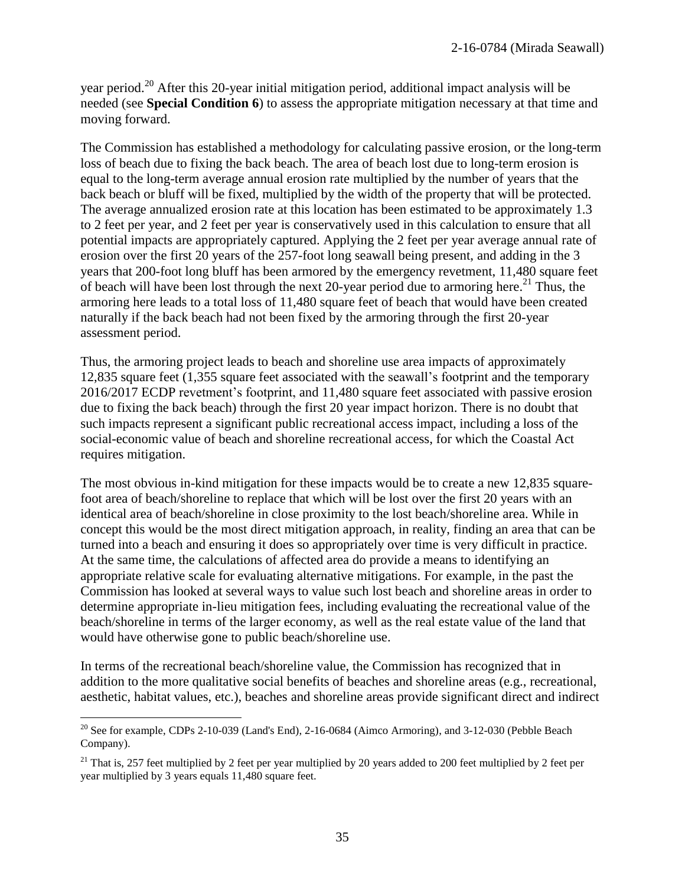year period.<sup>20</sup> After this 20-year initial mitigation period, additional impact analysis will be needed (see **Special Condition 6**) to assess the appropriate mitigation necessary at that time and moving forward.

The Commission has established a methodology for calculating passive erosion, or the long-term loss of beach due to fixing the back beach. The area of beach lost due to long-term erosion is equal to the long-term average annual erosion rate multiplied by the number of years that the back beach or bluff will be fixed, multiplied by the width of the property that will be protected. The average annualized erosion rate at this location has been estimated to be approximately 1.3 to 2 feet per year, and 2 feet per year is conservatively used in this calculation to ensure that all potential impacts are appropriately captured. Applying the 2 feet per year average annual rate of erosion over the first 20 years of the 257-foot long seawall being present, and adding in the 3 years that 200-foot long bluff has been armored by the emergency revetment, 11,480 square feet of beach will have been lost through the next 20-year period due to armoring here.<sup>21</sup> Thus, the armoring here leads to a total loss of 11,480 square feet of beach that would have been created naturally if the back beach had not been fixed by the armoring through the first 20-year assessment period.

Thus, the armoring project leads to beach and shoreline use area impacts of approximately 12,835 square feet (1,355 square feet associated with the seawall's footprint and the temporary 2016/2017 ECDP revetment's footprint, and 11,480 square feet associated with passive erosion due to fixing the back beach) through the first 20 year impact horizon. There is no doubt that such impacts represent a significant public recreational access impact, including a loss of the social-economic value of beach and shoreline recreational access, for which the Coastal Act requires mitigation.

The most obvious in-kind mitigation for these impacts would be to create a new 12,835 squarefoot area of beach/shoreline to replace that which will be lost over the first 20 years with an identical area of beach/shoreline in close proximity to the lost beach/shoreline area. While in concept this would be the most direct mitigation approach, in reality, finding an area that can be turned into a beach and ensuring it does so appropriately over time is very difficult in practice. At the same time, the calculations of affected area do provide a means to identifying an appropriate relative scale for evaluating alternative mitigations. For example, in the past the Commission has looked at several ways to value such lost beach and shoreline areas in order to determine appropriate in-lieu mitigation fees, including evaluating the recreational value of the beach/shoreline in terms of the larger economy, as well as the real estate value of the land that would have otherwise gone to public beach/shoreline use.

In terms of the recreational beach/shoreline value, the Commission has recognized that in addition to the more qualitative social benefits of beaches and shoreline areas (e.g., recreational, aesthetic, habitat values, etc.), beaches and shoreline areas provide significant direct and indirect

 $\overline{a}$ 

<sup>&</sup>lt;sup>20</sup> See for example, CDPs 2-10-039 (Land's End), 2-16-0684 (Aimco Armoring), and 3-12-030 (Pebble Beach Company).

<sup>&</sup>lt;sup>21</sup> That is, 257 feet multiplied by 2 feet per year multiplied by 20 years added to 200 feet multiplied by 2 feet per year multiplied by 3 years equals 11,480 square feet.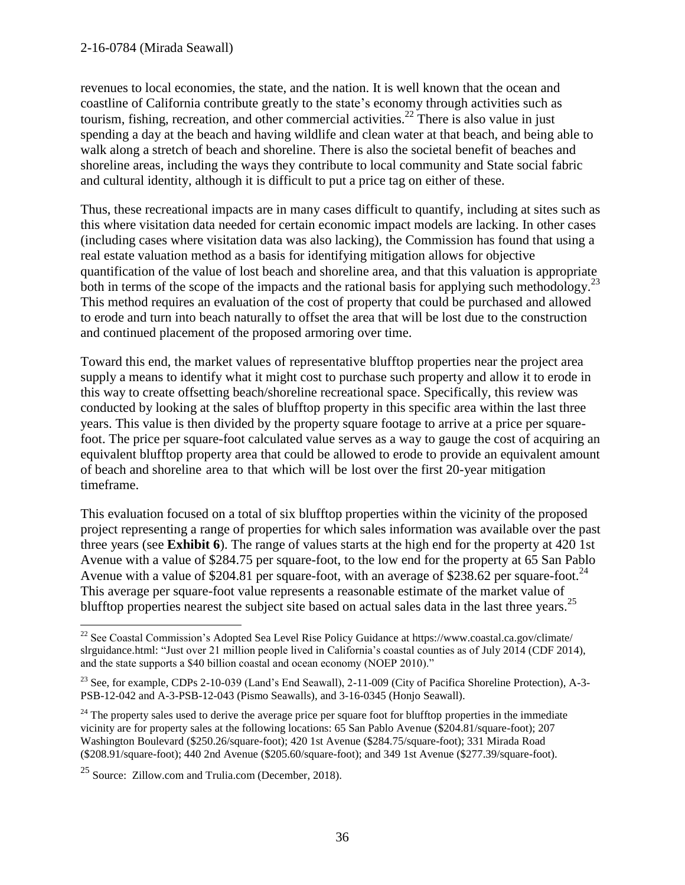#### 2-16-0784 (Mirada Seawall)

revenues to local economies, the state, and the nation. It is well known that the ocean and coastline of California contribute greatly to the state's economy through activities such as tourism, fishing, recreation, and other commercial activities.<sup>22</sup> There is also value in just spending a day at the beach and having wildlife and clean water at that beach, and being able to walk along a stretch of beach and shoreline. There is also the societal benefit of beaches and shoreline areas, including the ways they contribute to local community and State social fabric and cultural identity, although it is difficult to put a price tag on either of these.

Thus, these recreational impacts are in many cases difficult to quantify, including at sites such as this where visitation data needed for certain economic impact models are lacking. In other cases (including cases where visitation data was also lacking), the Commission has found that using a real estate valuation method as a basis for identifying mitigation allows for objective quantification of the value of lost beach and shoreline area, and that this valuation is appropriate both in terms of the scope of the impacts and the rational basis for applying such methodology.<sup>23</sup> This method requires an evaluation of the cost of property that could be purchased and allowed to erode and turn into beach naturally to offset the area that will be lost due to the construction and continued placement of the proposed armoring over time.

Toward this end, the market values of representative blufftop properties near the project area supply a means to identify what it might cost to purchase such property and allow it to erode in this way to create offsetting beach/shoreline recreational space. Specifically, this review was conducted by looking at the sales of blufftop property in this specific area within the last three years. This value is then divided by the property square footage to arrive at a price per squarefoot. The price per square-foot calculated value serves as a way to gauge the cost of acquiring an equivalent blufftop property area that could be allowed to erode to provide an equivalent amount of beach and shoreline area to that which will be lost over the first 20-year mitigation timeframe.

This evaluation focused on a total of six blufftop properties within the vicinity of the proposed project representing a range of properties for which sales information was available over the past three years (see **Exhibit 6**). The range of values starts at the high end for the property at 420 1st Avenue with a value of \$284.75 per square-foot, to the low end for the property at 65 San Pablo Avenue with a value of \$204.81 per square-foot, with an average of \$238.62 per square-foot.<sup>24</sup> This average per square-foot value represents a reasonable estimate of the market value of blufftop properties nearest the subject site based on actual sales data in the last three years.<sup>25</sup>

 $\overline{a}$ 

 $^{22}$  See Coastal Commission's Adopted Sea Level Rise Policy Guidance at https://www.coastal.ca.gov/climate/ slrguidance.html: "Just over 21 million people lived in California's coastal counties as of July 2014 (CDF 2014), and the state supports a \$40 billion coastal and ocean economy (NOEP 2010)."

<sup>&</sup>lt;sup>23</sup> See, for example, CDPs 2-10-039 (Land's End Seawall), 2-11-009 (City of Pacifica Shoreline Protection), A-3-PSB-12-042 and A-3-PSB-12-043 (Pismo Seawalls), and 3-16-0345 (Honjo Seawall).

 $24$  The property sales used to derive the average price per square foot for blufftop properties in the immediate vicinity are for property sales at the following locations: 65 San Pablo Avenue (\$204.81/square-foot); 207 Washington Boulevard (\$250.26/square-foot); 420 1st Avenue (\$284.75/square-foot); 331 Mirada Road (\$208.91/square-foot); 440 2nd Avenue (\$205.60/square-foot); and 349 1st Avenue (\$277.39/square-foot).

<sup>25</sup> Source: Zillow.com and Trulia.com (December, 2018).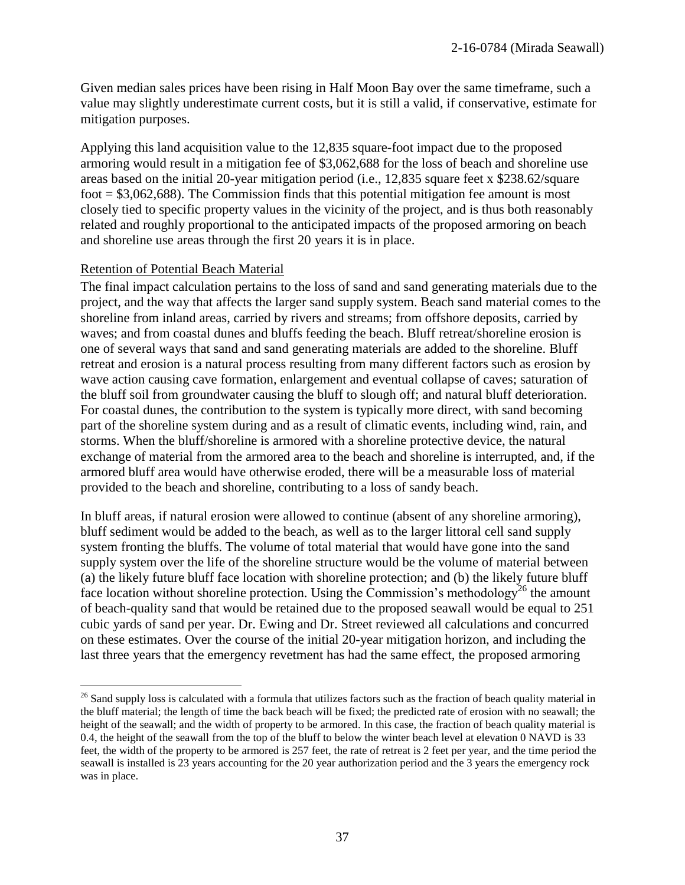Given median sales prices have been rising in Half Moon Bay over the same timeframe, such a value may slightly underestimate current costs, but it is still a valid, if conservative, estimate for mitigation purposes.

Applying this land acquisition value to the 12,835 square-foot impact due to the proposed armoring would result in a mitigation fee of \$3,062,688 for the loss of beach and shoreline use areas based on the initial 20-year mitigation period (i.e., 12,835 square feet x \$238.62/square foot  $= $3,062,688$ . The Commission finds that this potential mitigation fee amount is most closely tied to specific property values in the vicinity of the project, and is thus both reasonably related and roughly proportional to the anticipated impacts of the proposed armoring on beach and shoreline use areas through the first 20 years it is in place.

#### Retention of Potential Beach Material

 $\overline{a}$ 

The final impact calculation pertains to the loss of sand and sand generating materials due to the project, and the way that affects the larger sand supply system. Beach sand material comes to the shoreline from inland areas, carried by rivers and streams; from offshore deposits, carried by waves; and from coastal dunes and bluffs feeding the beach. Bluff retreat/shoreline erosion is one of several ways that sand and sand generating materials are added to the shoreline. Bluff retreat and erosion is a natural process resulting from many different factors such as erosion by wave action causing cave formation, enlargement and eventual collapse of caves; saturation of the bluff soil from groundwater causing the bluff to slough off; and natural bluff deterioration. For coastal dunes, the contribution to the system is typically more direct, with sand becoming part of the shoreline system during and as a result of climatic events, including wind, rain, and storms. When the bluff/shoreline is armored with a shoreline protective device, the natural exchange of material from the armored area to the beach and shoreline is interrupted, and, if the armored bluff area would have otherwise eroded, there will be a measurable loss of material provided to the beach and shoreline, contributing to a loss of sandy beach.

In bluff areas, if natural erosion were allowed to continue (absent of any shoreline armoring), bluff sediment would be added to the beach, as well as to the larger littoral cell sand supply system fronting the bluffs. The volume of total material that would have gone into the sand supply system over the life of the shoreline structure would be the volume of material between (a) the likely future bluff face location with shoreline protection; and (b) the likely future bluff face location without shoreline protection. Using the Commission's methodology<sup>26</sup> the amount of beach-quality sand that would be retained due to the proposed seawall would be equal to 251 cubic yards of sand per year. Dr. Ewing and Dr. Street reviewed all calculations and concurred on these estimates. Over the course of the initial 20-year mitigation horizon, and including the last three years that the emergency revetment has had the same effect, the proposed armoring

<sup>&</sup>lt;sup>26</sup> Sand supply loss is calculated with a formula that utilizes factors such as the fraction of beach quality material in the bluff material; the length of time the back beach will be fixed; the predicted rate of erosion with no seawall; the height of the seawall; and the width of property to be armored. In this case, the fraction of beach quality material is 0.4, the height of the seawall from the top of the bluff to below the winter beach level at elevation 0 NAVD is 33 feet, the width of the property to be armored is 257 feet, the rate of retreat is 2 feet per year, and the time period the seawall is installed is 23 years accounting for the 20 year authorization period and the 3 years the emergency rock was in place.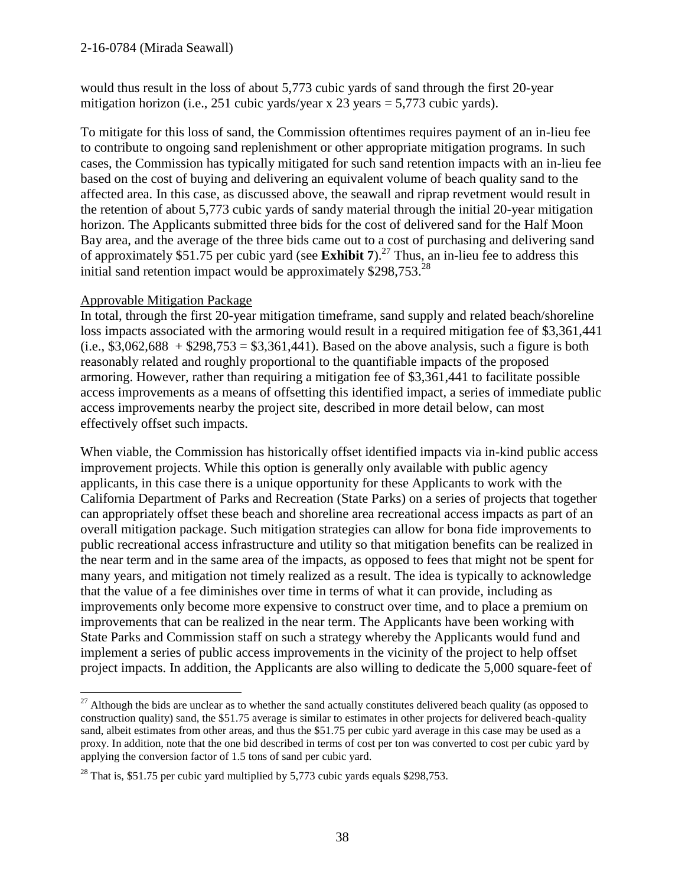would thus result in the loss of about 5,773 cubic yards of sand through the first 20-year mitigation horizon (i.e., 251 cubic yards/year x 23 years = 5,773 cubic yards).

To mitigate for this loss of sand, the Commission oftentimes requires payment of an in-lieu fee to contribute to ongoing sand replenishment or other appropriate mitigation programs. In such cases, the Commission has typically mitigated for such sand retention impacts with an in-lieu fee based on the cost of buying and delivering an equivalent volume of beach quality sand to the affected area. In this case, as discussed above, the seawall and riprap revetment would result in the retention of about 5,773 cubic yards of sandy material through the initial 20-year mitigation horizon. The Applicants submitted three bids for the cost of delivered sand for the Half Moon Bay area, and the average of the three bids came out to a cost of purchasing and delivering sand of approximately \$51.75 per cubic yard (see **Exhibit 7**). <sup>27</sup> Thus, an in-lieu fee to address this initial sand retention impact would be approximately \$298,753.<sup>28</sup>

### Approvable Mitigation Package

 $\overline{a}$ 

In total, through the first 20-year mitigation timeframe, sand supply and related beach/shoreline loss impacts associated with the armoring would result in a required mitigation fee of \$3,361,441  $(i.e., $3,062,688 + $298,753 = $3,361,441)$ . Based on the above analysis, such a figure is both reasonably related and roughly proportional to the quantifiable impacts of the proposed armoring. However, rather than requiring a mitigation fee of \$3,361,441 to facilitate possible access improvements as a means of offsetting this identified impact, a series of immediate public access improvements nearby the project site, described in more detail below, can most effectively offset such impacts.

When viable, the Commission has historically offset identified impacts via in-kind public access improvement projects. While this option is generally only available with public agency applicants, in this case there is a unique opportunity for these Applicants to work with the California Department of Parks and Recreation (State Parks) on a series of projects that together can appropriately offset these beach and shoreline area recreational access impacts as part of an overall mitigation package. Such mitigation strategies can allow for bona fide improvements to public recreational access infrastructure and utility so that mitigation benefits can be realized in the near term and in the same area of the impacts, as opposed to fees that might not be spent for many years, and mitigation not timely realized as a result. The idea is typically to acknowledge that the value of a fee diminishes over time in terms of what it can provide, including as improvements only become more expensive to construct over time, and to place a premium on improvements that can be realized in the near term. The Applicants have been working with State Parks and Commission staff on such a strategy whereby the Applicants would fund and implement a series of public access improvements in the vicinity of the project to help offset project impacts. In addition, the Applicants are also willing to dedicate the 5,000 square-feet of

 $27$  Although the bids are unclear as to whether the sand actually constitutes delivered beach quality (as opposed to construction quality) sand, the \$51.75 average is similar to estimates in other projects for delivered beach-quality sand, albeit estimates from other areas, and thus the \$51.75 per cubic yard average in this case may be used as a proxy. In addition, note that the one bid described in terms of cost per ton was converted to cost per cubic yard by applying the conversion factor of 1.5 tons of sand per cubic yard.

 $28$  That is, \$51.75 per cubic vard multiplied by 5,773 cubic yards equals \$298,753.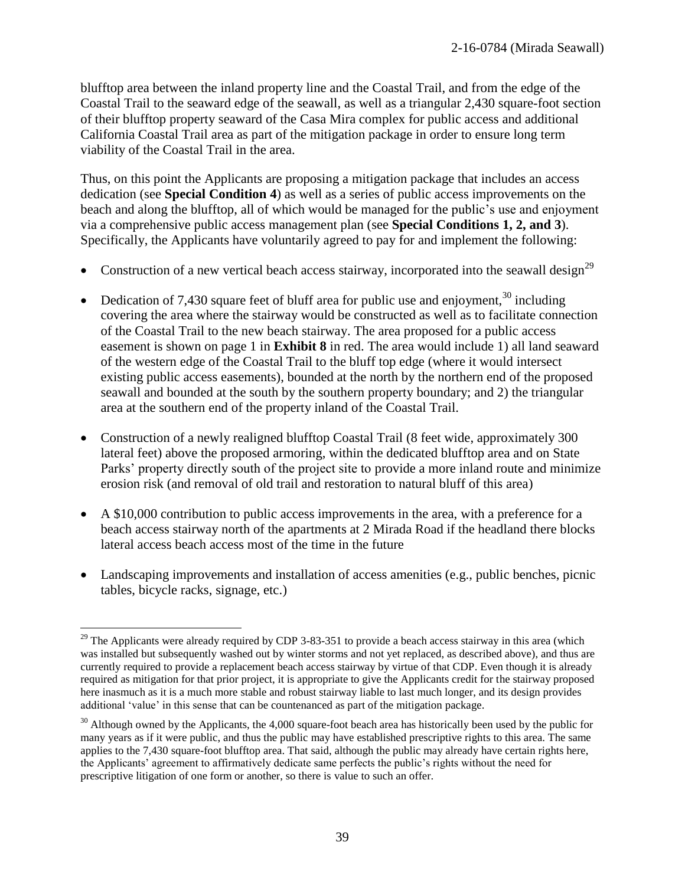blufftop area between the inland property line and the Coastal Trail, and from the edge of the Coastal Trail to the seaward edge of the seawall, as well as a triangular 2,430 square-foot section of their blufftop property seaward of the Casa Mira complex for public access and additional California Coastal Trail area as part of the mitigation package in order to ensure long term viability of the Coastal Trail in the area.

Thus, on this point the Applicants are proposing a mitigation package that includes an access dedication (see **Special Condition 4**) as well as a series of public access improvements on the beach and along the blufftop, all of which would be managed for the public's use and enjoyment via a comprehensive public access management plan (see **Special Conditions 1, 2, and 3**). Specifically, the Applicants have voluntarily agreed to pay for and implement the following:

- Construction of a new vertical beach access stairway, incorporated into the seawall design<sup>29</sup>
- Dedication of 7,430 square feet of bluff area for public use and enjoyment,  $30$  including covering the area where the stairway would be constructed as well as to facilitate connection of the Coastal Trail to the new beach stairway. The area proposed for a public access easement is shown on page 1 in **Exhibit 8** in red. The area would include 1) all land seaward of the western edge of the Coastal Trail to the bluff top edge (where it would intersect existing public access easements), bounded at the north by the northern end of the proposed seawall and bounded at the south by the southern property boundary; and 2) the triangular area at the southern end of the property inland of the Coastal Trail.
- Construction of a newly realigned blufftop Coastal Trail (8 feet wide, approximately 300 lateral feet) above the proposed armoring, within the dedicated blufftop area and on State Parks' property directly south of the project site to provide a more inland route and minimize erosion risk (and removal of old trail and restoration to natural bluff of this area)
- A \$10,000 contribution to public access improvements in the area, with a preference for a beach access stairway north of the apartments at 2 Mirada Road if the headland there blocks lateral access beach access most of the time in the future
- Landscaping improvements and installation of access amenities (e.g., public benches, picnic tables, bicycle racks, signage, etc.)

 $\overline{a}$  $29$  The Applicants were already required by CDP 3-83-351 to provide a beach access stairway in this area (which was installed but subsequently washed out by winter storms and not yet replaced, as described above), and thus are currently required to provide a replacement beach access stairway by virtue of that CDP. Even though it is already required as mitigation for that prior project, it is appropriate to give the Applicants credit for the stairway proposed here inasmuch as it is a much more stable and robust stairway liable to last much longer, and its design provides additional 'value' in this sense that can be countenanced as part of the mitigation package.

 $30$  Although owned by the Applicants, the 4,000 square-foot beach area has historically been used by the public for many years as if it were public, and thus the public may have established prescriptive rights to this area. The same applies to the 7,430 square-foot blufftop area. That said, although the public may already have certain rights here, the Applicants' agreement to affirmatively dedicate same perfects the public's rights without the need for prescriptive litigation of one form or another, so there is value to such an offer.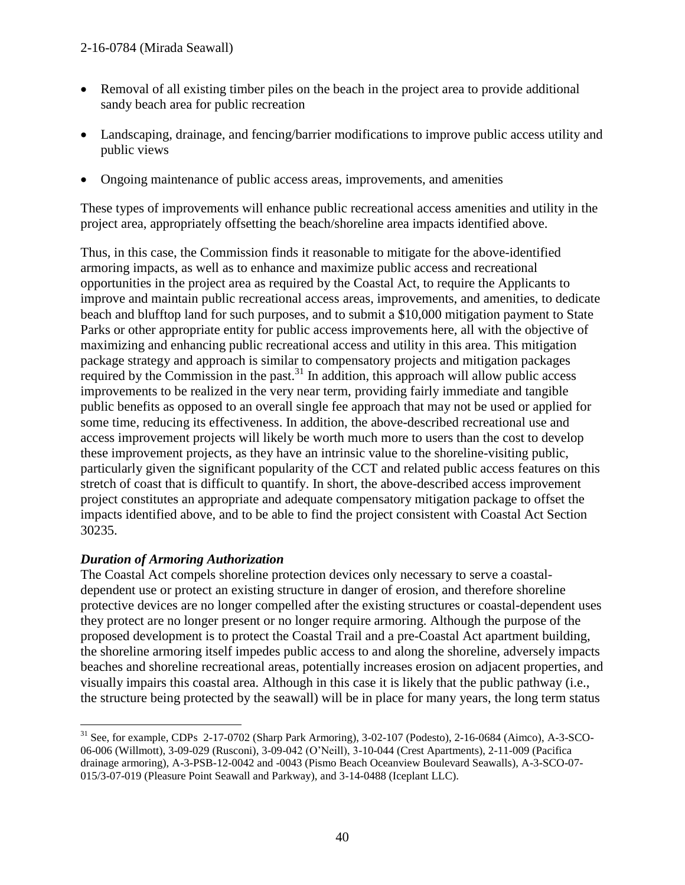- Removal of all existing timber piles on the beach in the project area to provide additional sandy beach area for public recreation
- Landscaping, drainage, and fencing/barrier modifications to improve public access utility and public views
- Ongoing maintenance of public access areas, improvements, and amenities

These types of improvements will enhance public recreational access amenities and utility in the project area, appropriately offsetting the beach/shoreline area impacts identified above.

Thus, in this case, the Commission finds it reasonable to mitigate for the above-identified armoring impacts, as well as to enhance and maximize public access and recreational opportunities in the project area as required by the Coastal Act, to require the Applicants to improve and maintain public recreational access areas, improvements, and amenities, to dedicate beach and blufftop land for such purposes, and to submit a \$10,000 mitigation payment to State Parks or other appropriate entity for public access improvements here, all with the objective of maximizing and enhancing public recreational access and utility in this area. This mitigation package strategy and approach is similar to compensatory projects and mitigation packages required by the Commission in the past.<sup>31</sup> In addition, this approach will allow public access improvements to be realized in the very near term, providing fairly immediate and tangible public benefits as opposed to an overall single fee approach that may not be used or applied for some time, reducing its effectiveness. In addition, the above-described recreational use and access improvement projects will likely be worth much more to users than the cost to develop these improvement projects, as they have an intrinsic value to the shoreline-visiting public, particularly given the significant popularity of the CCT and related public access features on this stretch of coast that is difficult to quantify. In short, the above-described access improvement project constitutes an appropriate and adequate compensatory mitigation package to offset the impacts identified above, and to be able to find the project consistent with Coastal Act Section 30235.

## *Duration of Armoring Authorization*

The Coastal Act compels shoreline protection devices only necessary to serve a coastaldependent use or protect an existing structure in danger of erosion, and therefore shoreline protective devices are no longer compelled after the existing structures or coastal-dependent uses they protect are no longer present or no longer require armoring. Although the purpose of the proposed development is to protect the Coastal Trail and a pre-Coastal Act apartment building, the shoreline armoring itself impedes public access to and along the shoreline, adversely impacts beaches and shoreline recreational areas, potentially increases erosion on adjacent properties, and visually impairs this coastal area. Although in this case it is likely that the public pathway (i.e., the structure being protected by the seawall) will be in place for many years, the long term status

 $\overline{a}$  $31$  See, for example, CDPs  $2-17-0702$  (Sharp Park Armoring),  $3-02-107$  (Podesto),  $2-16-0684$  (Aimco), A-3-SCO-06-006 (Willmott), 3-09-029 (Rusconi), 3-09-042 (O'Neill), 3-10-044 (Crest Apartments), 2-11-009 (Pacifica drainage armoring), A-3-PSB-12-0042 and -0043 (Pismo Beach Oceanview Boulevard Seawalls), A-3-SCO-07- 015/3-07-019 (Pleasure Point Seawall and Parkway), and 3-14-0488 (Iceplant LLC).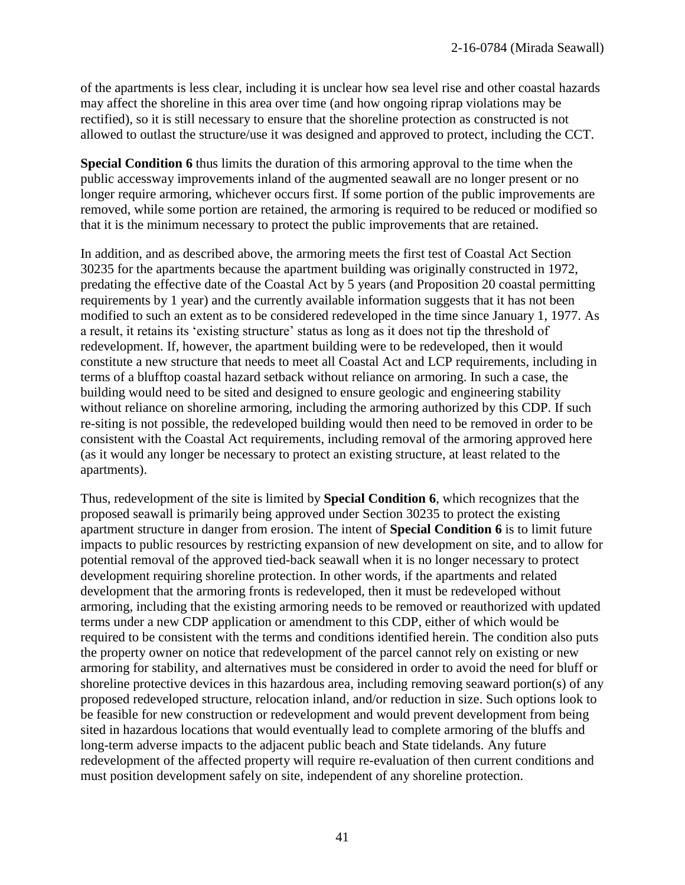of the apartments is less clear, including it is unclear how sea level rise and other coastal hazards may affect the shoreline in this area over time (and how ongoing riprap violations may be rectified), so it is still necessary to ensure that the shoreline protection as constructed is not allowed to outlast the structure/use it was designed and approved to protect, including the CCT.

**Special Condition 6** thus limits the duration of this armoring approval to the time when the public accessway improvements inland of the augmented seawall are no longer present or no longer require armoring, whichever occurs first. If some portion of the public improvements are removed, while some portion are retained, the armoring is required to be reduced or modified so that it is the minimum necessary to protect the public improvements that are retained.

In addition, and as described above, the armoring meets the first test of Coastal Act Section 30235 for the apartments because the apartment building was originally constructed in 1972, predating the effective date of the Coastal Act by 5 years (and Proposition 20 coastal permitting requirements by 1 year) and the currently available information suggests that it has not been modified to such an extent as to be considered redeveloped in the time since January 1, 1977. As a result, it retains its 'existing structure' status as long as it does not tip the threshold of redevelopment. If, however, the apartment building were to be redeveloped, then it would constitute a new structure that needs to meet all Coastal Act and LCP requirements, including in terms of a blufftop coastal hazard setback without reliance on armoring. In such a case, the building would need to be sited and designed to ensure geologic and engineering stability without reliance on shoreline armoring, including the armoring authorized by this CDP. If such re-siting is not possible, the redeveloped building would then need to be removed in order to be consistent with the Coastal Act requirements, including removal of the armoring approved here (as it would any longer be necessary to protect an existing structure, at least related to the apartments).

Thus, redevelopment of the site is limited by **Special Condition 6**, which recognizes that the proposed seawall is primarily being approved under Section 30235 to protect the existing apartment structure in danger from erosion. The intent of **Special Condition 6** is to limit future impacts to public resources by restricting expansion of new development on site, and to allow for potential removal of the approved tied-back seawall when it is no longer necessary to protect development requiring shoreline protection. In other words, if the apartments and related development that the armoring fronts is redeveloped, then it must be redeveloped without armoring, including that the existing armoring needs to be removed or reauthorized with updated terms under a new CDP application or amendment to this CDP, either of which would be required to be consistent with the terms and conditions identified herein. The condition also puts the property owner on notice that redevelopment of the parcel cannot rely on existing or new armoring for stability, and alternatives must be considered in order to avoid the need for bluff or shoreline protective devices in this hazardous area, including removing seaward portion(s) of any proposed redeveloped structure, relocation inland, and/or reduction in size. Such options look to be feasible for new construction or redevelopment and would prevent development from being sited in hazardous locations that would eventually lead to complete armoring of the bluffs and long-term adverse impacts to the adjacent public beach and State tidelands. Any future redevelopment of the affected property will require re-evaluation of then current conditions and must position development safely on site, independent of any shoreline protection.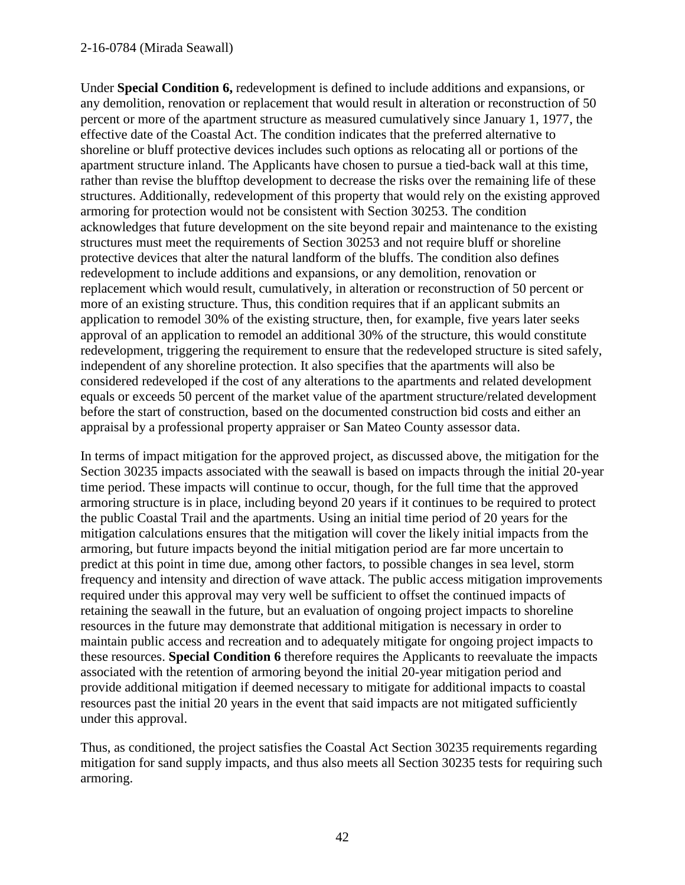#### 2-16-0784 (Mirada Seawall)

Under **Special Condition 6,** redevelopment is defined to include additions and expansions, or any demolition, renovation or replacement that would result in alteration or reconstruction of 50 percent or more of the apartment structure as measured cumulatively since January 1, 1977, the effective date of the Coastal Act. The condition indicates that the preferred alternative to shoreline or bluff protective devices includes such options as relocating all or portions of the apartment structure inland. The Applicants have chosen to pursue a tied-back wall at this time, rather than revise the blufftop development to decrease the risks over the remaining life of these structures. Additionally, redevelopment of this property that would rely on the existing approved armoring for protection would not be consistent with Section 30253. The condition acknowledges that future development on the site beyond repair and maintenance to the existing structures must meet the requirements of Section 30253 and not require bluff or shoreline protective devices that alter the natural landform of the bluffs. The condition also defines redevelopment to include additions and expansions, or any demolition, renovation or replacement which would result, cumulatively, in alteration or reconstruction of 50 percent or more of an existing structure. Thus, this condition requires that if an applicant submits an application to remodel 30% of the existing structure, then, for example, five years later seeks approval of an application to remodel an additional 30% of the structure, this would constitute redevelopment, triggering the requirement to ensure that the redeveloped structure is sited safely, independent of any shoreline protection. It also specifies that the apartments will also be considered redeveloped if the cost of any alterations to the apartments and related development equals or exceeds 50 percent of the market value of the apartment structure/related development before the start of construction, based on the documented construction bid costs and either an appraisal by a professional property appraiser or San Mateo County assessor data.

In terms of impact mitigation for the approved project, as discussed above, the mitigation for the Section 30235 impacts associated with the seawall is based on impacts through the initial 20-year time period. These impacts will continue to occur, though, for the full time that the approved armoring structure is in place, including beyond 20 years if it continues to be required to protect the public Coastal Trail and the apartments. Using an initial time period of 20 years for the mitigation calculations ensures that the mitigation will cover the likely initial impacts from the armoring, but future impacts beyond the initial mitigation period are far more uncertain to predict at this point in time due, among other factors, to possible changes in sea level, storm frequency and intensity and direction of wave attack. The public access mitigation improvements required under this approval may very well be sufficient to offset the continued impacts of retaining the seawall in the future, but an evaluation of ongoing project impacts to shoreline resources in the future may demonstrate that additional mitigation is necessary in order to maintain public access and recreation and to adequately mitigate for ongoing project impacts to these resources. **Special Condition 6** therefore requires the Applicants to reevaluate the impacts associated with the retention of armoring beyond the initial 20-year mitigation period and provide additional mitigation if deemed necessary to mitigate for additional impacts to coastal resources past the initial 20 years in the event that said impacts are not mitigated sufficiently under this approval.

Thus, as conditioned, the project satisfies the Coastal Act Section 30235 requirements regarding mitigation for sand supply impacts, and thus also meets all Section 30235 tests for requiring such armoring.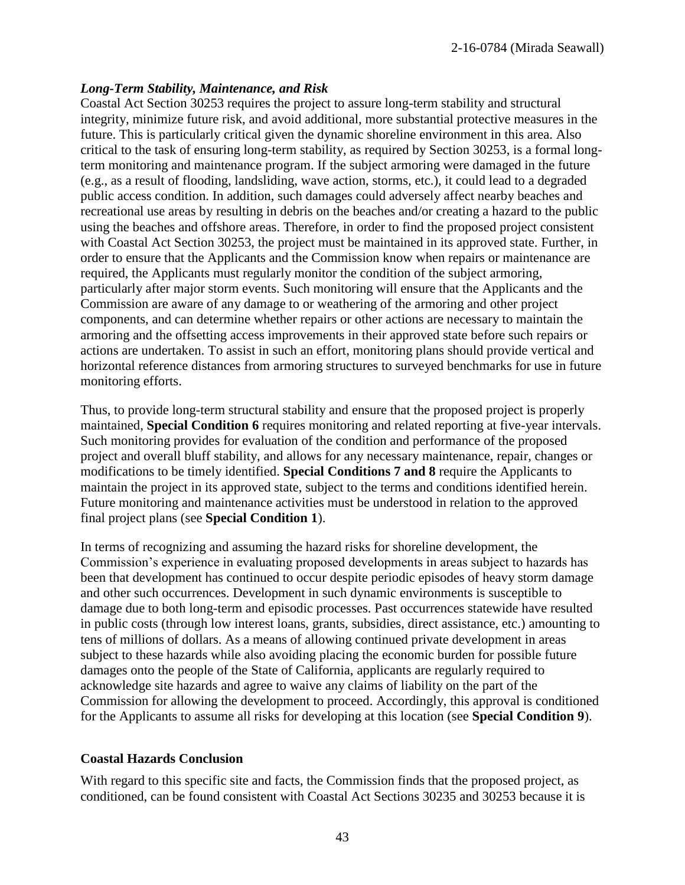#### *Long-Term Stability, Maintenance, and Risk*

Coastal Act Section 30253 requires the project to assure long-term stability and structural integrity, minimize future risk, and avoid additional, more substantial protective measures in the future. This is particularly critical given the dynamic shoreline environment in this area. Also critical to the task of ensuring long-term stability, as required by Section 30253, is a formal longterm monitoring and maintenance program. If the subject armoring were damaged in the future (e.g., as a result of flooding, landsliding, wave action, storms, etc.), it could lead to a degraded public access condition. In addition, such damages could adversely affect nearby beaches and recreational use areas by resulting in debris on the beaches and/or creating a hazard to the public using the beaches and offshore areas. Therefore, in order to find the proposed project consistent with Coastal Act Section 30253, the project must be maintained in its approved state. Further, in order to ensure that the Applicants and the Commission know when repairs or maintenance are required, the Applicants must regularly monitor the condition of the subject armoring, particularly after major storm events. Such monitoring will ensure that the Applicants and the Commission are aware of any damage to or weathering of the armoring and other project components, and can determine whether repairs or other actions are necessary to maintain the armoring and the offsetting access improvements in their approved state before such repairs or actions are undertaken. To assist in such an effort, monitoring plans should provide vertical and horizontal reference distances from armoring structures to surveyed benchmarks for use in future monitoring efforts.

Thus, to provide long-term structural stability and ensure that the proposed project is properly maintained, **Special Condition 6** requires monitoring and related reporting at five-year intervals. Such monitoring provides for evaluation of the condition and performance of the proposed project and overall bluff stability, and allows for any necessary maintenance, repair, changes or modifications to be timely identified. **Special Conditions 7 and 8** require the Applicants to maintain the project in its approved state, subject to the terms and conditions identified herein. Future monitoring and maintenance activities must be understood in relation to the approved final project plans (see **Special Condition 1**).

In terms of recognizing and assuming the hazard risks for shoreline development, the Commission's experience in evaluating proposed developments in areas subject to hazards has been that development has continued to occur despite periodic episodes of heavy storm damage and other such occurrences. Development in such dynamic environments is susceptible to damage due to both long-term and episodic processes. Past occurrences statewide have resulted in public costs (through low interest loans, grants, subsidies, direct assistance, etc.) amounting to tens of millions of dollars. As a means of allowing continued private development in areas subject to these hazards while also avoiding placing the economic burden for possible future damages onto the people of the State of California, applicants are regularly required to acknowledge site hazards and agree to waive any claims of liability on the part of the Commission for allowing the development to proceed. Accordingly, this approval is conditioned for the Applicants to assume all risks for developing at this location (see **Special Condition 9**).

#### **Coastal Hazards Conclusion**

With regard to this specific site and facts, the Commission finds that the proposed project, as conditioned, can be found consistent with Coastal Act Sections 30235 and 30253 because it is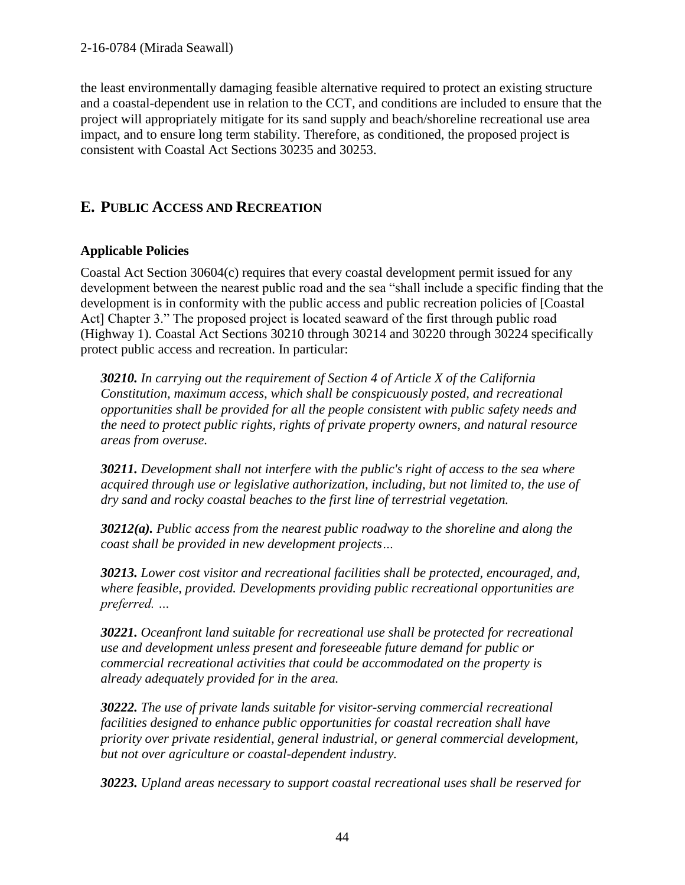the least environmentally damaging feasible alternative required to protect an existing structure and a coastal-dependent use in relation to the CCT, and conditions are included to ensure that the project will appropriately mitigate for its sand supply and beach/shoreline recreational use area impact, and to ensure long term stability. Therefore, as conditioned, the proposed project is consistent with Coastal Act Sections 30235 and 30253.

# **E. PUBLIC ACCESS AND RECREATION**

## **Applicable Policies**

Coastal Act Section 30604(c) requires that every coastal development permit issued for any development between the nearest public road and the sea "shall include a specific finding that the development is in conformity with the public access and public recreation policies of [Coastal Act] Chapter 3." The proposed project is located seaward of the first through public road (Highway 1). Coastal Act Sections 30210 through 30214 and 30220 through 30224 specifically protect public access and recreation. In particular:

*30210. In carrying out the requirement of Section 4 of Article X of the California Constitution, maximum access, which shall be conspicuously posted, and recreational opportunities shall be provided for all the people consistent with public safety needs and the need to protect public rights, rights of private property owners, and natural resource areas from overuse.*

*30211. Development shall not interfere with the public's right of access to the sea where acquired through use or legislative authorization, including, but not limited to, the use of dry sand and rocky coastal beaches to the first line of terrestrial vegetation.*

*30212(a). Public access from the nearest public roadway to the shoreline and along the coast shall be provided in new development projects…*

*30213. Lower cost visitor and recreational facilities shall be protected, encouraged, and, where feasible, provided. Developments providing public recreational opportunities are preferred. …*

*30221. Oceanfront land suitable for recreational use shall be protected for recreational use and development unless present and foreseeable future demand for public or commercial recreational activities that could be accommodated on the property is already adequately provided for in the area.*

*30222. The use of private lands suitable for visitor-serving commercial recreational facilities designed to enhance public opportunities for coastal recreation shall have priority over private residential, general industrial, or general commercial development, but not over agriculture or coastal-dependent industry.*

*30223. Upland areas necessary to support coastal recreational uses shall be reserved for*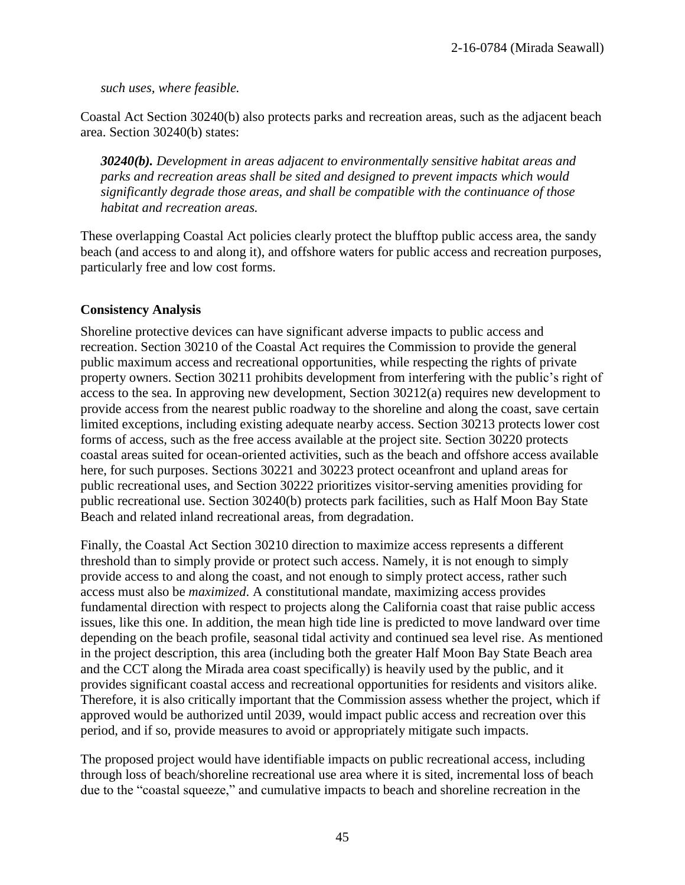*such uses, where feasible.*

Coastal Act Section 30240(b) also protects parks and recreation areas, such as the adjacent beach area. Section 30240(b) states:

*30240(b). Development in areas adjacent to environmentally sensitive habitat areas and parks and recreation areas shall be sited and designed to prevent impacts which would significantly degrade those areas, and shall be compatible with the continuance of those habitat and recreation areas.*

These overlapping Coastal Act policies clearly protect the blufftop public access area, the sandy beach (and access to and along it), and offshore waters for public access and recreation purposes, particularly free and low cost forms.

### **Consistency Analysis**

Shoreline protective devices can have significant adverse impacts to public access and recreation. Section 30210 of the Coastal Act requires the Commission to provide the general public maximum access and recreational opportunities, while respecting the rights of private property owners. Section 30211 prohibits development from interfering with the public's right of access to the sea. In approving new development, Section 30212(a) requires new development to provide access from the nearest public roadway to the shoreline and along the coast, save certain limited exceptions, including existing adequate nearby access. Section 30213 protects lower cost forms of access, such as the free access available at the project site. Section 30220 protects coastal areas suited for ocean-oriented activities, such as the beach and offshore access available here, for such purposes. Sections 30221 and 30223 protect oceanfront and upland areas for public recreational uses, and Section 30222 prioritizes visitor-serving amenities providing for public recreational use. Section 30240(b) protects park facilities, such as Half Moon Bay State Beach and related inland recreational areas, from degradation.

Finally, the Coastal Act Section 30210 direction to maximize access represents a different threshold than to simply provide or protect such access. Namely, it is not enough to simply provide access to and along the coast, and not enough to simply protect access, rather such access must also be *maximized*. A constitutional mandate, maximizing access provides fundamental direction with respect to projects along the California coast that raise public access issues, like this one. In addition, the mean high tide line is predicted to move landward over time depending on the beach profile, seasonal tidal activity and continued sea level rise. As mentioned in the project description, this area (including both the greater Half Moon Bay State Beach area and the CCT along the Mirada area coast specifically) is heavily used by the public, and it provides significant coastal access and recreational opportunities for residents and visitors alike. Therefore, it is also critically important that the Commission assess whether the project, which if approved would be authorized until 2039, would impact public access and recreation over this period, and if so, provide measures to avoid or appropriately mitigate such impacts.

The proposed project would have identifiable impacts on public recreational access, including through loss of beach/shoreline recreational use area where it is sited, incremental loss of beach due to the "coastal squeeze," and cumulative impacts to beach and shoreline recreation in the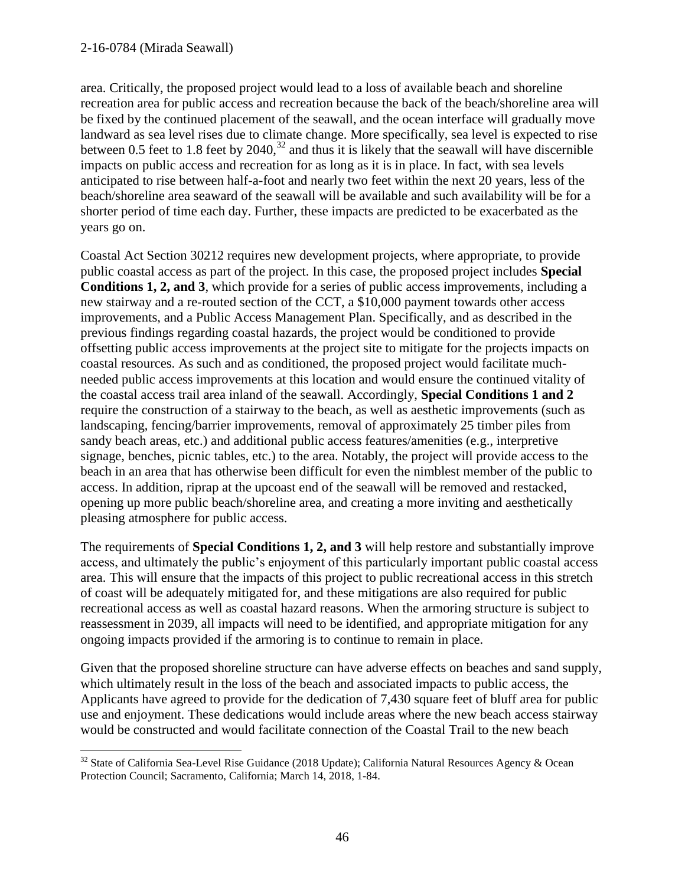$\overline{a}$ 

area. Critically, the proposed project would lead to a loss of available beach and shoreline recreation area for public access and recreation because the back of the beach/shoreline area will be fixed by the continued placement of the seawall, and the ocean interface will gradually move landward as sea level rises due to climate change. More specifically, sea level is expected to rise between 0.5 feet to 1.8 feet by 2040,<sup>32</sup> and thus it is likely that the seawall will have discernible impacts on public access and recreation for as long as it is in place. In fact, with sea levels anticipated to rise between half-a-foot and nearly two feet within the next 20 years, less of the beach/shoreline area seaward of the seawall will be available and such availability will be for a shorter period of time each day. Further, these impacts are predicted to be exacerbated as the years go on.

Coastal Act Section 30212 requires new development projects, where appropriate, to provide public coastal access as part of the project. In this case, the proposed project includes **Special Conditions 1, 2, and 3**, which provide for a series of public access improvements, including a new stairway and a re-routed section of the CCT, a \$10,000 payment towards other access improvements, and a Public Access Management Plan. Specifically, and as described in the previous findings regarding coastal hazards, the project would be conditioned to provide offsetting public access improvements at the project site to mitigate for the projects impacts on coastal resources. As such and as conditioned, the proposed project would facilitate muchneeded public access improvements at this location and would ensure the continued vitality of the coastal access trail area inland of the seawall. Accordingly, **Special Conditions 1 and 2** require the construction of a stairway to the beach, as well as aesthetic improvements (such as landscaping, fencing/barrier improvements, removal of approximately 25 timber piles from sandy beach areas, etc.) and additional public access features/amenities (e.g., interpretive signage, benches, picnic tables, etc.) to the area. Notably, the project will provide access to the beach in an area that has otherwise been difficult for even the nimblest member of the public to access. In addition, riprap at the upcoast end of the seawall will be removed and restacked, opening up more public beach/shoreline area, and creating a more inviting and aesthetically pleasing atmosphere for public access.

The requirements of **Special Conditions 1, 2, and 3** will help restore and substantially improve access, and ultimately the public's enjoyment of this particularly important public coastal access area. This will ensure that the impacts of this project to public recreational access in this stretch of coast will be adequately mitigated for, and these mitigations are also required for public recreational access as well as coastal hazard reasons. When the armoring structure is subject to reassessment in 2039, all impacts will need to be identified, and appropriate mitigation for any ongoing impacts provided if the armoring is to continue to remain in place.

Given that the proposed shoreline structure can have adverse effects on beaches and sand supply, which ultimately result in the loss of the beach and associated impacts to public access, the Applicants have agreed to provide for the dedication of 7,430 square feet of bluff area for public use and enjoyment. These dedications would include areas where the new beach access stairway would be constructed and would facilitate connection of the Coastal Trail to the new beach

 $32$  State of California Sea-Level Rise Guidance (2018 Update); California Natural Resources Agency & Ocean Protection Council; Sacramento, California; March 14, 2018, 1-84.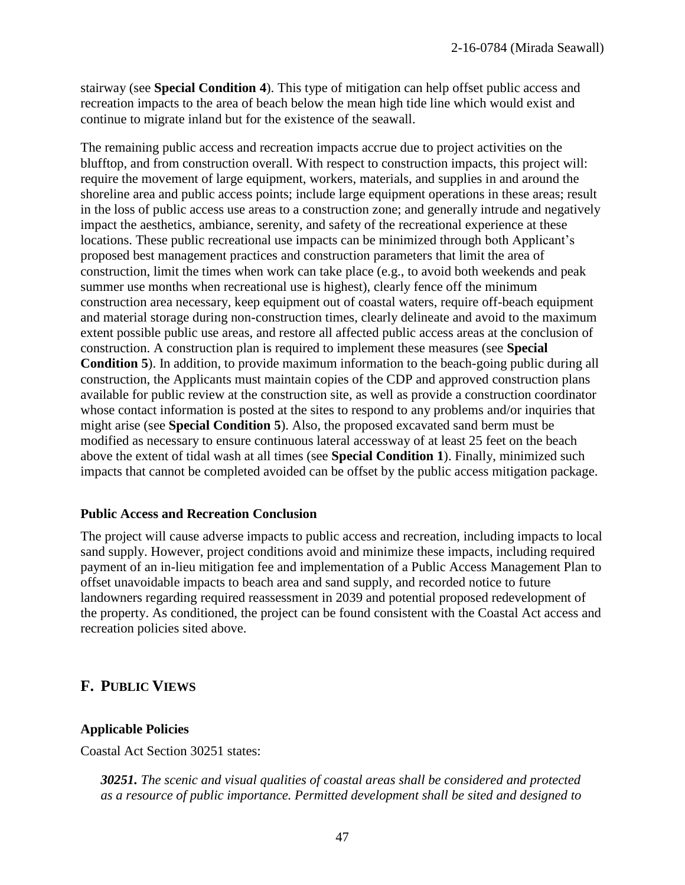stairway (see **Special Condition 4**). This type of mitigation can help offset public access and recreation impacts to the area of beach below the mean high tide line which would exist and continue to migrate inland but for the existence of the seawall.

The remaining public access and recreation impacts accrue due to project activities on the blufftop, and from construction overall. With respect to construction impacts, this project will: require the movement of large equipment, workers, materials, and supplies in and around the shoreline area and public access points; include large equipment operations in these areas; result in the loss of public access use areas to a construction zone; and generally intrude and negatively impact the aesthetics, ambiance, serenity, and safety of the recreational experience at these locations. These public recreational use impacts can be minimized through both Applicant's proposed best management practices and construction parameters that limit the area of construction, limit the times when work can take place (e.g., to avoid both weekends and peak summer use months when recreational use is highest), clearly fence off the minimum construction area necessary, keep equipment out of coastal waters, require off-beach equipment and material storage during non-construction times, clearly delineate and avoid to the maximum extent possible public use areas, and restore all affected public access areas at the conclusion of construction. A construction plan is required to implement these measures (see **Special Condition 5**). In addition, to provide maximum information to the beach-going public during all construction, the Applicants must maintain copies of the CDP and approved construction plans available for public review at the construction site, as well as provide a construction coordinator whose contact information is posted at the sites to respond to any problems and/or inquiries that might arise (see **Special Condition 5**). Also, the proposed excavated sand berm must be modified as necessary to ensure continuous lateral accessway of at least 25 feet on the beach above the extent of tidal wash at all times (see **Special Condition 1**). Finally, minimized such impacts that cannot be completed avoided can be offset by the public access mitigation package.

#### **Public Access and Recreation Conclusion**

The project will cause adverse impacts to public access and recreation, including impacts to local sand supply. However, project conditions avoid and minimize these impacts, including required payment of an in-lieu mitigation fee and implementation of a Public Access Management Plan to offset unavoidable impacts to beach area and sand supply, and recorded notice to future landowners regarding required reassessment in 2039 and potential proposed redevelopment of the property. As conditioned, the project can be found consistent with the Coastal Act access and recreation policies sited above.

## **F. PUBLIC VIEWS**

#### **Applicable Policies**

Coastal Act Section 30251 states:

*30251. The scenic and visual qualities of coastal areas shall be considered and protected as a resource of public importance. Permitted development shall be sited and designed to*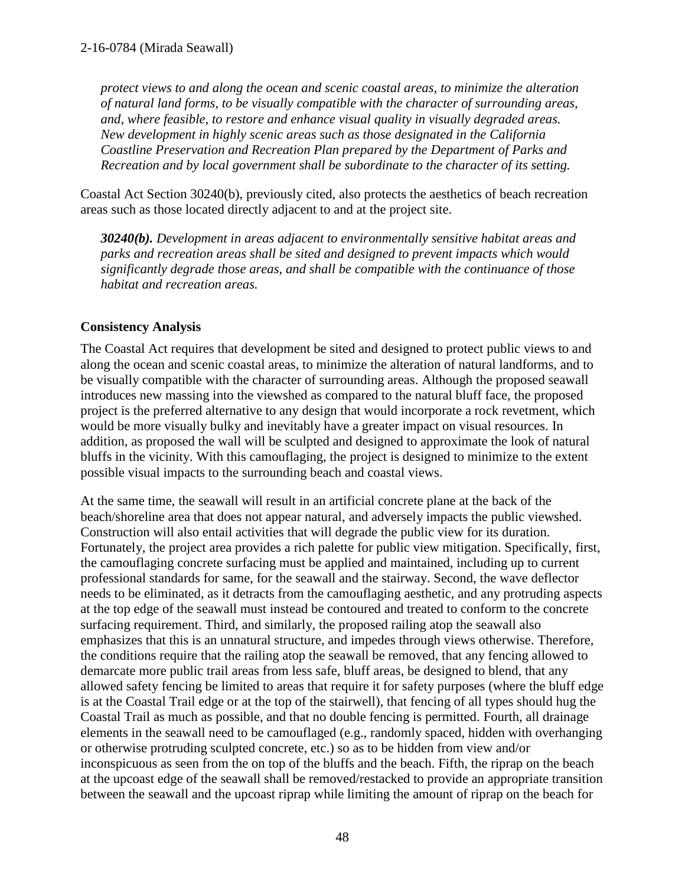*protect views to and along the ocean and scenic coastal areas, to minimize the alteration of natural land forms, to be visually compatible with the character of surrounding areas, and, where feasible, to restore and enhance visual quality in visually degraded areas. New development in highly scenic areas such as those designated in the California Coastline Preservation and Recreation Plan prepared by the Department of Parks and Recreation and by local government shall be subordinate to the character of its setting.*

Coastal Act Section 30240(b), previously cited, also protects the aesthetics of beach recreation areas such as those located directly adjacent to and at the project site.

*30240(b). Development in areas adjacent to environmentally sensitive habitat areas and parks and recreation areas shall be sited and designed to prevent impacts which would significantly degrade those areas, and shall be compatible with the continuance of those habitat and recreation areas.*

### **Consistency Analysis**

The Coastal Act requires that development be sited and designed to protect public views to and along the ocean and scenic coastal areas, to minimize the alteration of natural landforms, and to be visually compatible with the character of surrounding areas. Although the proposed seawall introduces new massing into the viewshed as compared to the natural bluff face, the proposed project is the preferred alternative to any design that would incorporate a rock revetment, which would be more visually bulky and inevitably have a greater impact on visual resources. In addition, as proposed the wall will be sculpted and designed to approximate the look of natural bluffs in the vicinity. With this camouflaging, the project is designed to minimize to the extent possible visual impacts to the surrounding beach and coastal views.

At the same time, the seawall will result in an artificial concrete plane at the back of the beach/shoreline area that does not appear natural, and adversely impacts the public viewshed. Construction will also entail activities that will degrade the public view for its duration. Fortunately, the project area provides a rich palette for public view mitigation. Specifically, first, the camouflaging concrete surfacing must be applied and maintained, including up to current professional standards for same, for the seawall and the stairway. Second, the wave deflector needs to be eliminated, as it detracts from the camouflaging aesthetic, and any protruding aspects at the top edge of the seawall must instead be contoured and treated to conform to the concrete surfacing requirement. Third, and similarly, the proposed railing atop the seawall also emphasizes that this is an unnatural structure, and impedes through views otherwise. Therefore, the conditions require that the railing atop the seawall be removed, that any fencing allowed to demarcate more public trail areas from less safe, bluff areas, be designed to blend, that any allowed safety fencing be limited to areas that require it for safety purposes (where the bluff edge is at the Coastal Trail edge or at the top of the stairwell), that fencing of all types should hug the Coastal Trail as much as possible, and that no double fencing is permitted. Fourth, all drainage elements in the seawall need to be camouflaged (e.g., randomly spaced, hidden with overhanging or otherwise protruding sculpted concrete, etc.) so as to be hidden from view and/or inconspicuous as seen from the on top of the bluffs and the beach. Fifth, the riprap on the beach at the upcoast edge of the seawall shall be removed/restacked to provide an appropriate transition between the seawall and the upcoast riprap while limiting the amount of riprap on the beach for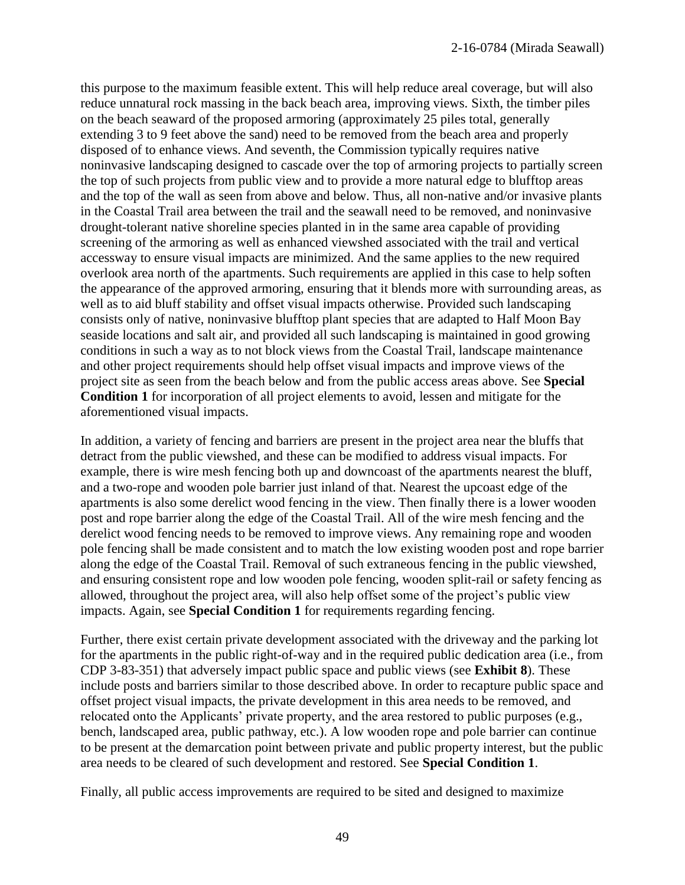this purpose to the maximum feasible extent. This will help reduce areal coverage, but will also reduce unnatural rock massing in the back beach area, improving views. Sixth, the timber piles on the beach seaward of the proposed armoring (approximately 25 piles total, generally extending 3 to 9 feet above the sand) need to be removed from the beach area and properly disposed of to enhance views. And seventh, the Commission typically requires native noninvasive landscaping designed to cascade over the top of armoring projects to partially screen the top of such projects from public view and to provide a more natural edge to blufftop areas and the top of the wall as seen from above and below. Thus, all non-native and/or invasive plants in the Coastal Trail area between the trail and the seawall need to be removed, and noninvasive drought-tolerant native shoreline species planted in in the same area capable of providing screening of the armoring as well as enhanced viewshed associated with the trail and vertical accessway to ensure visual impacts are minimized. And the same applies to the new required overlook area north of the apartments. Such requirements are applied in this case to help soften the appearance of the approved armoring, ensuring that it blends more with surrounding areas, as well as to aid bluff stability and offset visual impacts otherwise. Provided such landscaping consists only of native, noninvasive blufftop plant species that are adapted to Half Moon Bay seaside locations and salt air, and provided all such landscaping is maintained in good growing conditions in such a way as to not block views from the Coastal Trail, landscape maintenance and other project requirements should help offset visual impacts and improve views of the project site as seen from the beach below and from the public access areas above. See **Special Condition 1** for incorporation of all project elements to avoid, lessen and mitigate for the aforementioned visual impacts.

In addition, a variety of fencing and barriers are present in the project area near the bluffs that detract from the public viewshed, and these can be modified to address visual impacts. For example, there is wire mesh fencing both up and downcoast of the apartments nearest the bluff, and a two-rope and wooden pole barrier just inland of that. Nearest the upcoast edge of the apartments is also some derelict wood fencing in the view. Then finally there is a lower wooden post and rope barrier along the edge of the Coastal Trail. All of the wire mesh fencing and the derelict wood fencing needs to be removed to improve views. Any remaining rope and wooden pole fencing shall be made consistent and to match the low existing wooden post and rope barrier along the edge of the Coastal Trail. Removal of such extraneous fencing in the public viewshed, and ensuring consistent rope and low wooden pole fencing, wooden split-rail or safety fencing as allowed, throughout the project area, will also help offset some of the project's public view impacts. Again, see **Special Condition 1** for requirements regarding fencing.

Further, there exist certain private development associated with the driveway and the parking lot for the apartments in the public right-of-way and in the required public dedication area (i.e., from CDP 3-83-351) that adversely impact public space and public views (see **Exhibit 8**). These include posts and barriers similar to those described above. In order to recapture public space and offset project visual impacts, the private development in this area needs to be removed, and relocated onto the Applicants' private property, and the area restored to public purposes (e.g., bench, landscaped area, public pathway, etc.). A low wooden rope and pole barrier can continue to be present at the demarcation point between private and public property interest, but the public area needs to be cleared of such development and restored. See **Special Condition 1**.

Finally, all public access improvements are required to be sited and designed to maximize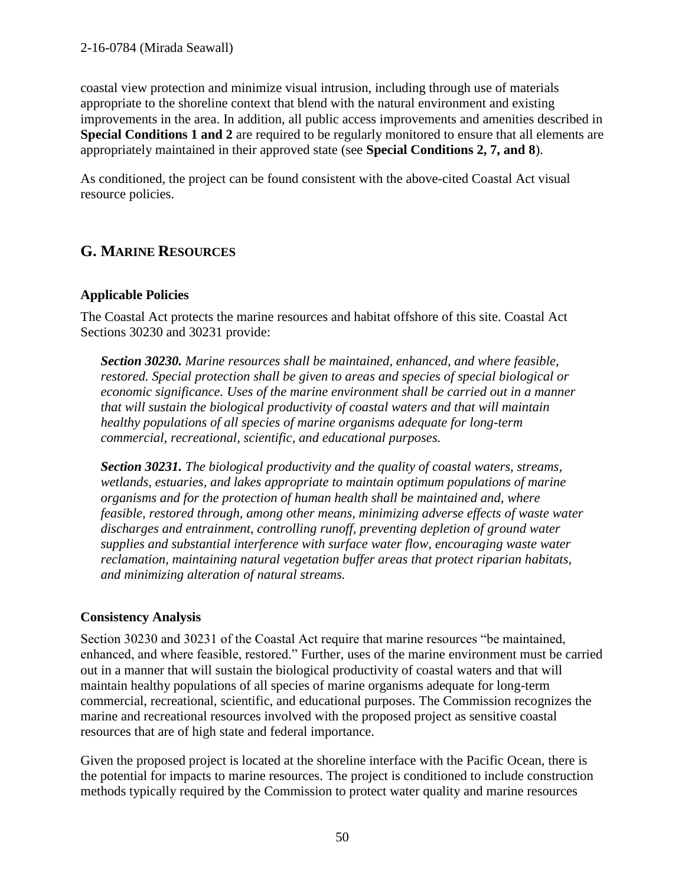#### 2-16-0784 (Mirada Seawall)

coastal view protection and minimize visual intrusion, including through use of materials appropriate to the shoreline context that blend with the natural environment and existing improvements in the area. In addition, all public access improvements and amenities described in **Special Conditions 1 and 2** are required to be regularly monitored to ensure that all elements are appropriately maintained in their approved state (see **Special Conditions 2, 7, and 8**).

As conditioned, the project can be found consistent with the above-cited Coastal Act visual resource policies.

# **G. MARINE RESOURCES**

### **Applicable Policies**

The Coastal Act protects the marine resources and habitat offshore of this site. Coastal Act Sections 30230 and 30231 provide:

*Section 30230. Marine resources shall be maintained, enhanced, and where feasible, restored. Special protection shall be given to areas and species of special biological or economic significance. Uses of the marine environment shall be carried out in a manner that will sustain the biological productivity of coastal waters and that will maintain healthy populations of all species of marine organisms adequate for long-term commercial, recreational, scientific, and educational purposes.*

*Section 30231. The biological productivity and the quality of coastal waters, streams, wetlands, estuaries, and lakes appropriate to maintain optimum populations of marine organisms and for the protection of human health shall be maintained and, where feasible, restored through, among other means, minimizing adverse effects of waste water discharges and entrainment, controlling runoff, preventing depletion of ground water supplies and substantial interference with surface water flow, encouraging waste water reclamation, maintaining natural vegetation buffer areas that protect riparian habitats, and minimizing alteration of natural streams.*

### **Consistency Analysis**

Section 30230 and 30231 of the Coastal Act require that marine resources "be maintained, enhanced, and where feasible, restored." Further, uses of the marine environment must be carried out in a manner that will sustain the biological productivity of coastal waters and that will maintain healthy populations of all species of marine organisms adequate for long-term commercial, recreational, scientific, and educational purposes. The Commission recognizes the marine and recreational resources involved with the proposed project as sensitive coastal resources that are of high state and federal importance.

Given the proposed project is located at the shoreline interface with the Pacific Ocean, there is the potential for impacts to marine resources. The project is conditioned to include construction methods typically required by the Commission to protect water quality and marine resources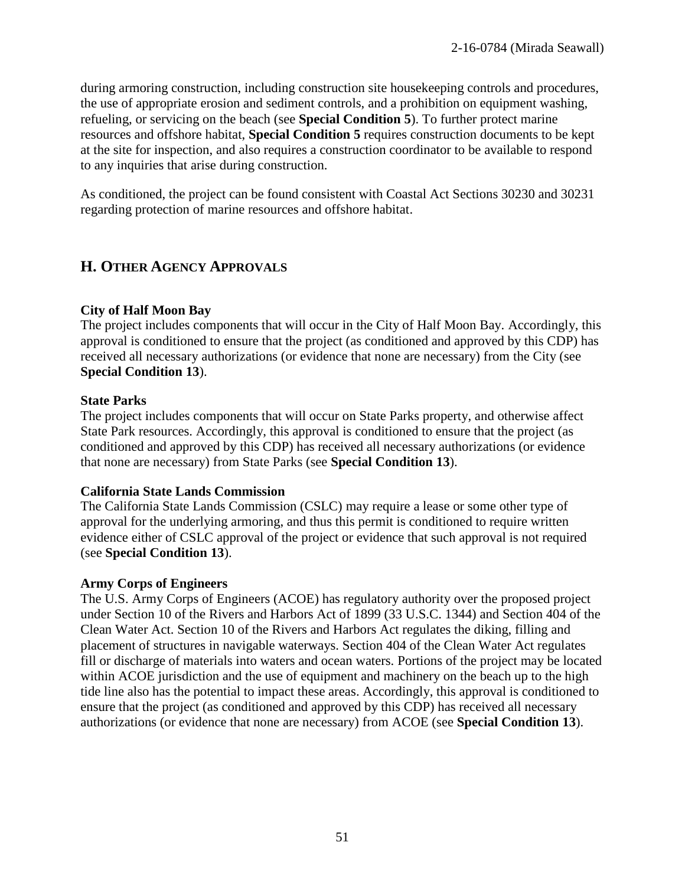during armoring construction, including construction site housekeeping controls and procedures, the use of appropriate erosion and sediment controls, and a prohibition on equipment washing, refueling, or servicing on the beach (see **Special Condition 5**). To further protect marine resources and offshore habitat, **Special Condition 5** requires construction documents to be kept at the site for inspection, and also requires a construction coordinator to be available to respond to any inquiries that arise during construction.

As conditioned, the project can be found consistent with Coastal Act Sections 30230 and 30231 regarding protection of marine resources and offshore habitat.

# **H. OTHER AGENCY APPROVALS**

### **City of Half Moon Bay**

The project includes components that will occur in the City of Half Moon Bay. Accordingly, this approval is conditioned to ensure that the project (as conditioned and approved by this CDP) has received all necessary authorizations (or evidence that none are necessary) from the City (see **Special Condition 13**).

### **State Parks**

The project includes components that will occur on State Parks property, and otherwise affect State Park resources. Accordingly, this approval is conditioned to ensure that the project (as conditioned and approved by this CDP) has received all necessary authorizations (or evidence that none are necessary) from State Parks (see **Special Condition 13**).

### **California State Lands Commission**

The California State Lands Commission (CSLC) may require a lease or some other type of approval for the underlying armoring, and thus this permit is conditioned to require written evidence either of CSLC approval of the project or evidence that such approval is not required (see **Special Condition 13**).

#### **Army Corps of Engineers**

The U.S. Army Corps of Engineers (ACOE) has regulatory authority over the proposed project under Section 10 of the Rivers and Harbors Act of 1899 (33 U.S.C. 1344) and Section 404 of the Clean Water Act. Section 10 of the Rivers and Harbors Act regulates the diking, filling and placement of structures in navigable waterways. Section 404 of the Clean Water Act regulates fill or discharge of materials into waters and ocean waters. Portions of the project may be located within ACOE jurisdiction and the use of equipment and machinery on the beach up to the high tide line also has the potential to impact these areas. Accordingly, this approval is conditioned to ensure that the project (as conditioned and approved by this CDP) has received all necessary authorizations (or evidence that none are necessary) from ACOE (see **Special Condition 13**).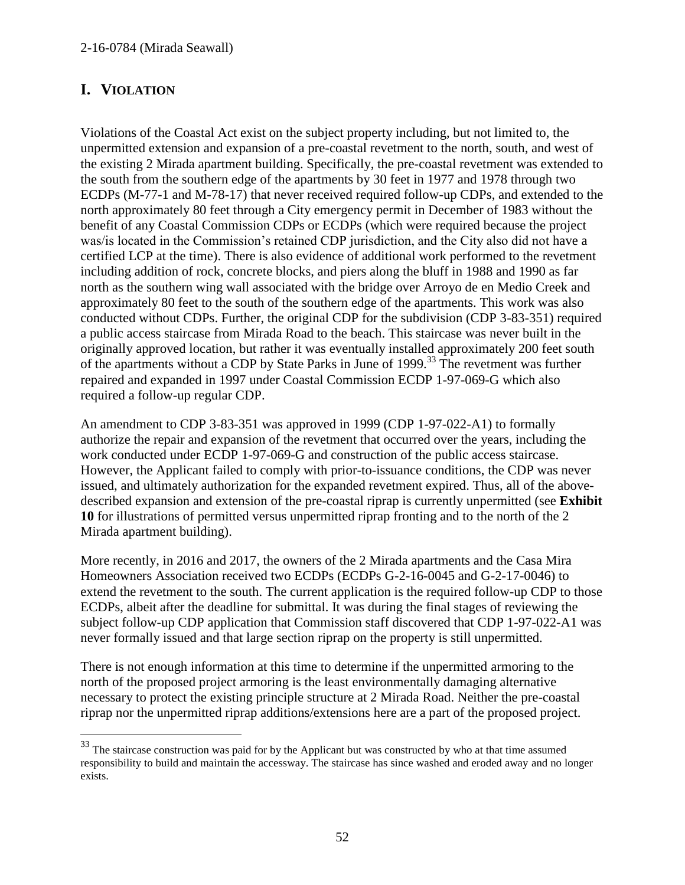# **I. VIOLATION**

 $\overline{a}$ 

Violations of the Coastal Act exist on the subject property including, but not limited to, the unpermitted extension and expansion of a pre-coastal revetment to the north, south, and west of the existing 2 Mirada apartment building. Specifically, the pre-coastal revetment was extended to the south from the southern edge of the apartments by 30 feet in 1977 and 1978 through two ECDPs (M-77-1 and M-78-17) that never received required follow-up CDPs, and extended to the north approximately 80 feet through a City emergency permit in December of 1983 without the benefit of any Coastal Commission CDPs or ECDPs (which were required because the project was/is located in the Commission's retained CDP jurisdiction, and the City also did not have a certified LCP at the time). There is also evidence of additional work performed to the revetment including addition of rock, concrete blocks, and piers along the bluff in 1988 and 1990 as far north as the southern wing wall associated with the bridge over Arroyo de en Medio Creek and approximately 80 feet to the south of the southern edge of the apartments. This work was also conducted without CDPs. Further, the original CDP for the subdivision (CDP 3-83-351) required a public access staircase from Mirada Road to the beach. This staircase was never built in the originally approved location, but rather it was eventually installed approximately 200 feet south of the apartments without a CDP by State Parks in June of 1999.<sup>33</sup> The revetment was further repaired and expanded in 1997 under Coastal Commission ECDP 1-97-069-G which also required a follow-up regular CDP.

An amendment to CDP 3-83-351 was approved in 1999 (CDP 1-97-022-A1) to formally authorize the repair and expansion of the revetment that occurred over the years, including the work conducted under ECDP 1-97-069-G and construction of the public access staircase. However, the Applicant failed to comply with prior-to-issuance conditions, the CDP was never issued, and ultimately authorization for the expanded revetment expired. Thus, all of the abovedescribed expansion and extension of the pre-coastal riprap is currently unpermitted (see **Exhibit 10** for illustrations of permitted versus unpermitted riprap fronting and to the north of the 2 Mirada apartment building).

More recently, in 2016 and 2017, the owners of the 2 Mirada apartments and the Casa Mira Homeowners Association received two ECDPs (ECDPs G-2-16-0045 and G-2-17-0046) to extend the revetment to the south. The current application is the required follow-up CDP to those ECDPs, albeit after the deadline for submittal. It was during the final stages of reviewing the subject follow-up CDP application that Commission staff discovered that CDP 1-97-022-A1 was never formally issued and that large section riprap on the property is still unpermitted.

There is not enough information at this time to determine if the unpermitted armoring to the north of the proposed project armoring is the least environmentally damaging alternative necessary to protect the existing principle structure at 2 Mirada Road. Neither the pre-coastal riprap nor the unpermitted riprap additions/extensions here are a part of the proposed project.

<sup>&</sup>lt;sup>33</sup> The staircase construction was paid for by the Applicant but was constructed by who at that time assumed responsibility to build and maintain the accessway. The staircase has since washed and eroded away and no longer exists.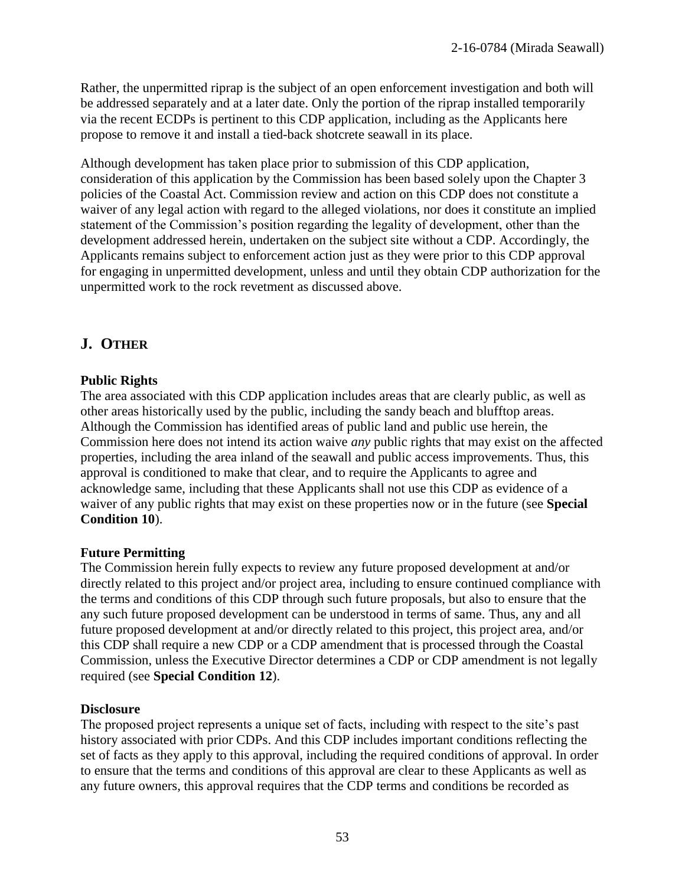Rather, the unpermitted riprap is the subject of an open enforcement investigation and both will be addressed separately and at a later date. Only the portion of the riprap installed temporarily via the recent ECDPs is pertinent to this CDP application, including as the Applicants here propose to remove it and install a tied-back shotcrete seawall in its place.

Although development has taken place prior to submission of this CDP application, consideration of this application by the Commission has been based solely upon the Chapter 3 policies of the Coastal Act. Commission review and action on this CDP does not constitute a waiver of any legal action with regard to the alleged violations, nor does it constitute an implied statement of the Commission's position regarding the legality of development, other than the development addressed herein, undertaken on the subject site without a CDP. Accordingly, the Applicants remains subject to enforcement action just as they were prior to this CDP approval for engaging in unpermitted development, unless and until they obtain CDP authorization for the unpermitted work to the rock revetment as discussed above.

# **J. OTHER**

### **Public Rights**

The area associated with this CDP application includes areas that are clearly public, as well as other areas historically used by the public, including the sandy beach and blufftop areas. Although the Commission has identified areas of public land and public use herein, the Commission here does not intend its action waive *any* public rights that may exist on the affected properties, including the area inland of the seawall and public access improvements. Thus, this approval is conditioned to make that clear, and to require the Applicants to agree and acknowledge same, including that these Applicants shall not use this CDP as evidence of a waiver of any public rights that may exist on these properties now or in the future (see **Special Condition 10**).

### **Future Permitting**

The Commission herein fully expects to review any future proposed development at and/or directly related to this project and/or project area, including to ensure continued compliance with the terms and conditions of this CDP through such future proposals, but also to ensure that the any such future proposed development can be understood in terms of same. Thus, any and all future proposed development at and/or directly related to this project, this project area, and/or this CDP shall require a new CDP or a CDP amendment that is processed through the Coastal Commission, unless the Executive Director determines a CDP or CDP amendment is not legally required (see **Special Condition 12**).

#### **Disclosure**

The proposed project represents a unique set of facts, including with respect to the site's past history associated with prior CDPs. And this CDP includes important conditions reflecting the set of facts as they apply to this approval, including the required conditions of approval. In order to ensure that the terms and conditions of this approval are clear to these Applicants as well as any future owners, this approval requires that the CDP terms and conditions be recorded as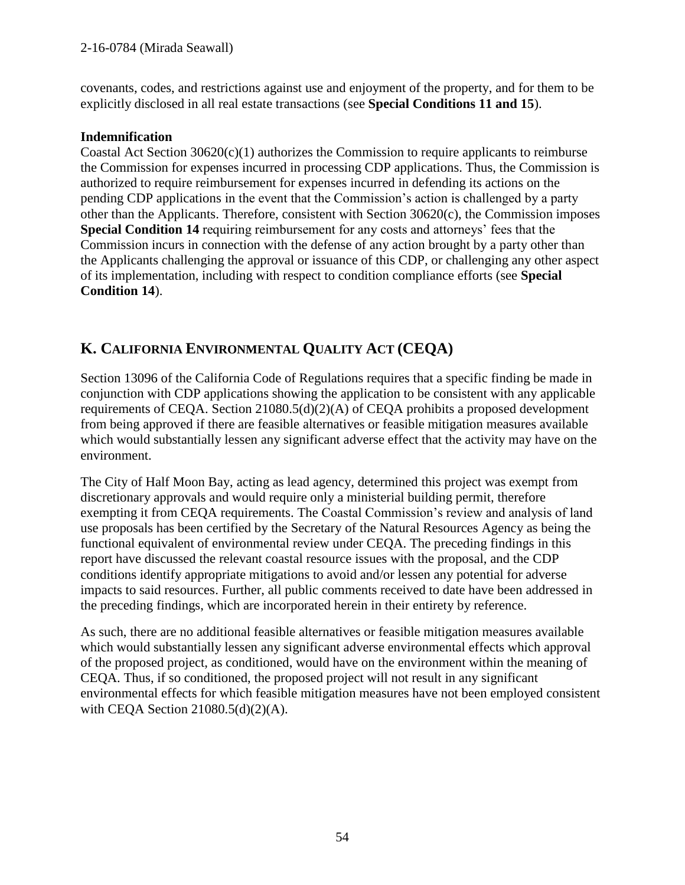covenants, codes, and restrictions against use and enjoyment of the property, and for them to be explicitly disclosed in all real estate transactions (see **Special Conditions 11 and 15**).

### **Indemnification**

Coastal Act Section  $30620(c)(1)$  authorizes the Commission to require applicants to reimburse the Commission for expenses incurred in processing CDP applications. Thus, the Commission is authorized to require reimbursement for expenses incurred in defending its actions on the pending CDP applications in the event that the Commission's action is challenged by a party other than the Applicants. Therefore, consistent with Section 30620(c), the Commission imposes **Special Condition 14** requiring reimbursement for any costs and attorneys' fees that the Commission incurs in connection with the defense of any action brought by a party other than the Applicants challenging the approval or issuance of this CDP, or challenging any other aspect of its implementation, including with respect to condition compliance efforts (see **Special Condition 14**).

# **K. CALIFORNIA ENVIRONMENTAL QUALITY ACT (CEQA)**

Section 13096 of the California Code of Regulations requires that a specific finding be made in conjunction with CDP applications showing the application to be consistent with any applicable requirements of CEQA. Section 21080.5(d)(2)(A) of CEQA prohibits a proposed development from being approved if there are feasible alternatives or feasible mitigation measures available which would substantially lessen any significant adverse effect that the activity may have on the environment.

The City of Half Moon Bay, acting as lead agency, determined this project was exempt from discretionary approvals and would require only a ministerial building permit, therefore exempting it from CEQA requirements. The Coastal Commission's review and analysis of land use proposals has been certified by the Secretary of the Natural Resources Agency as being the functional equivalent of environmental review under CEQA. The preceding findings in this report have discussed the relevant coastal resource issues with the proposal, and the CDP conditions identify appropriate mitigations to avoid and/or lessen any potential for adverse impacts to said resources. Further, all public comments received to date have been addressed in the preceding findings, which are incorporated herein in their entirety by reference.

As such, there are no additional feasible alternatives or feasible mitigation measures available which would substantially lessen any significant adverse environmental effects which approval of the proposed project, as conditioned, would have on the environment within the meaning of CEQA. Thus, if so conditioned, the proposed project will not result in any significant environmental effects for which feasible mitigation measures have not been employed consistent with CEQA Section 21080.5(d)(2)(A).